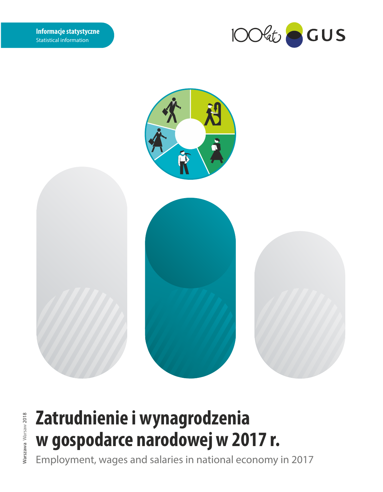



# **Zatrudnienie i wynagrodzenia w gospodarce narodowej w 2017 r.**

Employment, wages and salaries in national economy in 2017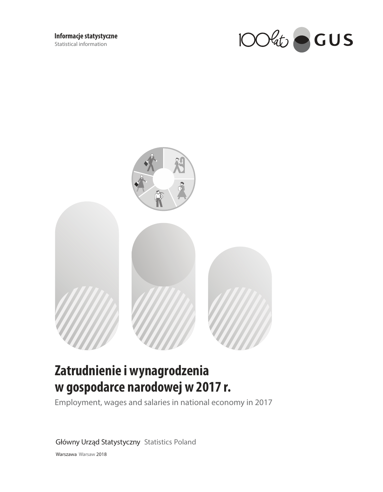



# Zatrudnienie i wynagrodzenia w gospodarce narodowej w 2017 r.

Employment, wages and salaries in national economy in 2017

Główny Urząd Statystyczny Statistics Poland

Warszawa Warsaw 2018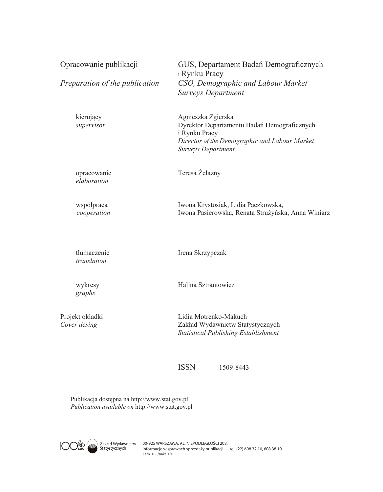| Opracowanie publikacji<br>Preparation of the publication | GUS, Departament Badań Demograficznych<br>i Rynku Pracy<br>CSO, Demographic and Labour Market<br><b>Surveys Department</b>                                       |
|----------------------------------------------------------|------------------------------------------------------------------------------------------------------------------------------------------------------------------|
| kierujący<br>supervisor                                  | Agnieszka Zgierska<br>Dyrektor Departamentu Badań Demograficznych<br>i Rynku Pracy<br>Director of the Demographic and Labour Market<br><b>Surveys Department</b> |
| opracowanie<br>elaboration                               | Teresa Żelazny                                                                                                                                                   |
| współpraca<br>cooperation                                | Iwona Krystosiak, Lidia Paczkowska,<br>Iwona Pasierowska, Renata Strużyńska, Anna Winiarz                                                                        |
| tłumaczenie<br>translation                               | Irena Skrzypczak                                                                                                                                                 |
| wykresy<br>graphs                                        | Halina Sztrantowicz                                                                                                                                              |
| Projekt okładki<br>Cover desing                          | Lidia Motrenko-Makuch<br>Zakład Wydawnictw Statystycznych<br><b>Statistical Publishing Establishment</b>                                                         |

ISSN 1509-8443

Publikacja dostępna na http://www.stat.gov.pl $\mathit{Publication available~on~http://www.stat.gov.pl}$ 

 $\circ$  $\int_{\text{dust}}^{b}$ 

Zakład Wydawnictw O0-925 WARSZAWA, AL. NIEPODLEGŁOŚCI 208.<br>Statystycznych lnformacje w sprawach sprzedaży publikacji — tel. (22) 608 32 10, 608 38 10<br>Zam. 185/nakł. 130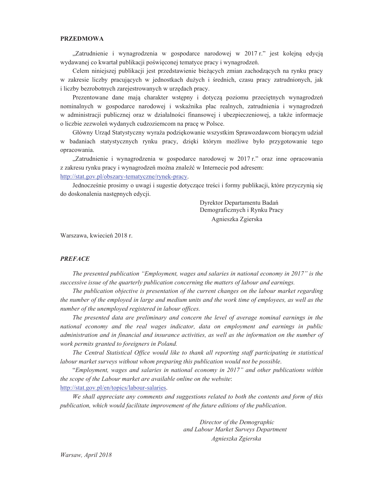### **PRZEDMOWA**

"Zatrudnienie i wynagrodzenia w gospodarce narodowej w 2017 r." jest kolejną edycją wydawanej co kwartał publikacji poświęconej tematyce pracy i wynagrodzeń.

Celem niniejszej publikacji jest przedstawienie bieżących zmian zachodzących na rynku pracy w zakresie liczby pracujących w jednostkach dużych i średnich, czasu pracy zatrudnionych, jak i liczby bezrobotnych zarejestrowanych w urzędach pracy.

Prezentowane dane mają charakter wstępny i dotyczą poziomu przeciętnych wynagrodzeń nominalnych w gospodarce narodowej i wskaźnika płac realnych, zatrudnienia i wynagrodzeń w administracji publicznej oraz w działalności finansowej i ubezpieczeniowej, a także informacje o liczbie zezwoleń wydanych cudzoziemcom na pracę w Polsce.

Główny Urząd Statystyczny wyraża podziękowanie wszystkim Sprawozdawcom biorącym udział w badaniach statystycznych rynku pracy, dzięki którym możliwe było przygotowanie tego opracowania.

"Zatrudnienie i wynagrodzenia w gospodarce narodowej w 2017 r." oraz inne opracowania z zakresu rynku pracy i wynagrodzeń można znaleźć w Internecie pod adresem: http://stat.gov.pl/obszary-tematyczne/rynek-pracy.

Jednocześnie prosimy o uwagi i sugestie dotyczące treści i formy publikacji, które przyczynia się do doskonalenia następnych edycji.

> Dyrektor Departamentu Badań Demograficznych i Rynku Pracy Agnieszka Zgierska

Warszawa, kwiecień 2018 r.

### **PREFACE**

The presented publication "Employment, wages and salaries in national economy in 2017" is the successive issue of the quarterly publication concerning the matters of labour and earnings.

The publication objective is presentation of the current changes on the labour market regarding the number of the employed in large and medium units and the work time of employees, as well as the number of the unemployed registered in labour offices.

The presented data are preliminary and concern the level of average nominal earnings in the national economy and the real wages indicator, data on employment and earnings in public administration and in financial and insurance activities, as well as the information on the number of work permits granted to foreigners in Poland.

The Central Statistical Office would like to thank all reporting staff participating in statistical labour market surveys without whom preparing this publication would not be possible.

"Employment, wages and salaries in national economy in 2017" and other publications within the scope of the Labour market are available online on the website: http://stat.gov.pl/en/topics/labour-salaries.

We shall appreciate any comments and suggestions related to both the contents and form of this publication, which would facilitate improvement of the future editions of the publication.

> Director of the Demographic and Labour Market Surveys Department Agnieszka Zgierska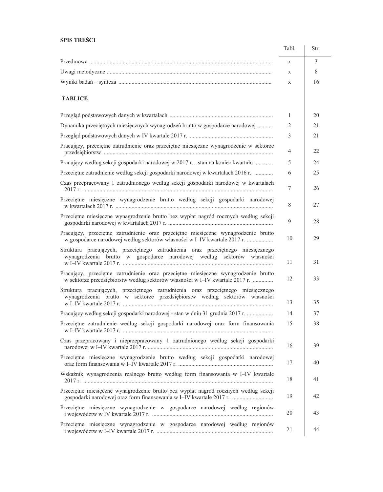### **SPIS TREŚCI**

|                                                                                                                                                                    | Tabl.        | Str. |
|--------------------------------------------------------------------------------------------------------------------------------------------------------------------|--------------|------|
|                                                                                                                                                                    | $\mathbf{X}$ | 3    |
|                                                                                                                                                                    | $\mathbf{X}$ | 8    |
|                                                                                                                                                                    | X            | 16   |
| <b>TABLICE</b>                                                                                                                                                     |              |      |
|                                                                                                                                                                    | 1            | 20   |
| Dynamika przeciętnych miesięcznych wynagrodzeń brutto w gospodarce narodowej                                                                                       | 2            | 21   |
|                                                                                                                                                                    | 3            | 21   |
| Pracujący, przeciętne zatrudnienie oraz przeciętne miesięczne wynagrodzenie w sektorze                                                                             | 4            | 22   |
| Pracujący według sekcji gospodarki narodowej w 2017 r. - stan na koniec kwartału                                                                                   | 5            | 24   |
| Przeciętne zatrudnienie według sekcji gospodarki narodowej w kwartałach 2016 r.                                                                                    | 6            | 25   |
| Czas przepracowany 1 zatrudnionego według sekcji gospodarki narodowej w kwartałach                                                                                 | $\tau$       | 26   |
| Przeciętne miesięczne wynagrodzenie brutto według sekcji gospodarki narodowej                                                                                      | 8            | 27   |
| Przeciętne miesięczne wynagrodzenie brutto bez wypłat nagród rocznych według sekcji                                                                                | 9            | 28   |
| Pracujący, przeciętne zatrudnienie oraz przeciętne miesięczne wynagrodzenie brutto<br>w gospodarce narodowej według sektorów własności w I-IV kwartale 2017 r.     | 10           | 29   |
| Struktura pracujących, przeciętnego zatrudnienia oraz przeciętnego miesięcznego<br>wynagrodzenia brutto w gospodarce narodowej według sektorów własności           | 11           | 31   |
| Pracujący, przeciętne zatrudnienie oraz przeciętne miesięczne wynagrodzenie brutto<br>w sektorze przedsiębiorstw według sektorów własności w I-IV kwartale 2017 r. | 12           | 33   |
| Struktura pracujących, przeciętnego zatrudnienia oraz przeciętnego miesięcznego<br>wynagrodzenia brutto w sektorze przedsiębiorstw według sektorów własności       | 13           | 35   |
|                                                                                                                                                                    |              |      |
| Pracujący według sekcji gospodarki narodowej - stan w dniu 31 grudnia 2017 r.                                                                                      | 14           | 37   |
| Przeciętne zatrudnienie według sekcji gospodarki narodowej oraz form finansowania                                                                                  | 15           | 38   |
| Czas przepracowany i nieprzepracowany 1 zatrudnionego według sekcji gospodarki                                                                                     | 16           | 39   |
| Przeciętne miesięczne wynagrodzenie brutto według sekcji gospodarki narodowej                                                                                      | 17           | 40   |
| Wskaźnik wynagrodzenia realnego brutto według form finansowania w I-IV kwartale                                                                                    | 18           | 41   |
| Przeciętne miesięczne wynagrodzenie brutto bez wypłat nagród rocznych według sekcji<br>gospodarki narodowej oraz form finansowania w I-IV kwartale 2017 r.         | 19           | 42   |
| Przeciętne miesięczne wynagrodzenie w gospodarce narodowej według regionów                                                                                         | 20           | 43   |
| Przeciętne miesięczne wynagrodzenie w gospodarce narodowej według regionów                                                                                         | 21           | 44   |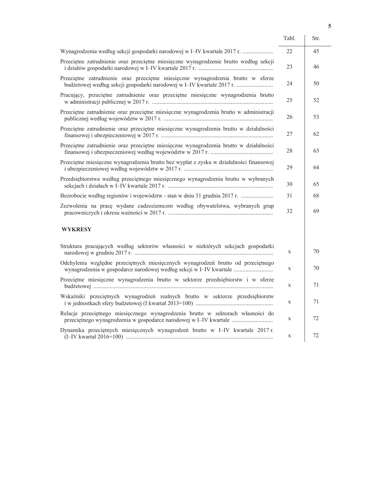|                                                                                                                                                           | Tabl. | Str. |
|-----------------------------------------------------------------------------------------------------------------------------------------------------------|-------|------|
| Wynagrodzenia według sekcji gospodarki narodowej w I-IV kwartale 2017 r.                                                                                  | 22    | 45   |
| Przeciętne zatrudnienie oraz przeciętne miesięczne wynagrodzenie brutto według sekcji                                                                     | 23    | 46   |
| Przeciętne zatrudnienie oraz przeciętne miesięczne wynagrodzenia brutto w sferze<br>budżetowej według sekcji gospodarki narodowej w I-IV kwartale 2017 r. | 24    | 50   |
| Pracujący, przeciętne zatrudnienie oraz przeciętne miesięczne wynagrodzenia brutto                                                                        | 25    | 52   |
| Przeciętne zatrudnienie oraz przeciętne miesięczne wynagrodzenia brutto w administracji                                                                   | 26    | 53   |
| Przeciętne zatrudnienie oraz przeciętne miesięczne wynagrodzenia brutto w działalności                                                                    | 27    | 62   |
| Przeciętne zatrudnienie oraz przeciętne miesięczne wynagrodzenia brutto w działalności                                                                    | 28    | 63   |
| Przeciętne miesięczne wynagrodzenia brutto bez wypłat z zysku w działalności finansowej                                                                   | 29    | 64   |
| Przedsiębiorstwa według przeciętnego miesięcznego wynagrodzenia brutto w wybranych                                                                        | 30    | 65   |
| Bezrobocie według regionów i województw - stan w dniu 31 grudnia 2017 r.                                                                                  | 31    | 68   |
| Zezwolenia na pracę wydane cudzoziemcom według obywatelstwa, wybranych grup                                                                               | 32    | 69   |
| <b>WYKRESY</b>                                                                                                                                            |       |      |
| Struktura pracujących według sektorów własności w niektórych sekcjach gospodarki                                                                          | X     | 70   |
| Odchylenia względne przeciętnych miesięcznych wynagrodzeń brutto od przeciętnego<br>wynagrodzenia w gospodarce narodowej według sekcji w I-IV kwartale    | X     | 70   |
| Przeciętne miesięczne wynagrodzenia brutto w sektorze przedsiębiorstw i w sferze                                                                          | X     | 71   |
| Wskaźniki przeciętnych wynagrodzeń realnych brutto w sektorze przedsiębiorstw                                                                             | X     | 71   |
| Relacje przeciętnego miesięcznego wynagrodzenia brutto w sektorach własności do<br>przeciętnego wynagrodzenia w gospodarce narodowej w I-IV kwartale      | X     | 72   |
| Dynamika przeciętnych miesięcznych wynagrodzeń brutto w I-IV kwartale 2017 r.                                                                             | X     | 72   |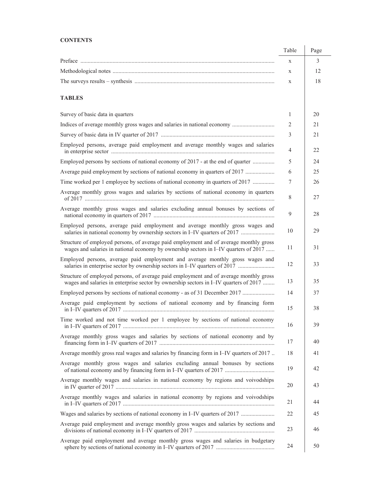### **CONTENTS**

|                                                                                                                                                                                 | Table | Page |
|---------------------------------------------------------------------------------------------------------------------------------------------------------------------------------|-------|------|
|                                                                                                                                                                                 | X     | 3    |
|                                                                                                                                                                                 | X     | 12   |
|                                                                                                                                                                                 | X     | 18   |
| <b>TABLES</b>                                                                                                                                                                   |       |      |
| Survey of basic data in quarters                                                                                                                                                | 1     | 20   |
| Indices of average monthly gross wages and salaries in national economy                                                                                                         | 2     | 21   |
|                                                                                                                                                                                 | 3     | 21   |
| Employed persons, average paid employment and average monthly wages and salaries                                                                                                | 4     | 22   |
| Employed persons by sections of national economy of 2017 - at the end of quarter                                                                                                | 5     | 24   |
| Average paid employment by sections of national economy in quarters of 2017                                                                                                     | 6     | 25   |
| Time worked per 1 employee by sections of national economy in quarters of 2017                                                                                                  | 7     | 26   |
| Average monthly gross wages and salaries by sections of national economy in quarters                                                                                            | 8     | 27   |
| Average monthly gross wages and salaries excluding annual bonuses by sections of                                                                                                | 9     | 28   |
| Employed persons, average paid employment and average monthly gross wages and<br>salaries in national economy by ownership sectors in I-IV quarters of 2017                     | 10    | 29   |
| Structure of employed persons, of average paid employment and of average monthly gross<br>wages and salaries in national economy by ownership sectors in I-IV quarters of 2017  | 11    | 31   |
| Employed persons, average paid employment and average monthly gross wages and<br>salaries in enterprise sector by ownership sectors in I-IV quarters of 2017                    | 12    | 33   |
| Structure of employed persons, of average paid employment and of average monthly gross<br>wages and salaries in enterprise sector by ownership sectors in I-IV quarters of 2017 | 13    | 35   |
| Employed persons by sections of national economy - as of 31 December 2017                                                                                                       | 14    | 37   |
| Average paid employment by sections of national economy and by financing form                                                                                                   | 15    | 38   |
| Time worked and not time worked per 1 employee by sections of national economy                                                                                                  | 16    | 39   |
| Average monthly gross wages and salaries by sections of national economy and by                                                                                                 | 17    | 40   |
| Average monthly gross real wages and salaries by financing form in I-IV quarters of 2017.                                                                                       | 18    | 41   |
| Average monthly gross wages and salaries excluding annual bonuses by sections<br>of national economy and by financing form in I-IV quarters of 2017                             | 19    | 42   |
| Average monthly wages and salaries in national economy by regions and voivodships                                                                                               | 20    | 43   |
| Average monthly wages and salaries in national economy by regions and voivodships                                                                                               | 21    | 44   |
| Wages and salaries by sections of national economy in I-IV quarters of 2017                                                                                                     | 22    | 45   |
| Average paid employment and average monthly gross wages and salaries by sections and                                                                                            | 23    | 46   |
| Average paid employment and average monthly gross wages and salaries in budgetary                                                                                               | 24    | 50   |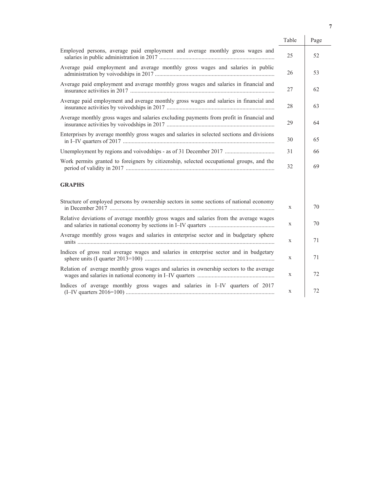|                                                                                            | Table | Page |
|--------------------------------------------------------------------------------------------|-------|------|
| Employed persons, average paid employment and average monthly gross wages and              | 25    | 52   |
| Average paid employment and average monthly gross wages and salaries in public             | 26    | 53   |
| Average paid employment and average monthly gross wages and salaries in financial and      | 27    | 62   |
| Average paid employment and average monthly gross wages and salaries in financial and      | 28    | 63   |
| Average monthly gross wages and salaries excluding payments from profit in financial and   | 29    | 64   |
| Enterprises by average monthly gross wages and salaries in selected sections and divisions | 30    | 65   |
| Unemployment by regions and voivodships - as of 31 December 2017                           | 31    | 66   |
| Work permits granted to foreigners by citizenship, selected occupational groups, and the   | 32    | 69   |
| <b>GRAPHS</b>                                                                              |       |      |
| Structure of employed persons by ownership sectors in some sections of national economy    | X     | 70   |
| Relative deviations of average monthly gross wages and salaries from the average wages     | X     | 70   |
| Average monthly gross wages and salaries in enterprise sector and in budgetary sphere      | X     | 71   |
| Indices of gross real average wages and salaries in enterprise sector and in budgetary     | X     | 71   |
| Relation of average monthly gross wages and salaries in ownership sectors to the average   | X     | 72   |
| Indices of average monthly gross wages and salaries in I-IV quarters of 2017               | X     | 72   |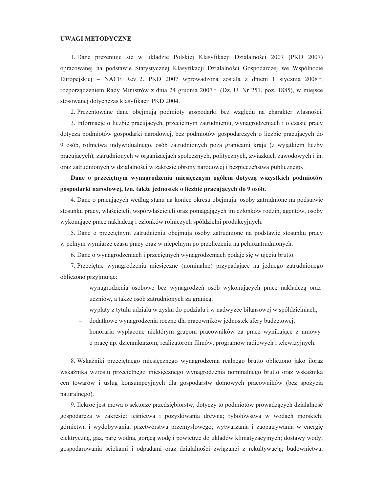#### **UWAGI METODYCZNE**

1. Dane prezentuje się w układzie Polskiej Klasyfikacji Działalności 2007 (PKD 2007) opracowanej na podstawie Statystycznej Klasyfikacji Działalności Gospodarczej we Wspólnocie Europejskiej – NACE Rev. 2. PKD 2007 wprowadzona została z dniem 1 stycznia 2008 r. rozporządzeniem Rady Ministrów z dnia 24 grudnia 2007 r. (Dz. U. Nr 251, poz. 1885), w miejsce stosowanej dotychczas klasyfikacji PKD 2004.

2. Prezentowane dane obejmują podmioty gospodarki bez względu na charakter własności.

3. Informacje o liczbie pracujących, przecietnym zatrudnieniu, wynagrodzeniach i o czasie pracy dotyczą podmiotów gospodarki narodowej, bez podmiotów gospodarczych o liczbie pracujących do 9 osób, rolnictwa indywidualnego, osób zatrudnionych poza granicami kraju (z wyjątkiem liczby pracujących), zatrudnionych w organizacjach społecznych, politycznych, związkach zawodowych i in. oraz zatrudnionych w działalności w zakresie obrony narodowej i bezpieczeństwa publicznego.

Dane o przeciętnym wynagrodzeniu miesięcznym ogółem dotyczą wszystkich podmiotów gospodarki narodowej, tzn. także jednostek o liczbie pracujących do 9 osób.

4. Dane o pracujących według stanu na koniec okresu obejmują: osoby zatrudnione na podstawie stosunku pracy, właścicieli, współwłaścicieli oraz pomagających im członków rodzin, agentów, osoby wykonujące pracę nakładczą i członków rolniczych spółdzielni produkcyjnych.

5. Dane o przeciętnym zatrudnieniu obejmują osoby zatrudnione na podstawie stosunku pracy w pełnym wymiarze czasu pracy oraz w niepełnym po przeliczeniu na pełnozatrudnionych.

6. Dane o wynagrodzeniach i przeciętnych wynagrodzeniach podaje się w ujęciu brutto.

7. Przeciętne wynagrodzenia miesięczne (nominalne) przypadające na jednego zatrudnionego obliczono przyjmując:

- wynagrodzenia osobowe bez wynagrodzeń osób wykonujących pracę nakładczą oraz uczniów, a także osób zatrudnionych za granicą,
- wypłaty z tytułu udziału w zysku do podziału i w nadwyżce bilansowej w spółdzielniach,
- dodatkowe wynagrodzenia roczne dla pracowników jednostek sfery budżetowej,
- honoraria wypłacone niektórym grupom pracowników za prace wynikające z umowy o prace np. dziennikarzom, realizatorom filmów, programów radiowych i telewizyjnych.

8. Wskaźniki przeciętnego miesięcznego wynagrodzenia realnego brutto obliczono jako iloraz wskaźnika wzrostu przeciętnego miesięcznego wynagrodzenia nominalnego brutto oraz wskaźnika cen towarów i usług konsumpcyjnych dla gospodarstw domowych pracowników (bez spożycia naturalnego).

9. Ilekroć jest mowa o sektorze przedsiębiorstw, dotyczy to podmiotów prowadzących działalność gospodarczą w zakresie: leśnictwa i pozyskiwania drewna; rybołówstwa w wodach morskich; górnictwa i wydobywania; przetwórstwa przemysłowego; wytwarzania i zaopatrywania w energię elektryczną, gaz, parę wodną, gorącą wodę i powietrze do układów klimatyzacyjnych; dostawy wody; gospodarowania ściekami i odpadami oraz działalności związanej z rekultywacją; budownictwa;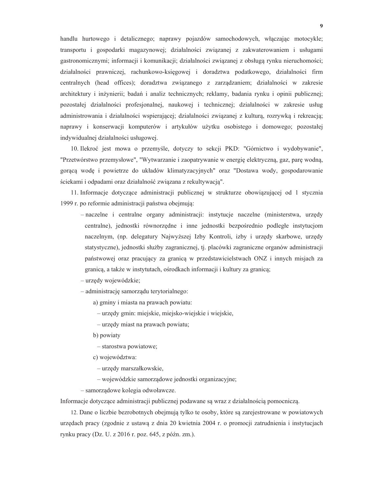handlu hurtowego i detalicznego; naprawy pojazdów samochodowych, włączając motocykle; transportu i gospodarki magazynowej; działalności związanej z zakwaterowaniem i usługami gastronomicznymi; informacji i komunikacji; działalności zwiazanej z obsługa rynku nieruchomości; działalności prawniczej, rachunkowo-księgowej i doradztwa podatkowego, działalności firm centralnych (head offices); doradztwa związanego z zarządzaniem; działalności w zakresie architektury i inżynierii; badań i analiz technicznych; reklamy, badania rynku i opinii publicznej; pozostałej działalności profesjonalnej, naukowej i technicznej; działalności w zakresie usług administrowania i działalności wspierającej; działalności związanej z kulturą, rozrywką i rekreacją; naprawy i konserwacji komputerów i artykułów użytku osobistego i domowego; pozostałej indywidualnej działalności usługowej.

10. Ilekroć jest mowa o przemyśle, dotyczy to sekcji PKD: "Górnictwo i wydobywanie", "Przetwórstwo przemysłowe", "Wytwarzanie i zaopatrywanie w energię elektryczną, gaz, parę wodną, gorącą wodę i powietrze do układów klimatyzacyjnych" oraz "Dostawa wody, gospodarowanie ściekami i odpadami oraz działalność związana z rekultywacją".

11. Informacje dotyczące administracji publicznej w strukturze obowiązującej od 1 stycznia 1999 r. po reformie administracji państwa obejmują:

- naczelne i centralne organy administracji: instytucje naczelne (ministerstwa, urzędy centralne), jednostki równorzędne i inne jednostki bezpośrednio podległe instytucjom naczelnym, (np. delegatury Najwyższej Izby Kontroli, izby i urzędy skarbowe, urzędy statystyczne), jednostki służby zagranicznej, tj. placówki zagraniczne organów administracji państwowej oraz pracujący za granicą w przedstawicielstwach ONZ i innych misjach za granicą, a także w instytutach, ośrodkach informacji i kultury za granicą;

- urzędy wojewódzkie;

- administrację samorządu terytorialnego:

a) gminy i miasta na prawach powiatu:

- urzędy gmin: miejskie, miejsko-wiejskie i wiejskie,

- urzędy miast na prawach powiatu;

b) powiaty

- starostwa powiatowe;

c) województwa:

- urzędy marszałkowskie,

- wojewódzkie samorządowe jednostki organizacyjne;

- samorządowe kolegia odwoławcze.

Informacje dotyczące administracji publicznej podawane są wraz z działalnością pomocniczą.

12. Dane o liczbie bezrobotnych obejmują tylko te osoby, które są zarejestrowane w powiatowych urzędach pracy (zgodnie z ustawą z dnia 20 kwietnia 2004 r. o promocji zatrudnienia i instytucjach rynku pracy (Dz. U. z 2016 r. poz. 645, z późn. zm.).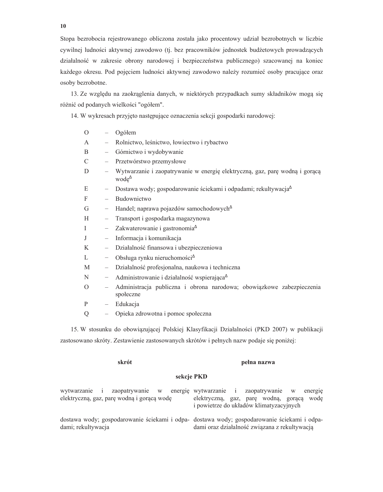Stopa bezrobocia rejestrowanego obliczona została jako procentowy udział bezrobotnych w liczbie cywilnej ludności aktywnej zawodowo (tj. bez pracowników jednostek budżetowych prowadzących działalność w zakresie obrony narodowej i bezpieczeństwa publicznego) szacowanej na koniec każdego okresu. Pod pojęciem ludności aktywnej zawodowo należy rozumieć osoby pracujące oraz osoby bezrobotne.

13. Ze względu na zaokrąglenia danych, w niektórych przypadkach sumy składników mogą się różnić od podanych wielkości "ogółem".

14. W wykresach przyjęto następujące oznaczenia sekcji gospodarki narodowej:

| $\Omega$ |                          | Ogółem                                                                                                                                                                                                                                                                                           |
|----------|--------------------------|--------------------------------------------------------------------------------------------------------------------------------------------------------------------------------------------------------------------------------------------------------------------------------------------------|
| A        |                          | Rolnictwo, leśnictwo, łowiectwo i rybactwo                                                                                                                                                                                                                                                       |
| B        | $\overline{\phantom{0}}$ | Górnictwo i wydobywanie                                                                                                                                                                                                                                                                          |
| C        |                          | Przetwórstwo przemysłowe                                                                                                                                                                                                                                                                         |
| D        |                          | Wytwarzanie i zaopatrywanie w energię elektryczną, gaz, parę wodną i gorącą<br>$\text{wode}^{\Delta}$                                                                                                                                                                                            |
| E        | -                        | Dostawa wody; gospodarowanie ściekami i odpadami; rekultywacja <sup>4</sup>                                                                                                                                                                                                                      |
| F        |                          | Budownictwo                                                                                                                                                                                                                                                                                      |
| G        | $\overline{\phantom{0}}$ | Handel; naprawa pojazdów samochodowych <sup><math>\triangle</math></sup>                                                                                                                                                                                                                         |
| H        | $\overline{\phantom{0}}$ | Transport i gospodarka magazynowa                                                                                                                                                                                                                                                                |
| T        | $\overline{\phantom{0}}$ | Zakwaterowanie i gastronomia <sup><math>\triangle</math></sup>                                                                                                                                                                                                                                   |
| J        |                          | Informacja i komunikacja                                                                                                                                                                                                                                                                         |
| K        | $\overline{\phantom{0}}$ | Działalność finansowa i ubezpieczeniowa                                                                                                                                                                                                                                                          |
| L        | $\overline{\phantom{0}}$ | Obsługa rynku nieruchomości <sup><math>\Delta</math></sup>                                                                                                                                                                                                                                       |
| M        |                          | Działalność profesjonalna, naukowa i techniczna                                                                                                                                                                                                                                                  |
| N        | $\overline{\phantom{0}}$ | Administrowanie i działalność wspierająca <sup><math>\triangle</math></sup>                                                                                                                                                                                                                      |
| $\Omega$ |                          | Administracja publiczna i obrona narodowa; obowiązkowe zabezpieczenia<br>społeczne                                                                                                                                                                                                               |
| P        | $\overline{\phantom{0}}$ | Edukacja                                                                                                                                                                                                                                                                                         |
| Q        |                          | Opieka zdrowotna i pomoc społeczna                                                                                                                                                                                                                                                               |
|          |                          | $\mathbf{A}$ and $\mathbf{A}$ and $\mathbf{A}$ and $\mathbf{A}$ and $\mathbf{A}$ and $\mathbf{A}$ and $\mathbf{A}$ and $\mathbf{A}$ and $\mathbf{A}$ and $\mathbf{A}$ and $\mathbf{A}$ and $\mathbf{A}$ and $\mathbf{A}$ and $\mathbf{A}$ and $\mathbf{A}$ and $\mathbf{A}$ and $\mathbf{A}$ and |

15. W stosunku do obowiązującej Polskiej Klasyfikacji Działalności (PKD 2007) w publikacji zastosowano skróty. Zestawienie zastosowanych skrótów i pełnych nazw podaje się poniżej:

#### skrót

### pełna nazwa

### sekcje PKD

|                                            | wytwarzanie i zaopatrywanie w energie wytwarzanie i zaopatrywanie w energie                                                                  |
|--------------------------------------------|----------------------------------------------------------------------------------------------------------------------------------------------|
| elektryczną, gaz, parę wodną i gorącą wodę | elektryczną, gaz, parę wodną, gorącą wodę                                                                                                    |
|                                            | i powietrze do układów klimatyzacyjnych                                                                                                      |
| dami; rekultywacja                         | dostawa wody; gospodarowanie ściekami i odpa- dostawa wody; gospodarowanie ściekami i odpa-<br>dami oraz działalność związana z rekultywacją |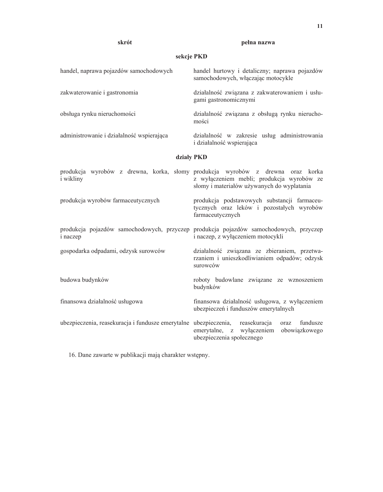### skrót

| sekcje PKD                                                       |                                                                                                                                                                           |  |  |  |  |  |
|------------------------------------------------------------------|---------------------------------------------------------------------------------------------------------------------------------------------------------------------------|--|--|--|--|--|
| handel, naprawa pojazdów samochodowych                           | handel hurtowy i detaliczny; naprawa pojazdów<br>samochodowych, włączając motocykle                                                                                       |  |  |  |  |  |
| zakwaterowanie i gastronomia                                     | działalność związana z zakwaterowaniem i usłu-<br>gami gastronomicznymi                                                                                                   |  |  |  |  |  |
| obsługa rynku nieruchomości                                      | działalność związana z obsługą rynku nierucho-<br>mości                                                                                                                   |  |  |  |  |  |
| administrowanie i działalność wspierająca                        | działalność w zakresie usług administrowania<br>i działalność wspierająca                                                                                                 |  |  |  |  |  |
| działy PKD                                                       |                                                                                                                                                                           |  |  |  |  |  |
| i wikliny                                                        | produkcja wyrobów z drewna, korka, słomy produkcja wyrobów z drewna oraz korka<br>z wyłączeniem mebli; produkcja wyrobów ze<br>słomy i materiałów używanych do wyplatania |  |  |  |  |  |
| produkcja wyrobów farmaceutycznych                               | produkcja podstawowych substancji farmaceu-<br>tycznych oraz leków i pozostałych wyrobów<br>farmaceutycznych                                                              |  |  |  |  |  |
| <i>i</i> naczep                                                  | produkcja pojazdów samochodowych, przyczep produkcja pojazdów samochodowych, przyczep<br>i naczep, z wyłączeniem motocykli                                                |  |  |  |  |  |
| gospodarka odpadami, odzysk surowców                             | działalność związana ze zbieraniem, przetwa-<br>rzaniem i unieszkodliwianiem odpadów; odzysk<br>surowców                                                                  |  |  |  |  |  |
| budowa budynków                                                  | roboty budowlane związane ze wznoszeniem<br>budynków                                                                                                                      |  |  |  |  |  |
| finansowa działalność usługowa                                   | finansowa działalność usługowa, z wyłączeniem<br>ubezpieczeń i funduszów emerytalnych                                                                                     |  |  |  |  |  |
| ubezpieczenia, reasekuracja i fundusze emerytalne ubezpieczenia, | reasekuracja<br>fundusze<br>oraz<br>wyłączeniem<br>emerytalne, z<br>obowiązkowego                                                                                         |  |  |  |  |  |

ubezpieczenia społecznego

16. Dane zawarte w publikacji mają charakter wstępny.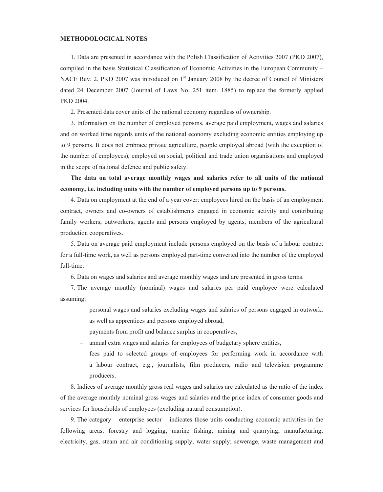### **METHODOLOGICAL NOTES**

1. Data are presented in accordance with the Polish Classification of Activities 2007 (PKD 2007), compiled in the basis Statistical Classification of Economic Activities in the European Community – NACE Rev. 2. PKD 2007 was introduced on 1<sup>st</sup> January 2008 by the decree of Council of Ministers dated 24 December 2007 (Journal of Laws No. 251 item. 1885) to replace the formerly applied PKD 2004.

2. Presented data cover units of the national economy regardless of ownership.

3. Information on the number of employed persons, average paid employment, wages and salaries and on worked time regards units of the national economy excluding economic entities employing up to 9 persons. It does not embrace private agriculture, people employed abroad (with the exception of the number of employees), employed on social, political and trade union organisations and employed in the scope of national defence and public safety.

The data on total average monthly wages and salaries refer to all units of the national economy, i.e. including units with the number of employed persons up to 9 persons.

4. Data on employment at the end of a year cover: employees hired on the basis of an employment contract, owners and co-owners of establishments engaged in economic activity and contributing family workers, outworkers, agents and persons employed by agents, members of the agricultural production cooperatives.

5. Data on average paid employment include persons employed on the basis of a labour contract for a full-time work, as well as persons employed part-time converted into the number of the employed full-time.

6. Data on wages and salaries and average monthly wages and are presented in gross terms.

7. The average monthly (nominal) wages and salaries per paid employee were calculated assuming:

- personal wages and salaries excluding wages and salaries of persons engaged in outwork, as well as apprentices and persons employed abroad,
- payments from profit and balance surplus in cooperatives,
- annual extra wages and salaries for employees of budgetary sphere entities,
- fees paid to selected groups of employees for performing work in accordance with a labour contract, e.g., journalists, film producers, radio and television programme producers.

8. Indices of average monthly gross real wages and salaries are calculated as the ratio of the index of the average monthly nominal gross wages and salaries and the price index of consumer goods and services for households of employees (excluding natural consumption).

9. The category – enterprise sector – indicates those units conducting economic activities in the following areas: forestry and logging; marine fishing; mining and quarrying; manufacturing; electricity, gas, steam and air conditioning supply; water supply; sewerage, waste management and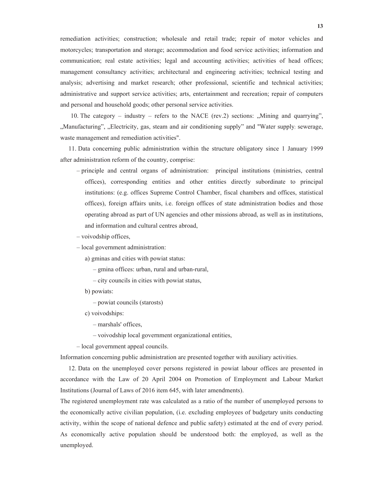remediation activities; construction; wholesale and retail trade; repair of motor vehicles and motorcycles; transportation and storage; accommodation and food service activities; information and communication; real estate activities; legal and accounting activities; activities of head offices; management consultancy activities; architectural and engineering activities; technical testing and analysis; advertising and market research; other professional, scientific and technical activities; administrative and support service activities; arts, entertainment and recreation; repair of computers and personal and household goods; other personal service activities.

10. The category – industry – refers to the NACE (rev.2) sections: "Mining and quarrying", "Manufacturing", "Electricity, gas, steam and air conditioning supply" and "Water supply; sewerage, waste management and remediation activities".

11. Data concerning public administration within the structure obligatory since 1 January 1999 after administration reform of the country, comprise:

- principle and central organs of administration: principal institutions (ministries, central offices), corresponding entities and other entities directly subordinate to principal institutions: (e.g. offices Supreme Control Chamber, fiscal chambers and offices, statistical offices), foreign affairs units, i.e. foreign offices of state administration bodies and those operating abroad as part of UN agencies and other missions abroad, as well as in institutions, and information and cultural centres abroad.
- voivodship offices,
- local government administration:
	- a) gminas and cities with powiat status:
		- gmina offices: urban, rural and urban-rural,
		- city councils in cities with powiat status,
	- b) powiats:
		- powiat councils (starosts)
	- c) voivodships:
		- marshals' offices,
		- voivodship local government organizational entities,
- local government appeal councils.

Information concerning public administration are presented together with auxiliary activities.

12. Data on the unemployed cover persons registered in powiat labour offices are presented in accordance with the Law of 20 April 2004 on Promotion of Employment and Labour Market Institutions (Journal of Laws of 2016 item 645, with later amendments).

The registered unemployment rate was calculated as a ratio of the number of unemployed persons to the economically active civilian population, (i.e. excluding employees of budgetary units conducting activity, within the scope of national defence and public safety) estimated at the end of every period. As economically active population should be understood both: the employed, as well as the unemployed.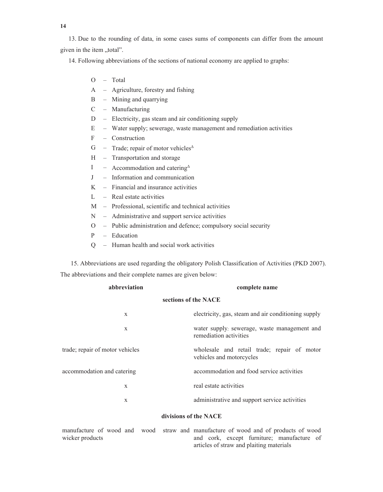14

13. Due to the rounding of data, in some cases sums of components can differ from the amount given in the item "total".

14. Following abbreviations of the sections of national economy are applied to graphs:

- O Total
- A Agriculture, forestry and fishing
- $B -$  Mining and quarrying
- $C -$  Manufacturing
- Electricity, gas steam and air conditioning supply D
- $E$ - Water supply; sewerage, waste management and remediation activities
- $\mathbf F$ - Construction
- $G$ - Trade; repair of motor vehicles<sup> $\triangle$ </sup>
- Transportation and storage  $H$
- $\mathbf{I}$ - Accommodation and catering<sup> $\triangle$ </sup>
- $J$ - Information and communication
- $\mathbf{K}$  $-$  Financial and insurance activities
- L - Real estate activities

- M Professional, scientific and technical activities
- Administrative and support service activities N
- Public administration and defence; compulsory social security  $\Omega$
- $\mathbf{P}$ - Education
- Q Human health and social work activities

15. Abbreviations are used regarding the obligatory Polish Classification of Activities (PKD 2007). The abbreviations and their complete names are given below:

| abbreviation<br>complete name   |                                                                         |  |  |  |  |
|---------------------------------|-------------------------------------------------------------------------|--|--|--|--|
|                                 | sections of the NACE                                                    |  |  |  |  |
| X                               | electricity, gas, steam and air conditioning supply                     |  |  |  |  |
| X                               | water supply; sewerage, waste management and<br>remediation activities  |  |  |  |  |
| trade; repair of motor vehicles | wholesale and retail trade; repair of motor<br>vehicles and motorcycles |  |  |  |  |
| accommodation and catering      | accommodation and food service activities                               |  |  |  |  |
| X                               | real estate activities                                                  |  |  |  |  |
| X                               | administrative and support service activities                           |  |  |  |  |
|                                 |                                                                         |  |  |  |  |

### divisions of the NACE

| manufacture of wood and wood straw and manufacture of wood and of products of wood |  |  |                                          |  |  |  |  |                                            |  |  |
|------------------------------------------------------------------------------------|--|--|------------------------------------------|--|--|--|--|--------------------------------------------|--|--|
| wicker products                                                                    |  |  |                                          |  |  |  |  | and cork, except furniture; manufacture of |  |  |
|                                                                                    |  |  | articles of straw and plaiting materials |  |  |  |  |                                            |  |  |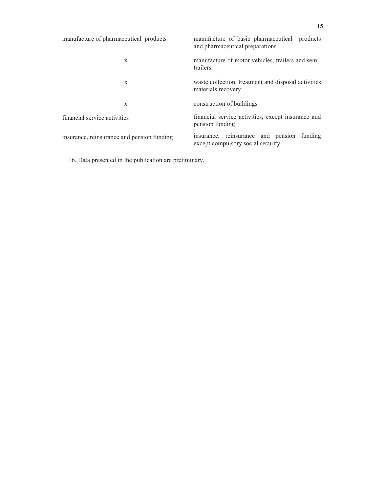| manufacture of pharmaceutical products     | manufacture of basic pharmaceutical products<br>and pharmaceutical preparations |  |  |  |
|--------------------------------------------|---------------------------------------------------------------------------------|--|--|--|
| X                                          | manufacture of motor vehicles, trailers and semi-<br>trailers                   |  |  |  |
| X                                          | waste collection, treatment and disposal activities<br>materials recovery       |  |  |  |
| X                                          | construction of buildings                                                       |  |  |  |
| financial service activities               | financial service activities, except insurance and<br>pension funding           |  |  |  |
| insurance, reinsurance and pension funding | insurance, reinsurance and pension funding<br>except compulsory social security |  |  |  |

16. Data presented in the publication are preliminary.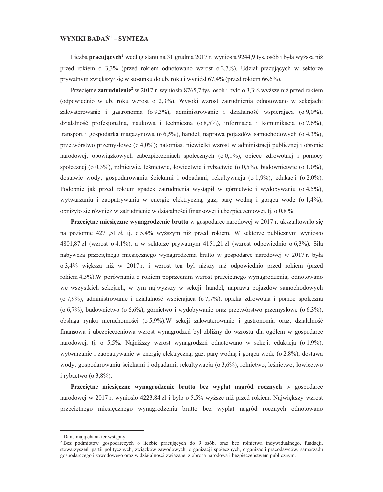### WYNIKI BADAŃ<sup>1</sup> – SYNTEZA

Liczba pracujących<sup>2</sup> według stanu na 31 grudnia 2017 r. wyniosła 9244,9 tys. osób i była wyższa niż przed rokiem o 3,3% (przed rokiem odnotowano wzrost o 2,7%). Udział pracujących w sektorze prywatnym zwiększył się w stosunku do ub. roku i wyniósł 67,4% (przed rokiem 66,6%).

Przeciętne zatrudnienie<sup>2</sup> w 2017 r. wyniosło 8765,7 tys. osób i było o 3,3% wyższe niż przed rokiem (odpowiednio w ub. roku wzrost o 2,3%). Wysoki wzrost zatrudnienia odnotowano w sekcjach: zakwaterowanie i gastronomia (o 9,3%), administrowanie i działalność wspierająca (o 9,0%), działalność profesjonalna, naukowa i techniczna ( $\alpha$ 8,5%), informacja i komunikacja ( $\alpha$ 7,6%), transport i gospodarka magazynowa ( $\sigma$  6,5%), handel; naprawa pojazdów samochodowych ( $\sigma$  4,3%), przetwórstwo przemysłowe (o 4,0%); natomiast niewielki wzrost w administracji publicznej i obronie narodowej; obowiązkowych zabezpieczeniach społecznych (o  $0,1\%$ ), opiece zdrowotnej i pomocy społecznej (o 0.3%), rolnictwie, leśnictwie, łowiectwie i rybactwie (o 0.5%), budownictwie (o 1.0%), dostawie wody; gospodarowaniu ściekami i odpadami; rekultywacja (o 1,9%), edukacji (o 2,0%). Podobnie jak przed rokiem spadek zatrudnienia wystąpił w górnictwie i wydobywaniu (o 4,5%), wytwarzaniu i zaopatrywaniu w energie elektryczna, gaz, parę wodną i gorącą wodę (o 1,4%); obniżyło się również w zatrudnienie w działalności finansowej i ubezpieczeniowej, tj. o 0,8 %.

Przeciętne miesięczne wynagrodzenie brutto w gospodarce narodowej w 2017 r. ukształtowało się na poziomie 4271,51 zł, tj. o 5,4% wyższym niż przed rokiem. W sektorze publicznym wyniosło 4801,87 zł (wzrost o 4,1%), a w sektorze prywatnym 4151,21 zł (wzrost odpowiednio o 6,3%). Siła nabywcza przeciętnego miesięcznego wynagrodzenia brutto w gospodarce narodowej w 2017 r. była o 3,4% większa niż w 2017 r. i wzrost ten był niższy niż odpowiednio przed rokiem (przed rokiem 4,3%). W porównaniu z rokiem poprzednim wzrost przeciętnego wynagrodzenia; odnotowano we wszystkich sekcjach, w tym najwyższy w sekcji: handel; naprawa pojazdów samochodowych (o 7,9%), administrowanie i działalność wspierająca (o 7,7%), opieka zdrowotna i pomoc społeczna  $(0.6,7%)$ , budownictwo  $(0.6,6%)$ , górnictwo i wydobywanie oraz przetwórstwo przemysłowe  $(0.6,3%)$ , obsługa rynku nieruchomości (o 5,9%). W sekcji zakwaterowanie i gastronomia oraz, działalność finansowa i ubezpieczeniowa wzrost wynagrodzeń był zbliżny do wzrostu dla ogółem w gospodarce narodowej, tj. o 5,5%. Najniższy wzrost wynagrodzeń odnotowano w sekcji: edukacja (o 1,9%), wytwarzanie i zaopatrywanie w energię elektryczną, gaz, parę wodną i gorącą wodę (o 2,8%), dostawa wody; gospodarowaniu ściekami i odpadami; rekultywacja (o 3,6%), rolnictwo, leśnictwo, łowiectwo i rybactwo (o  $3,8\%$ ).

Przeciętne miesięczne wynagrodzenie brutto bez wypłat nagród rocznych w gospodarce narodowej w 2017 r. wyniosło 4223,84 zł i było o 5,5% wyższe niż przed rokiem. Największy wzrost przeciętnego miesięcznego wynagrodzenia brutto bez wypłat nagród rocznych odnotowano

<sup>&</sup>lt;sup>1</sup> Dane mają charakter wstępny.

<sup>&</sup>lt;sup>2</sup> Bez podmiotów gospodarczych o liczbie pracujących do 9 osób, oraz bez rolnictwa indywidualnego, fundacji, stowarzyszeń, partii politycznych, związków zawodowych, organizacji społecznych, organizacji pracodawców, samorządu gospodarczego i zawodowego oraz w działalności związanej z obroną narodową i bezpieczeństwem publicznym.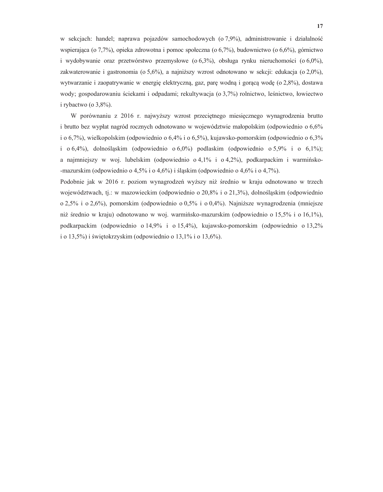w sekcjach: handel; naprawa pojazdów samochodowych (o 7,9%), administrowanie i działalność wspierająca (o 7,7%), opieka zdrowotna i pomoc społeczna (o 6,7%), budownictwo (o 6,6%), górnictwo i wydobywanie oraz przetwórstwo przemysłowe (o  $6,3\%$ ), obsługa rynku nieruchomości (o  $6,0\%$ ), zakwaterowanie i gastronomia (o 5,6%), a najniższy wzrost odnotowano w sekcji: edukacja (o 2,0%), wytwarzanie i zaopatrywanie w energię elektryczną, gaz, parę wodną i gorącą wodę (o 2,8%), dostawa wody; gospodarowaniu ściekami i odpadami; rekultywacja (o 3,7%) rolnictwo, leśnictwo, łowiectwo i rybactwo (o  $3,8\%$ ).

W porównaniu z 2016 r. najwyższy wzrost przeciętnego miesięcznego wynagrodzenia brutto i brutto bez wypłat nagród rocznych odnotowano w województwie małopolskim (odpowiednio o 6,6% i o 6,7%), wielkopolskim (odpowiednio o 6,4% i o 6,5%), kujawsko-pomorskim (odpowiednio o 6,3% i  $0.6,4\%$ ), dolnośląskim (odpowiednio  $0.6,0\%$ ) podlaskim (odpowiednio  $0.5,9\%$  i  $0.6,1\%$ ); a najmniejszy w woj. lubelskim (odpowiednio  $\circ$  4,1% i  $\circ$  4,2%), podkarpackim i warmińsko--mazurskim (odpowiednio o 4,5% i o 4,6%) i śląskim (odpowiednio o 4,6% i o 4,7%).

Podobnie jak w 2016 r. poziom wynagrodzeń wyższy niż średnio w kraju odnotowano w trzech województwach, tj.: w mazowieckim (odpowiednio o 20,8% i o 21,3%), dolnośląskim (odpowiednio o 2,5% i o 2,6%), pomorskim (odpowiednio o 0,5% i o 0,4%). Najniższe wynagrodzenia (mniejsze niż średnio w kraju) odnotowano w woj. warmińsko-mazurskim (odpowiednio o 15,5% i o 16,1%), podkarpackim (odpowiednio o 14,9% i o 15,4%), kujawsko-pomorskim (odpowiednio o 13,2% i o 13,5%) i świętokrzyskim (odpowiednio o 13,1% i o 13,6%).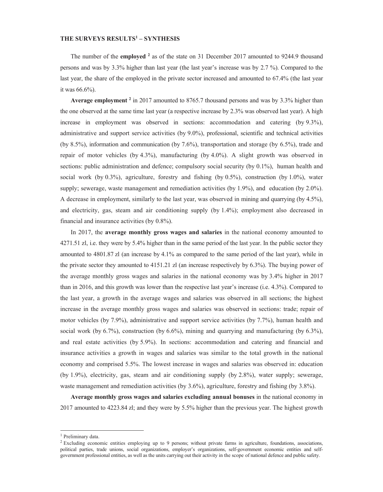### **THE SURVEYS RESULTS<sup>1</sup> – SYNTHESIS**

The number of the **employed**  $^2$  as of the state on 31 December 2017 amounted to 9244.9 thousand persons and was by 3.3% higher than last year (the last year's increase was by 2.7 %). Compared to the last year, the share of the employed in the private sector increased and amounted to 67.4% (the last year it was  $66.6\%$ ).

Average employment<sup>2</sup> in 2017 amounted to 8765.7 thousand persons and was by 3.3% higher than the one observed at the same time last year (a respective increase by  $2.3\%$  was observed last year). A high increase in employment was observed in sections: accommodation and catering (by  $9.3\%$ ), administrative and support service activities (by 9.0%), professional, scientific and technical activities (by 8.5%), information and communication (by 7.6%), transportation and storage (by 6.5%), trade and repair of motor vehicles (by 4.3%), manufacturing (by 4.0%). A slight growth was observed in sections: public administration and defence; compulsory social security (by  $0.1\%$ ), human health and social work (by 0.3%), agriculture, forestry and fishing (by 0.5%), construction (by 1.0%), water supply; sewerage, waste management and remediation activities (by 1.9%), and education (by 2.0%). A decrease in employment, similarly to the last year, was observed in mining and quarrying (by 4.5%), and electricity, gas, steam and air conditioning supply (by  $1.4\%$ ); employment also decreased in financial and insurance activities (by  $0.8\%$ ).

In 2017, the **average monthly gross wages and salaries** in the national economy amounted to  $4271.51$  zl, i.e. they were by  $5.4\%$  higher than in the same period of the last year. In the public sector they amounted to 4801.87 zl (an increase by 4.1% as compared to the same period of the last year), while in the private sector they amounted to 4151.21 zl (an increase respectively by 6.3%). The buying power of the average monthly gross wages and salaries in the national economy was by  $3.4\%$  higher in 2017 than in 2016, and this growth was lower than the respective last year's increase (i.e.  $4.3\%$ ). Compared to the last year, a growth in the average wages and salaries was observed in all sections; the highest increase in the average monthly gross wages and salaries was observed in sections: trade; repair of motor vehicles (by 7.9%), administrative and support service activities (by 7.7%), human health and social work (by 6.7%), construction (by 6.6%), mining and quarrying and manufacturing (by 6.3%), and real estate activities (by  $5.9\%$ ). In sections: accommodation and catering and financial and insurance activities a growth in wages and salaries was similar to the total growth in the national economy and comprised 5.5%. The lowest increase in wages and salaries was observed in: education (by 1.9%), electricity, gas, steam and air conditioning supply (by 2.8%), water supply; sewerage, waste management and remediation activities (by 3.6%), agriculture, forestry and fishing (by 3.8%).

**Average monthly gross wages and salaries excluding annual bonuses** in the national economy in  $2017$  amounted to 4223.84 zl; and they were by 5.5% higher than the previous year. The highest growth

<u> Alexandria de la contrada de la contrada de la contrada de la contrada de la contrada de la contrada de la c</u>

 $<sup>1</sup>$  Preliminary data.</sup>

<sup>&</sup>lt;sup>2</sup> Excluding economic entities employing up to 9 persons; without private farms in agriculture, foundations, associations, political parties, trade unions, social organizations, employer's organizations, self-government economic entities and selfgovernment professional entities, as well as the units carrying out their activity in the scope of national defence and public safety.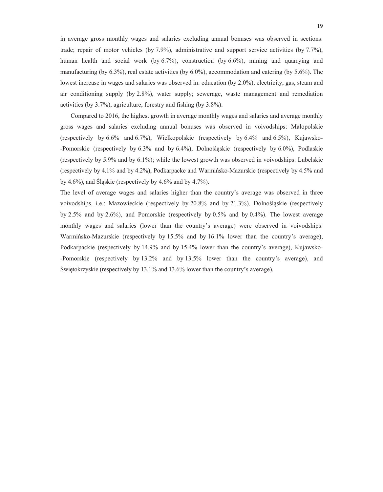in average gross monthly wages and salaries excluding annual bonuses was observed in sections: trade; repair of motor vehicles (by 7.9%), administrative and support service activities (by 7.7%), human health and social work (by 6.7%), construction (by 6.6%), mining and quarrying and manufacturing (by  $6.3\%$ ), real estate activities (by  $6.0\%$ ), accommodation and catering (by  $5.6\%$ ). The lowest increase in wages and salaries was observed in: education (by 2.0%), electricity, gas, steam and air conditioning supply (by 2.8%), water supply; sewerage, waste management and remediation activities (by  $3.7\%$ ), agriculture, forestry and fishing (by  $3.8\%$ ).

Compared to 2016, the highest growth in average monthly wages and salaries and average monthly gross wages and salaries excluding annual bonuses was observed in voivodships: Małopolskie (respectively by 6.6% and 6.7%), Wielkopolskie (respectively by 6.4% and 6.5%), Kujawsko--Pomorskie (respectively by 6.3% and by 6.4%), Dolnośląskie (respectively by 6.0%), Podlaskie (respectively by 5.9% and by 6.1%); while the lowest growth was observed in voivodships: Lubelskie (respectively by 4.1% and by 4.2%), Podkarpacke and Warmińsko-Mazurskie (respectively by 4.5% and by 4.6%), and Slaskie (respectively by 4.6% and by 4.7%).

The level of average wages and salaries higher than the country's average was observed in three voivodships, i.e.: Mazowieckie (respectively by 20.8% and by 21.3%), Dolnośląskie (respectively by  $2.5\%$  and by  $2.6\%$ ), and Pomorskie (respectively by  $0.5\%$  and by  $0.4\%$ ). The lowest average monthly wages and salaries (lower than the country's average) were observed in voivodships: Warmińsko-Mazurskie (respectively by 15.5% and by 16.1% lower than the country's average), Podkarpackie (respectively by 14.9% and by 15.4% lower than the country's average), Kujawsko--Pomorskie (respectively by 13.2% and by 13.5% lower than the country's average), and Świętokrzyskie (respectively by 13.1% and 13.6% lower than the country's average).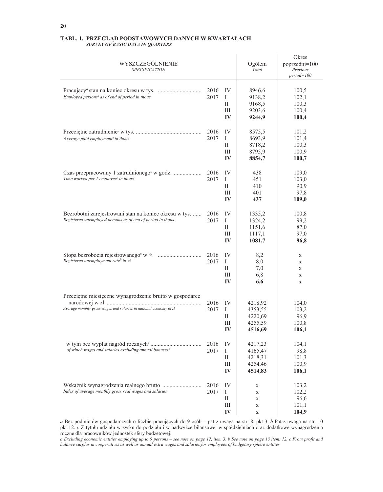| WYSZCZEGÓLNIENIE<br><b>SPECIFICATION</b>                                                                                      |              |                                    | Ogółem<br>Total                                     | Okres<br>poprzedni=100<br>Previous<br>$period = 100$          |
|-------------------------------------------------------------------------------------------------------------------------------|--------------|------------------------------------|-----------------------------------------------------|---------------------------------------------------------------|
| Employed persons <sup>a</sup> as of end of period in thous.                                                                   | 2016<br>2017 | IV<br>I<br>П<br>Ш<br>IV            | 8946,6<br>9138,2<br>9168,5<br>9203,6<br>9244,9      | 100,5<br>102,1<br>100,3<br>100,4<br>100,4                     |
| Average paid employment <sup>a</sup> in thous.                                                                                | 2016<br>2017 | IV<br>Ι<br>П<br>Ш<br>$\bf{IV}$     | 8575,5<br>8693,9<br>8718,2<br>8795,9<br>8854,7      | 101,2<br>101,4<br>100,3<br>100,9<br>100,7                     |
| Czas przepracowany 1 zatrudnionego <sup>a</sup> w godz.<br>Time worked per 1 employee <sup>a</sup> in hours                   | 2016<br>2017 | IV<br>Ι<br>П<br>Ш<br>IV            | 438<br>451<br>410<br>401<br>437                     | 109,0<br>103,0<br>90,9<br>97,8<br>109,0                       |
| Bezrobotni zarejestrowani stan na koniec okresu w tys.<br>Registered unemployed persons as of end of period in thous.         | 2016<br>2017 | IV<br>Ι<br>П<br>Ш<br>IV            | 1335,2<br>1324,2<br>1151,6<br>1117,1<br>1081,7      | 100,8<br>99,2<br>87,0<br>97,0<br>96,8                         |
| Registered unemployment rate <sup>b</sup> in %                                                                                | 2016<br>2017 | IV<br>Ι<br>П<br>Ш<br>IV            | 8,2<br>8,0<br>7,0<br>6,8<br>6,6                     | $\mathbf X$<br>X<br>$\mathbf X$<br>$\mathbf X$<br>$\mathbf X$ |
| Przeciętne miesięczne wynagrodzenie brutto w gospodarce<br>Average monthly gross wages and salaries in national economy in zl | 2016<br>2017 | IV<br>$\mathbf{I}$<br>П<br>Ш<br>IV | 4218,92<br>4353,55<br>4220,69<br>4255,59<br>4516,69 | 104,0<br>103,2<br>96,9<br>100,8<br>106,1                      |
| of which wages and salaries excluding annual bonuses <sup>c</sup>                                                             | 2016<br>2017 | IV<br>I<br>П<br>III<br>IV          | 4217,23<br>4165,47<br>4218,31<br>4254,46<br>4514,83 | 104,1<br>98,8<br>101,3<br>100,9<br>106,1                      |
| Index of average monthly gross real wages and salaries                                                                        | 2016<br>2017 | IV<br>Ι<br>П<br>III<br>IV          | X<br>X<br>X<br>$\mathbf X$<br>$\mathbf X$           | 103,2<br>102,2<br>96,6<br>101,1<br>104,9                      |

#### TABL. 1. PRZEGLĄD PODSTAWOWYCH DANYCH W KWARTAŁACH **SURVEY OF BASIC DATA IN QUARTERS**

a Bez podmiotów gospodarczych o liczbie pracujących do 9 osób – patrz uwaga na str. 8, pkt 3. b Patrz uwaga na str. 10 pkt 12. c Z tytułu udziału w zysku do podziału i w nadwyżce bilansowej w spółdzielniach oraz dodatkowe wynagrodzenia roczne dla pracowników jednostek sfery budżetowej.

a Excluding economic entities employing up to 9 persons - see note on page 12, item 3. b See note on page 13 item. 12, c From profit and balance surplus in cooperatives as well as annual extra wages and salaries for employees of budgetary sphere entities.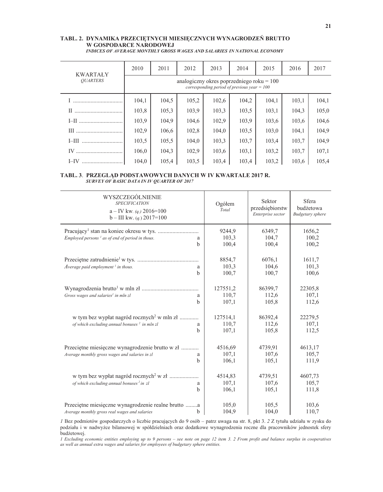### TABL. 2. DYNAMIKA PRZECIĘTNYCH MIESIĘCZNYCH WYNAGRODZEŃ BRUTTO W GOSPODARCE NARODOWEJ

| <b>KWARTAŁY</b> | 2010                                                                                         | 2011  | 2012  | 2013  | 2014  | 2015  | 2016  | 2017  |  |  |
|-----------------|----------------------------------------------------------------------------------------------|-------|-------|-------|-------|-------|-------|-------|--|--|
| <b>OUARTERS</b> | analogiczny okres poprzedniego roku = $100$<br>corresponding period of previous year = $100$ |       |       |       |       |       |       |       |  |  |
|                 | 104.1                                                                                        | 104,5 | 105,2 | 102,6 | 104,2 | 104.1 | 103,1 | 104,1 |  |  |
| $_{\rm II}$     | 103,8                                                                                        | 105,3 | 103,9 | 103,3 | 103,5 | 103,1 | 104.3 | 105,0 |  |  |
|                 | 103,9                                                                                        | 104.9 | 104,6 | 102,9 | 103,9 | 103,6 | 103,6 | 104,6 |  |  |
|                 | 102,9                                                                                        | 106,6 | 102,8 | 104,0 | 103,5 | 103,0 | 104.1 | 104,9 |  |  |
| $I$ - $III$     | 103,5                                                                                        | 105,5 | 104,0 | 103,3 | 103,7 | 103,4 | 103,7 | 104,9 |  |  |
| IV              | 106.0                                                                                        | 104,3 | 102.9 | 103.6 | 103.1 | 103.2 | 103.7 | 107,1 |  |  |
| $I$ -IV         | 104.0                                                                                        | 105.4 | 103.5 | 103.4 | 103.4 | 103.2 | 103.6 | 105,4 |  |  |

INDICES OF AVERAGE MONTHLY GROSS WAGES AND SALARIES IN NATIONAL ECONOMY

#### TABL. 3. PRZEGLAD PODSTAWOWYCH DANYCH W IV KWARTALE 2017 R. SURVEY OF BASIC DATA IN IV QUARTER OF 2017

| WYSZCZEGÓLNIENIE<br><b>SPECIFICATION</b><br>$a$ – IV kw. ( <i>a.</i> ) 2016=100<br>$b$ – III kw. ( <i>q</i> .) 2017=100      | Ogółem<br>Total            | Sektor<br>przedsiębiorstw<br>Enterprise sector | Sfera<br>budżetowa<br><b>Budgetary</b> sphere |
|------------------------------------------------------------------------------------------------------------------------------|----------------------------|------------------------------------------------|-----------------------------------------------|
| $Emploved~persons1$ as of end of period in thous.<br>a<br>b                                                                  | 9244,9<br>103,3<br>100,4   | 6349,7<br>104,7<br>100,4                       | 1656,2<br>100,2<br>100,2                      |
| Average paid employment $\frac{1}{2}$ in thous.<br>a<br>b                                                                    | 8854,7<br>103,3<br>100,7   | 6076,1<br>104,6<br>100,7                       | 1611,7<br>101,3<br>100,6                      |
| Gross wages and salaries <sup>1</sup> in mln zl<br>a<br>h                                                                    | 127551,2<br>110,7<br>107,1 | 86399,7<br>112,6<br>105,8                      | 22305,8<br>107,1<br>112,6                     |
| w tym bez wypłat nagród rocznych <sup>2</sup> w mln zł<br>of which excluding annual bonuses <sup>2</sup> in mln zl<br>a<br>b | 127514,1<br>110,7<br>107,1 | 86392,4<br>112,6<br>105,8                      | 22279,5<br>107,1<br>112,5                     |
| Przeciętne miesięczne wynagrodzenie brutto w zł<br>Average monthly gross wages and salaries in zl<br>a<br>h                  | 4516,69<br>107,1<br>106,1  | 4739,91<br>107,6<br>105,1                      | 4613,17<br>105,7<br>111,9                     |
| w tym bez wypłat nagród rocznych <sup>2</sup> w zł<br>of which excluding annual bonuses <sup>2</sup> in zl<br>a<br>h         | 4514,83<br>107,1<br>106,1  | 4739,51<br>107,6<br>105,1                      | 4607,73<br>105,7<br>111,8                     |
| Przeciętne miesięczne wynagrodzenie realne brutto a<br>Average monthly gross real wages and salaries<br>b                    | 105,0<br>104,9             | 105,5<br>104,0                                 | 103,6<br>110,7                                |

I Bez podmiotów gospodarczych o liczbie pracujących do 9 osób – patrz uwaga na str. 8, pkt 3. 2 Z tytułu udziału w zysku do podziału i w nadwyżce bilansowej w spółdzielniach oraz dodatkowe wynagrodzenia roczne dla pracowników jednostek sfery budżetowej.

I Excluding economic entities employing up to 9 persons - see note on page 12 item 3. 2 From profit and balance surplus in cooperatives as well as annual extra wages and salaries for employees of budgetary sphere entities.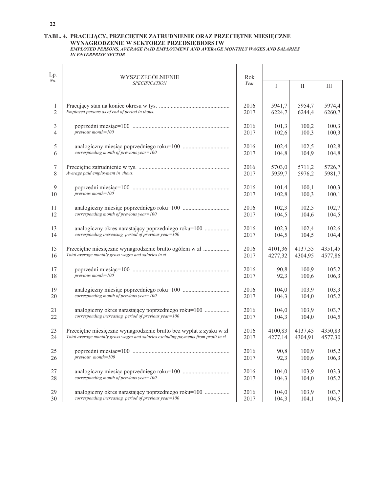### TABL. 4. PRACUJĄCY, PRZECIĘTNE ZATRUDNIENIE ORAZ PRZECIĘTNE MIESIĘCZNE WYNAGRODZENIE W SEKTORZE PRZEDSIĘBIORSTW<br>EMPLOYED PERSONS, AVERAGE PAID EMPLOYMENT AND AVERAGE MONTHLY WAGES AND SALARIES

### **IN ENTERPRISE SECTOR**

| Lp.                 | WYSZCZEGÓLNIENIE                                                                                               | Rok          |                    |                    |                    |
|---------------------|----------------------------------------------------------------------------------------------------------------|--------------|--------------------|--------------------|--------------------|
| No.                 | <b>SPECIFICATION</b>                                                                                           | Year         | I                  | $\rm II$           | Ш                  |
|                     |                                                                                                                |              |                    |                    |                    |
| 1<br>$\overline{2}$ | Employed persons as of end of period in thous.                                                                 | 2016<br>2017 | 5941,7<br>6224,7   | 5954,7<br>6244,4   | 5974,4<br>6260,7   |
| 3<br>4              | $previous month = 100$                                                                                         | 2016<br>2017 | 101,3              | 100,2<br>100,3     | 100,3<br>100,3     |
|                     |                                                                                                                |              | 102,6              |                    |                    |
| 5<br>6              | corresponding month of previous year=100                                                                       | 2016<br>2017 | 102,4<br>104,8     | 102,5<br>104,9     | 102,8<br>104,8     |
| 7                   |                                                                                                                | 2016         | 5703,0             | 5711,2             | 5726,7             |
| 8                   | Average paid employment in thous.                                                                              | 2017         | 5959,7             | 5976,2             | 5981,7             |
| 9<br>10             | $previous month = 100$                                                                                         | 2016<br>2017 | 101,4<br>102,8     | 100,1<br>100,3     | 100,3<br>100,1     |
|                     |                                                                                                                |              |                    |                    |                    |
| 11<br>12            | corresponding month of previous year= $100$                                                                    | 2016<br>2017 | 102,3<br>104,5     | 102,5<br>104,6     | 102,7<br>104,5     |
| 13                  | analogiczny okres narastający poprzedniego roku=100                                                            | 2016         | 102,3              | 102,4              | 102,6              |
| 14                  | corresponding increasing period of previous year=100                                                           | 2017         | 104,5              | 104,5              | 104,4              |
| 15<br>16            | Przeciętne miesięczne wynagrodzenie brutto ogółem w zł<br>Total average monthly gross wages and salaries in zl | 2016<br>2017 | 4101,36<br>4277,32 | 4137,55<br>4304,95 | 4351,45<br>4577,86 |
| 17                  |                                                                                                                | 2016         | 90,8               | 100,9              | 105,2              |
| 18                  | previous month=100                                                                                             | 2017         | 92,3               | 100,6              | 106,3              |
| 19<br>20            | corresponding month of previous year= $100$                                                                    | 2016<br>2017 | 104,0<br>104,3     | 103,9<br>104,0     | 103,3<br>105,2     |
|                     |                                                                                                                |              |                    |                    |                    |
| 21<br>22            | analogiczny okres narastający poprzedniego roku=100<br>corresponding increasing period of previous year= $100$ | 2016<br>2017 | 104,0<br>104,3     | 103,9<br>104,0     | 103,7<br>104,5     |
| 23                  | Przeciętne miesięczne wynagrodzenie brutto bez wypłat z zysku w zł                                             | 2016         | 4100,83            | 4137,45            | 4350,83            |
| 24                  | Total average monthly gross wages and salaries excluding payments from profit in zl                            | 2017         | 4277,14            | 4304,91            | 4577,30            |
| 25                  | previous $month=100$                                                                                           | 2016         | 90,8               | 100,9              | 105,2              |
| 26                  |                                                                                                                | 2017         | 92,3               | 100,6              | 106,3              |
| $27\,$<br>28        | corresponding month of previous year=100                                                                       | 2016<br>2017 | 104,0<br>104,3     | 103,9<br>104,0     | 103,3<br>105,2     |
| 29                  | analogiczny okres narastający poprzedniego roku=100                                                            | 2016         | 104,0              | 103,9              | 103,7              |
| 30                  | corresponding increasing period of previous year= $100$                                                        | 2017         | 104,3              | 104,1              | 104,5              |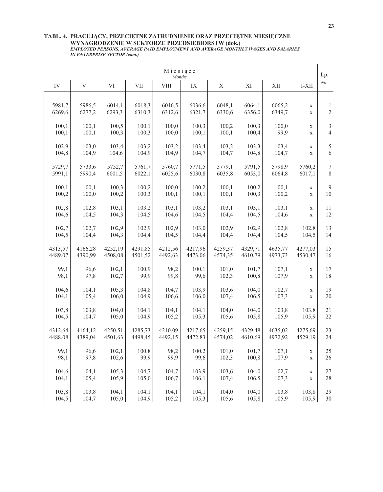## TABL. 4. PRACUJĄCY, PRZECIĘTNE ZATRUDNIENIE ORAZ PRZECIĘTNE MIESIĘCZNE WYNAGRODZENIE W SEKTORZE PRZEDSIĘBIORSTW (dok.)<br>EMPLOYED PERSONS, AVERAGE PAID EMPLOYMENT AND AVERAGE MONTHLY WAGES AND SALARIES<br>IN ENTERPRISE SECTOR (cont.)

|    |         |                           |         |             | Miesiące<br>Months |               |             |         |              |             | Lp.            |
|----|---------|---------------------------|---------|-------------|--------------------|---------------|-------------|---------|--------------|-------------|----------------|
| IV |         | $\boldsymbol{\mathrm{V}}$ | VI      | ${\rm VII}$ | ${\rm VIII}$       | $\mathbf{IX}$ | $\mathbf X$ | XI      | $\mbox{XII}$ | I-XII       | N <sub>o</sub> |
|    | 5981,7  | 5986,5                    | 6014,1  | 6018,3      | 6016,5             | 6036,6        | 6048,1      | 6064,1  | 6065,2       | $\mathbf X$ | $\mathbf{1}$   |
|    | 6269,6  | 6277,2                    | 6293,3  | 6310,3      | 6312,6             | 6321,7        | 6330,6      | 6356,0  | 6349,7       | $\mathbf X$ | $\sqrt{2}$     |
|    | 100,1   | 100,1                     | 100,5   | 100,1       | 100,0              | 100,3         | 100,2       | 100,3   | 100,0        | X           | $\mathfrak{Z}$ |
|    | 100,1   | 100,1                     | 100,3   | 100,3       | 100,0              | 100,1         | 100,1       | 100,4   | 99,9         | $\mathbf X$ | $\overline{4}$ |
|    | 102,9   | 103,0                     | 103,4   | 103,2       | 103,2              | 103,4         | 103,2       | 103,3   | 103,4        | X           | 5              |
|    | 104,8   | 104,9                     | 104,6   | 104,9       | 104,9              | 104,7         | 104,7       | 104,8   | 104,7        | $\mathbf X$ | 6              |
|    | 5729,7  | 5733,6                    | 5752,7  | 5761,7      | 5760,7             | 5771,5        | 5779,1      | 5791,5  | 5798,9       | 5760,2      | $\tau$         |
|    | 5991,1  | 5990,4                    | 6001,5  | 6022,1      | 6025,6             | 6030,8        | 6035,8      | 6053,0  | 6064,8       | 6017,1      | $\,$ 8 $\,$    |
|    | 100,1   | 100,1                     | 100,3   | 100,2       | 100,0              | 100,2         | 100,1       | 100,2   | 100,1        | $\mathbf X$ | 9              |
|    | 100,2   | 100,0                     | 100,2   | 100,3       | 100,1              | 100,1         | 100,1       | 100,3   | 100,2        | $\mathbf X$ | 10             |
|    | 102,8   | 102,8                     | 103,1   | 103,2       | 103,1              | 103,2         | 103,1       | 103,1   | 103,1        | X           | 11             |
|    | 104,6   | 104,5                     | 104,3   | 104,5       | 104,6              | 104,5         | 104,4       | 104,5   | 104,6        | $\mathbf X$ | 12             |
|    | 102,7   | 102,7                     | 102,9   | 102,9       | 102,9              | 103,0         | 102,9       | 102,9   | 102,8        | 102,8       | 13             |
|    | 104,5   | 104,4                     | 104,3   | 104,4       | 104,5              | 104,4         | 104,4       | 104,4   | 104,5        | 104,5       | 14             |
|    | 4313,57 | 4166,28                   | 4252,19 | 4291,85     | 4212,56            | 4217,96       | 4259,37     | 4329,71 | 4635,77      | 4277,03     | 15             |
|    | 4489,07 | 4390,99                   | 4508,08 | 4501,52     | 4492,63            | 4473,06       | 4574,35     | 4610,79 | 4973,73      | 4530,47     | 16             |
|    | 99,1    | 96,6                      | 102,1   | 100,9       | 98,2               | 100,1         | 101,0       | 101,7   | 107,1        | $\mathbf X$ | 17             |
|    | 98,1    | 97,8                      | 102,7   | 99,9        | 99,8               | 99,6          | 102,3       | 100,8   | 107,9        | $\mathbf X$ | 18             |
|    | 104,6   | 104,1                     | 105,3   | 104,8       | 104,7              | 103,9         | 103,6       | 104,0   | 102,7        | $\mathbf X$ | 19             |
|    | 104,1   | 105,4                     | 106,0   | 104,9       | 106,6              | 106,0         | 107,4       | 106,5   | 107,3        | $\mathbf X$ | 20             |
|    | 103,8   | 103,8                     | 104,0   | 104,1       | 104,1              | 104,1         | 104,0       | 104,0   | 103,8        | 103,8       | 21             |
|    | 104,5   | 104,7                     | 105,0   | 104,9       | 105,2              | 105,3         | 105,6       | 105,8   | 105,9        | 105,9       | 22             |
|    | 4312,64 | 4164,12                   | 4250,51 | 4285,73     | 4210,09            | 4217,65       | 4259,15     | 4329,48 | 4635,02      | 4275,69     | 23             |
|    | 4488,08 | 4389,04                   | 4501,63 | 4498,45     | 4492,15            | 4472,83       | 4574,02     | 4610,69 | 4972,92      | 4529,19     | 24             |
|    | 99,1    | 96,6                      | 102,1   | 100,8       | 98,2               | 100,2         | 101,0       | 101,7   | 107,1        | X           | 25             |
|    | 98,1    | 97,8                      | 102,6   | 99,9        | 99,9               | 99,6          | 102,3       | 100,8   | 107,9        | $\mathbf X$ | 26             |
|    | 104,6   | 104,1                     | 105,3   | 104,7       | 104,7              | 103,9         | 103,6       | 104,0   | 102,7        | $\mathbf X$ | $27\,$         |
|    | 104,1   | 105,4                     | 105,9   | 105,0       | 106,7              | 106,1         | 107,4       | 106,5   | 107,3        | $\mathbf X$ | $28\,$         |
|    | 103,8   | 103,8                     | 104,1   | 104,1       | 104,1              | 104,1         | 104,0       | 104,0   | 103,8        | 103,8       | 29             |
|    | 104,5   | 104,7                     | 105,0   | 104,9       | 105,2              | 105,3         | 105,6       | 105,8   | 105,9        | 105,9       | 30             |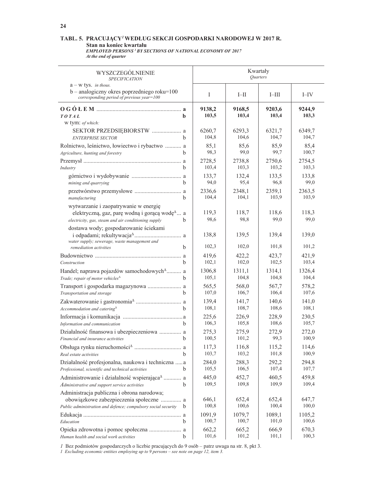### TABL. 5. PRACUJĄCY<sup>1</sup> WEDŁUG SEKCJI GOSPODARKI NARODOWEJ W 2017 R.

Standard Representation of the State of Standard March 2017<br>EMPLOYED PERSONS<sup>1</sup> BY SECTIONS OF NATIONAL ECONOMY OF 2017 At the end of quarter

| WYSZCZEGÓLNIENIE<br><b>SPECIFICATION</b>                                                                                                                                            |                 | Kwartały<br>Quarters |                 |                 |
|-------------------------------------------------------------------------------------------------------------------------------------------------------------------------------------|-----------------|----------------------|-----------------|-----------------|
| $a - w$ tys. in thous.<br>$b$ – analogiczny okres poprzedniego roku=100<br>corresponding period of previous year=100                                                                | I               | $I$ — $II$           | $I$ -III        | I–IV            |
| b.<br><b>TOTAL</b><br>w tym: of which:                                                                                                                                              | 9138,2<br>103,5 | 9168,5<br>103,4      | 9203,6<br>103,4 | 9244.9<br>103,3 |
| SEKTOR PRZEDSIĘBIORSTW  a<br><b>ENTERPRISE SECTOR</b><br>h                                                                                                                          | 6260,7<br>104,8 | 6293,3<br>104,6      | 6321,7<br>104,7 | 6349.7<br>104,7 |
| Rolnictwo, leśnictwo, łowiectwo i rybactwo  a<br>h<br>Agriculture, hunting and forestry                                                                                             | 85,1<br>98,3    | 85,6<br>99,0         | 85,9<br>99,7    | 85,4<br>100,7   |
| b.<br>Industry                                                                                                                                                                      | 2728,5<br>103,4 | 2738,8<br>103,3      | 2750,6<br>103,2 | 2754,5<br>103,3 |
| b<br>mining and quarrying                                                                                                                                                           | 133,7<br>94,0   | 132,4<br>95,4        | 133,5<br>96,8   | 133,8<br>99,0   |
| b<br>manufacturing                                                                                                                                                                  | 2336,6<br>104,4 | 2348,1<br>104,1      | 2359,1<br>103,9 | 2363,5<br>103,9 |
| wytwarzanie i zaopatrywanie w energię<br>elektryczną, gaz, parę wodną i gorącą wodę <sup><math>\triangle</math></sup> a<br>electricity, gas, steam and air conditioning supply<br>b | 119,3<br>98,6   | 118,7<br>98,8        | 118,6<br>99,0   | 118,3<br>99,0   |
| dostawa wody; gospodarowanie ściekami<br>water supply; sewerage, waste management and                                                                                               | 138,8           | 139,5                | 139,4           | 139,0           |
| h<br>remediation activities                                                                                                                                                         | 102,3<br>419,6  | 102,0<br>422,2       | 101,8<br>423,7  | 101,2<br>421,9  |
| b.<br>Construction                                                                                                                                                                  | 102,1           | 102,0                | 102,5           | 103,4           |
| Handel; naprawa pojazdów samochodowych <sup>4</sup> a<br>Trade; repair of motor vehicles <sup>4</sup><br>h                                                                          | 1306,8<br>105,1 | 1311,1<br>104,8      | 1314,1<br>104,8 | 1326,4<br>104,4 |
| h.<br>Transportation and storage                                                                                                                                                    | 565,5<br>107,0  | 568,0<br>106,7       | 567,7<br>106,4  | 578,2<br>107,6  |
| Accommodation and catering <sup>A</sup><br><sub>h</sub>                                                                                                                             | 139,4<br>108,1  | 141,7<br>108,7       | 140,6<br>108,6  | 141,0<br>108,1  |
| h.<br>Information and communication                                                                                                                                                 | 225,6<br>106,3  | 226,9<br>105,8       | 228,9<br>108,6  | 230,5<br>105,7  |
| Działalność finansowa i ubezpieczeniowa  a<br>Financial and insurance activities<br>b.                                                                                              | 275,3<br>100,5  | 275,9<br>101,2       | 272,9<br>99,3   | 272,0<br>100,9  |
| Real estate activities                                                                                                                                                              | 117,3<br>103,7  | 116,8<br>103,2       | 115,2<br>101,8  | 114,6<br>100,9  |
| Działalność profesjonalna, naukowa i techniczna  a<br>Professional, scientific and technical activities<br>b.                                                                       | 284,0<br>105,5  | 288,3<br>106,5       | 292,2<br>107,4  | 294,8<br>107,7  |
| Administrowanie i działalność wspierająca <sup><math>\triangle</math></sup> a<br>b<br>Administrative and support service activities                                                 | 445,0<br>109,5  | 452,7<br>109,8       | 460,5<br>109,9  | 459,8<br>109,4  |
| Administracja publiczna i obrona narodowa;<br>obowiązkowe zabezpieczenia społeczne  a<br>Public administration and defence; compulsory social security<br>b                         | 646,1<br>100,8  | 652,4<br>100,6       | 652,4<br>100,4  | 647,7<br>100,0  |
| b<br>Education                                                                                                                                                                      | 1091,9<br>100,7 | 1079,7<br>100,7      | 1089,1<br>101,0 | 1105,2<br>100,6 |
| Human health and social work activities<br>b                                                                                                                                        | 662,2<br>101,6  | 665,2<br>101,2       | 666,9<br>101,1  | 670,3<br>100,3  |

*I* Bez podmiotów gospodarczych o liczbie pracujących do 9 osób – patrz uwaga na str. 8, pkt 3.

*I* Excluding economic entities employing up to 9 persons – see note on page 12, item 3.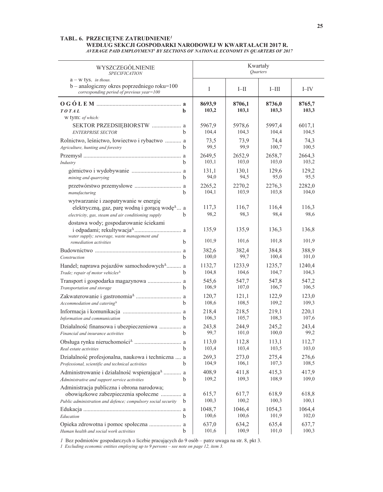### TABL. 6. PRZECIĘTNE ZATRUDNIENIE<sup>1</sup> WEDLUG SEKCJI GOSPODARKI NARODOWEJ W KWARTAŁACH 2017 R.<br>AVERAGE PAID EMPLOYMENT' BY SECTIONS OF NATIONAL ECONOMY IN QUARTERS OF 2017

| WYSZCZEGÓLNIENIE<br><b>SPECIFICATION</b>                                                                                                                       | Kwartały<br>Quarters |                 |                 |                 |                 |
|----------------------------------------------------------------------------------------------------------------------------------------------------------------|----------------------|-----------------|-----------------|-----------------|-----------------|
| $a - w$ tys. in thous.<br>b - analogiczny okres poprzedniego roku=100<br>corresponding period of previous year=100                                             |                      | $\mathbf I$     | $I$ -II         | $I$ -III        | $I$ -IV         |
| <b>TOTAL</b><br>b<br>w tym: of which:                                                                                                                          |                      | 8693,9<br>103,2 | 8706,1<br>103,1 | 8736,0<br>103,3 | 8765,7<br>103,3 |
| <b>ENTERPRISE SECTOR</b><br><sub>b</sub>                                                                                                                       |                      | 5967.9<br>104,4 | 5978,6<br>104,3 | 5997,4<br>104,4 | 6017,1<br>104,5 |
| Rolnictwo, leśnictwo, łowiectwo i rybactwo  a<br>Agriculture, hunting and forestry<br><sub>b</sub>                                                             |                      | 73,5<br>99,5    | 73,9<br>99,9    | 74,4<br>100,7   | 74,3<br>100,5   |
| Industry<br><sub>b</sub>                                                                                                                                       |                      | 2649,5<br>103,1 | 2652,9<br>103,0 | 2658,7<br>103,0 | 2664,3<br>103,2 |
| mining and quarrying                                                                                                                                           | b.                   | 131,1<br>94,0   | 130,1<br>94,5   | 129,6<br>95,0   | 129,2<br>95,5   |
| b<br>manufacturing                                                                                                                                             |                      | 2265,2<br>104,1 | 2270,2<br>103,9 | 2276,3<br>103,8 | 2282,0<br>104,0 |
| wytwarzanie i zaopatrywanie w energię<br>elektryczną, gaz, parę wodną i gorącą wodę <sup>1</sup> a<br>electricity, gas, steam and air conditioning supply<br>b |                      | 117,3<br>98,2   | 116,7<br>98,3   | 116,4<br>98,4   | 116,3<br>98,6   |
| dostawa wody; gospodarowanie ściekami<br>water supply; sewerage, waste management and                                                                          |                      | 135,9           | 135,9           | 136,3           | 136,8           |
| <sub>h</sub><br>remediation activities                                                                                                                         |                      | 101,9           | 101,6           | 101,8           | 101,9           |
| <sub>b</sub><br>Construction                                                                                                                                   |                      | 382,6<br>100,0  | 382,4<br>99,7   | 384,8<br>100,4  | 388,9<br>101,0  |
| Handel; naprawa pojazdów samochodowych <sup>4</sup> a<br>Trade; repair of motor vehicles <sup><math>\triangle</math></sup>                                     | b.                   | 1132,7<br>104,8 | 1233,9<br>104,6 | 1235,7<br>104,7 | 1240,4<br>104,3 |
| <sub>h</sub><br>Transportation and storage                                                                                                                     |                      | 545,6<br>106,9  | 547,7<br>107,0  | 547,8<br>106,7  | 547,2<br>106,5  |
| $A c$ commodation and catering $^{\Delta}$                                                                                                                     |                      | 120,7<br>108,6  | 121,1<br>108,5  | 122,9<br>109,2  | 123,0<br>109,3  |
| Information and communication                                                                                                                                  |                      | 218,4<br>106,3  | 218,5<br>105,7  | 219,1<br>108,3  | 220,1<br>107,6  |
| Działalność finansowa i ubezpieczeniowa  a<br>Financial and insurance activities                                                                               | h.                   | 243,8<br>99,7   | 244,9<br>101,0  | 245,2<br>100,0  | 243,4<br>99,2   |
| Real estate activities                                                                                                                                         |                      | 113,0<br>103,4  | 112,8<br>103,4  | 113,1<br>103,5  | 112,7<br>103,0  |
| Działalność profesjonalna, naukowa i techniczna  a<br>Professional, scientific and technical activities                                                        | b.                   | 269,3<br>104,9  | 273,0<br>106,1  | 275,4<br>107,3  | 276,6<br>108,5  |
| Administrowanie i działalność wspierająca <sup>4</sup> a<br>b<br>Administrative and support service activities                                                 |                      | 408,9<br>109,2  | 411,8<br>109,3  | 415,3<br>108,9  | 417,9<br>109,0  |
| Administracja publiczna i obrona narodowa;<br>obowiązkowe zabezpieczenia społeczne  a<br>Public administration and defence; compulsory social security<br>b    |                      | 615,7<br>100,3  | 617,7<br>100,2  | 618,9<br>100,3  | 618,8<br>100,1  |
|                                                                                                                                                                |                      | 1048,7          | 1046,4<br>100,6 | 1054,3<br>101,9 | 1064,4          |
| b<br>Education<br>Opieka zdrowotna i pomoc społeczna  a                                                                                                        |                      | 100,6<br>637,0  | 634,2           | 635,4           | 102,0<br>637,7  |
| b<br>Human health and social work activities                                                                                                                   |                      | 101,6           | 100,9           | 101,0           | 100,3           |

*I* Bez podmiotów gospodarczych o liczbie pracujących do 9 osób – patrz uwaga na str. 8, pkt 3.

1 Excluding economic entities employing up to  $9$  persons – see note on page 12, item 3.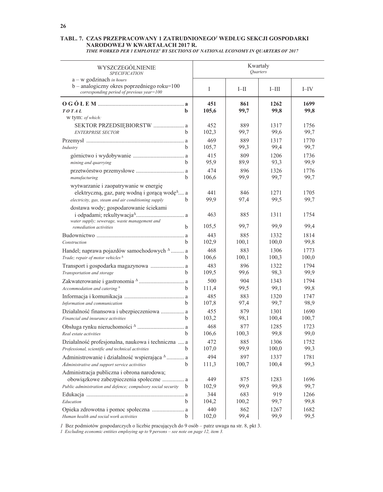### TABL. 7. CZAS PRZEPRACOWANY 1 ZATRUDNIONEGO<sup>1</sup> WEDŁUG SEKCJI GOSPODARKI NARODOWEJ W KWARTAŁACH 2017 R.

|  | TIME WORKED PER 1 EMPLOYEE <sup>1</sup> BY SECTIONS OF NATIONAL ECONOMY IN QUARTERS OF 2017 |
|--|---------------------------------------------------------------------------------------------|

| WYSZCZEGOLNIENIE<br><b>SPECIFICATION</b>                                                                                                                       |              |              | Kwartały<br>Quarters |              |
|----------------------------------------------------------------------------------------------------------------------------------------------------------------|--------------|--------------|----------------------|--------------|
| $a - w$ godzinach in hours<br>$b$ – analogiczny okres poprzedniego roku= $100$<br>corresponding period of previous year=100                                    | I            | $I$ -II      | $I$ -III             | $I-IV$       |
| TOTAL<br>b<br>w tym: of which:                                                                                                                                 | 451<br>105,6 | 861<br>99,7  | 1262<br>99,8         | 1699<br>99,8 |
| SEKTOR PRZEDSIĘBIORSTW  a<br><b>ENTERPRISE SECTOR</b><br>h.                                                                                                    | 452<br>102,3 | 889<br>99,7  | 1317<br>99,6         | 1756<br>99,7 |
| Industry<br>b                                                                                                                                                  | 469<br>105,7 | 889<br>99,3  | 1317<br>99,4         | 1770<br>99,7 |
| b<br>mining and quarrying                                                                                                                                      | 415<br>95,9  | 809<br>89,9  | 1206<br>93,3         | 1736<br>99,9 |
| manufacturing<br>b                                                                                                                                             | 474<br>106,6 | 896<br>99,9  | 1326<br>99,7         | 1776<br>99,7 |
| wytwarzanie i zaopatrywanie w energię<br>elektryczną, gaz, parę wodną i gorącą wodę <sup>4</sup> a<br>electricity, gas, steam and air conditioning supply<br>h | 441<br>99,9  | 846<br>97,4  | 1271<br>99,5         | 1705<br>99,7 |
| dostawa wody; gospodarowanie ściekami<br>water supply; sewerage, waste management and                                                                          | 463          | 885          | 1311                 | 1754         |
| h<br>remediation activities                                                                                                                                    | 105,5        | 99,7         | 99,9                 | 99,4         |
|                                                                                                                                                                | 443          | 885          | 1332                 | 1814         |
| h<br>Construction                                                                                                                                              | 102,9<br>468 | 100,1<br>883 | 100,0<br>1306        | 99,8<br>1773 |
| Handel; naprawa pojazdów samochodowych <sup>A</sup> a<br>Trade; repair of motor vehicles <sup><math>\triangle</math></sup><br>h                                | 106,6        | 100,1        | 100,3                | 100,0        |
|                                                                                                                                                                | 483          | 896          | 1322                 | 1794         |
| h.<br>Transportation and storage                                                                                                                               | 109,5        | 99,6         | 98,3                 | 99,9         |
|                                                                                                                                                                | 500          | 904          | 1343                 | 1794         |
| Accommodation and catering $^{\Delta}$<br>h                                                                                                                    | 111,4        | 99,5         | 99,1                 | 99,8         |
| $\mathbf{h}$                                                                                                                                                   | 485          | 883<br>97,4  | 1320<br>99,7         | 1747<br>98,9 |
| Information and communication<br>Działalność finansowa i ubezpieczeniowa  a                                                                                    | 107,8<br>455 | 879          | 1301                 | 1690         |
| h<br>Financial and insurance activities                                                                                                                        | 103,2        | 98,1         | 100,4                | 100,7        |
|                                                                                                                                                                | 468          | 877          | 1285                 | 1723         |
| h<br>Real estate activities                                                                                                                                    | 106,6        | 100,3        | 99,8                 | 99,0         |
| Działalność profesjonalna, naukowa i techniczna  a                                                                                                             | 472          | 885          | 1306                 | 1752         |
| Professional, scientific and technical activities b                                                                                                            | 107,0        | 99,9         | 100,0                | 99,3         |
| Administrowanie i działalność wspierająca <sup>A</sup> a                                                                                                       | 494          | 897          | 1337                 | 1781         |
| b.<br>Administrative and support service activities                                                                                                            | 111,3        | 100,7        | 100,4                | 99,3         |
| Administracja publiczna i obrona narodowa;<br>obowiązkowe zabezpieczenia społeczne  a                                                                          | 449          | 875          | 1283                 | 1696         |
| Public administration and defence; compulsory social security<br>b                                                                                             | 102,9        | 99,9         | 99,8                 | 99,7         |
|                                                                                                                                                                | 344          | 683          | 919                  | 1266         |
| b<br>Education                                                                                                                                                 | 104,2        | 100,2        | 99,7                 | 99,8         |
| Opieka zdrowotna i pomoc społeczna  a<br>Human health and social work activities<br>b                                                                          | 440<br>102,0 | 862<br>99,4  | 1267<br>99,9         | 1682<br>99,5 |

*I* Bez podmiotów gospodarczych o liczbie pracujących do 9 osób – patrz uwaga na str. 8, pkt 3.<br>*I Excluding economic entities employing up to 9 persons – see note on page 12, item 3.*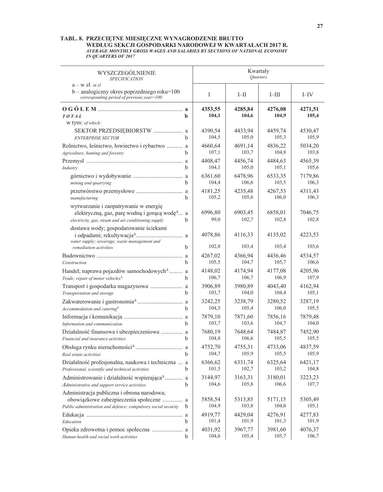# TABL. 8. PRZECIĘTNE MIESIĘCZNE WYNAGRODZENIE BRUTTO WEDLUG SEKCJI GOSPODARKI NARODOWEJ W KWARTAŁACH 2017 R.<br>AVERAGE MONTHLY GROSS WAGES AND SALARIES BY SECTIONS OF NATIONAL ECONOMY IN QUARTERS OF 2017

| WYSZCZEGÓLNIENIE                                                                                                                                          | Kwartały        |                  |                  |                  |                  |
|-----------------------------------------------------------------------------------------------------------------------------------------------------------|-----------------|------------------|------------------|------------------|------------------|
| <b>SPECIFICATION</b>                                                                                                                                      | <b>Ouarters</b> |                  |                  |                  |                  |
| $a - w z t$ in zl<br>b - analogiczny okres poprzedniego roku=100<br>corresponding period of previous year=100                                             |                 | I                | $I$ -II          | $I$ -III         | $I$ -IV          |
| TOTAL<br>w tym: of which:                                                                                                                                 | b               | 4353,55<br>104,1 | 4285,84<br>104,6 | 4276,08<br>104,9 | 4271,51<br>105,4 |
| SEKTOR PRZEDSIĘBIORSTW  a                                                                                                                                 | b               | 4390,54          | 4433,94          | 4459,74          | 4530,47          |
| <b>ENTERPRISE SECTOR</b>                                                                                                                                  |                 | 104,5            | 105,0            | 105,3            | 105,9            |
| Rolnictwo, leśnictwo, łowiectwo i rybactwo  a                                                                                                             | b               | 4660,64          | 4691,14          | 4836,22          | 5034,20          |
| Agriculture, hunting and forestry                                                                                                                         |                 | 107,1            | 103,7            | 104,8            | 103,8            |
|                                                                                                                                                           | b               | 4408,47          | 4456,74          | 4484,63          | 4565,39          |
| Industry                                                                                                                                                  |                 | 104,1            | 105,0            | 105,1            | 105,6            |
|                                                                                                                                                           | b               | 6361,60          | 6478,96          | 6533,35          | 7179,86          |
| mining and quarrying                                                                                                                                      |                 | 104,4            | 106,6            | 103,5            | 106,3            |
|                                                                                                                                                           | b               | 4181,25          | 4235,48          | 4267,53          | 4311,43          |
| manufacturing                                                                                                                                             |                 | 105,2            | 105,6            | 106,0            | 106,3            |
| wytwarzanie i zaopatrywanie w energię<br>elektryczną, gaz, parę wodną i gorącą wodę <sup>4</sup> a<br>electricity, gas, steam and air conditioning supply | b               | 6996,80<br>99,0  | 6903,45<br>102,7 | 6858,01<br>102,8 | 7046,75<br>102,8 |
| dostawa wody; gospodarowanie ściekami<br>water supply; sewerage, waste management and                                                                     |                 | 4078,86          | 4116,33          | 4135,02          | 4223,53          |
| remediation activities                                                                                                                                    | h               | 102,8            | 103,4            | 103,4            | 103,6            |
|                                                                                                                                                           | h               | 4267,02          | 4366,94          | 4436,46          | 4534,57          |
| Construction                                                                                                                                              |                 | 105,5            | 104,7            | 105,7            | 106,6            |
| Handel; naprawa pojazdów samochodowych <sup>4</sup> a                                                                                                     | h               | 4148,02          | 4174,94          | 4177,08          | 4205,96          |
| Trade; repair of motor vehicles <sup><math>\Delta</math></sup>                                                                                            |                 | 106,7            | 106,7            | 106,9            | 107,9            |
|                                                                                                                                                           | h               | 3906,89          | 3980,89          | 4043,40          | 4162,94          |
| Transportation and storage                                                                                                                                |                 | 103,7            | 104,0            | 104,4            | 105,1            |
|                                                                                                                                                           | h               | 3242,25          | 3238,79          | 3280,52          | 3287,19          |
| Accommodation and catering <sup>A</sup>                                                                                                                   |                 | 104,5            | 105,4            | 106,0            | 105,5            |
|                                                                                                                                                           | h               | 7879,10          | 7871,60          | 7856,16          | 7879,48          |
| Information and communication                                                                                                                             |                 | 103,7            | 103,6            | 104,7            | 104,0            |
| Działalność finansowa i ubezpieczeniowa  a                                                                                                                | h               | 7680,19          | 7648,64          | 7484,87          | 7452,90          |
| Financial and insurance activities                                                                                                                        |                 | 104,8            | 106,6            | 105,5            | 105,5            |
|                                                                                                                                                           |                 | 4752,70          | 4755,31          | 4733,06          | 4837,59          |
| Real estate activities                                                                                                                                    |                 | 104,7            | 105,9            | 105,5            | 105,9            |
| Działalność profesjonalna, naukowa i techniczna  a                                                                                                        | b               | 6366,62          | 6331,74          | 6325,64          | 6421,17          |
| Professional, scientific and technical activities                                                                                                         |                 | 101,5            | 102,7            | 103,2            | 104,8            |
| Administrowanie i działalność wspierająca <sup>4</sup> a                                                                                                  | b               | 3144,97          | 3163,31          | 3180,01          | 3223,23          |
| Administrative and support service activities                                                                                                             |                 | 104,6            | 105,8            | 106,6            | 107,7            |
| Administracja publiczna i obrona narodowa;<br>obowiązkowe zabezpieczenia społeczne  a<br>Public administration and defence; compulsory social security    | b               | 5858,54<br>104,9 | 5313,85<br>103,8 | 5171,15<br>104,0 | 5305,49<br>105,1 |
|                                                                                                                                                           | b               | 4919,77          | 4429,04          | 4276,91          | 4277,83          |
| Education                                                                                                                                                 |                 | 101,4            | 101,9            | 101,3            | 101,9            |
|                                                                                                                                                           | b               | 4031,92          | 3967,77          | 3981,60          | 4076,37          |
| Human health and social work activities                                                                                                                   |                 | 104,6            | 105,4            | 105,7            | 106,7            |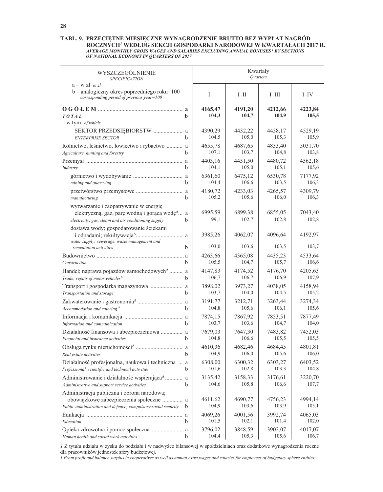# TABL. 9. PRZECIĘTNE MIESIĘCZNE WYNAGRODZENIE BRUTTO BEZ WYPŁAT NAGRÓD ROCZNYCH<sup>1</sup> WEDLUG SEKCJI GOSPODARKI NARODOWEJ W KWARTAŁACH 2017 R.<br>AVERAGE MONTHLY GROSS WAGES AND SALARIES EXCLUDING ANNUAL BONUSES<sup>1</sup> BY SECTIONS<br>OF NATIONAL ECONOMY IN QUARTERS OF 2017

| WYSZCZEGÓLNIENIE<br><b>SPECIFICATION</b>                                                                                                                       |                  | Kwartały<br>Quarters |                  |                  |  |  |
|----------------------------------------------------------------------------------------------------------------------------------------------------------------|------------------|----------------------|------------------|------------------|--|--|
| $a - w z t$ in zl<br>b - analogiczny okres poprzedniego roku=100<br>corresponding period of previous year=100                                                  | I                | $I$ -II              | $I$ -III         | $I$ -IV          |  |  |
| TOTAL<br>b<br>w tym: of which:                                                                                                                                 | 4165,47<br>104,3 | 4191,20<br>104,7     | 4212,66<br>104,9 | 4223,84<br>105,5 |  |  |
| SEKTOR PRZEDSIĘBIORSTW  a<br><b>ENTERPRISE SECTOR</b><br>b                                                                                                     | 4390,29<br>104,5 | 4432,22<br>105,0     | 4458,17<br>105,3 | 4529,19<br>105,9 |  |  |
| Rolnictwo, leśnictwo, łowiectwo i rybactwo  a<br>Agriculture, hunting and forestry<br>b                                                                        | 4655,78<br>107,1 | 4687,65<br>103,7     | 4833.40<br>104,8 | 5031,70<br>103,8 |  |  |
| b<br>Industry                                                                                                                                                  | 4403,16<br>104,1 | 4451,50<br>105,0     | 4480,72<br>105,1 | 4562,18<br>105,6 |  |  |
| b<br>mining and quarrying                                                                                                                                      | 6361,60<br>104,4 | 6475,12<br>106,6     | 6530,78<br>103,5 | 7177,92<br>106,3 |  |  |
| b<br>manufacturing                                                                                                                                             | 4180,72<br>105,2 | 4233,03<br>105,6     | 4265,57<br>106,0 | 4309,79<br>106,3 |  |  |
| wytwarzanie i zaopatrywanie w energię<br>elektryczną, gaz, parę wodną i gorącą wodę <sup>4</sup> a<br>electricity, gas, steam and air conditioning supply<br>b | 6995,59<br>99,1  | 6899,38<br>102,7     | 6855,05<br>102,8 | 7043,40<br>102,8 |  |  |
| dostawa wody; gospodarowanie ściekami<br>water supply; sewerage, waste management and<br>h                                                                     | 3985,26<br>103,0 | 4062,07<br>103,6     | 4096,64<br>103,5 | 4192,97<br>103,7 |  |  |
| remediation activities<br>b                                                                                                                                    | 4263,66<br>105,5 | 4365,08<br>104,7     | 4435,23<br>105,7 | 4533,64<br>106,6 |  |  |
| Construction<br>Handel; naprawa pojazdów samochodowych <sup>4</sup> a<br>Trade; repair of motor vehicles <sup>4</sup><br>h.                                    | 4147,83<br>106,7 | 4174,52<br>106,7     | 4176,70<br>106,9 | 4205,63<br>107,9 |  |  |
| h<br>Transportation and storage                                                                                                                                | 3898,02<br>103,7 | 3973,27<br>104,0     | 4038,05<br>104,5 | 4158,94<br>105,2 |  |  |
| h<br>Accommodation and catering $^{\Delta}$                                                                                                                    | 3191,77<br>104,8 | 3212,71<br>105,6     | 3263,44<br>106,1 | 3274,34<br>105,6 |  |  |
| h<br>Information and communication                                                                                                                             | 7874,15<br>103,7 | 7867,92<br>103,6     | 7853,51<br>104,7 | 7877,49<br>104,0 |  |  |
| Działalność finansowa i ubezpieczeniowa  a<br>h<br>Financial and insurance activities                                                                          | 7679,03<br>104,8 | 7647,30<br>106,6     | 7483,82<br>105,5 | 7452,03<br>105,5 |  |  |
| Real estate activities                                                                                                                                         | 4610,36<br>104,9 | 4682,46<br>106,0     | 4684,45<br>105,6 | 4801,81<br>106,0 |  |  |
| Działalność profesjonalna, naukowa i techniczna  a<br>Professional, scientific and technical activities<br>b                                                   | 6308,00<br>101,6 | 6300,32<br>102,8     | 6303,27<br>103,3 | 6403,52<br>104,8 |  |  |
| Administrowanie i działalność wspierająca <sup><math>\triangle</math></sup> a<br>b<br>Administrative and support service activities                            | 3135,42<br>104,6 | 3158,33<br>105,8     | 3176,61<br>106,6 | 3220,70<br>107,7 |  |  |
| Administracja publiczna i obrona narodowa;<br>obowiązkowe zabezpieczenia społeczne  a<br>Public administration and defence; compulsory social security<br>b    | 4611,62<br>104,9 | 4690,77<br>103,6     | 4756,23<br>103,9 | 4994,14<br>105,1 |  |  |
| Education<br>b                                                                                                                                                 | 4069,26<br>101,5 | 4001,56<br>102,1     | 3992,74<br>101,4 | 4065,03<br>102,0 |  |  |
| Human health and social work activities<br>b                                                                                                                   | 3796,02<br>104,4 | 3848,59<br>105,3     | 3902,07<br>105,6 | 4017,07<br>106,7 |  |  |

I Z tytułu udziału w zysku do podziału i w nadwyżce bilansowej w spółdzielniach oraz dodatkowe wynagrodzenia roczne dla pracowników jednostek sfery budżetowej.

I From profit and balance surplus in cooperatives as well as annual extra wages and salaries for employees of budgetary sphere entities.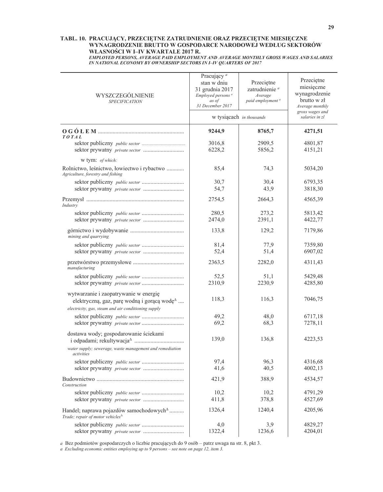### TABL. 10. PRACUJĄCY, PRZECIĘTNE ZATRUDNIENIE ORAZ PRZECIĘTNE MIESIĘCZNE WYNAGRODZENIE BRUTTO W GOSPODARCE NARODOWEJ WEDŁUG SEKTORÓW WŁASNOŚCI W I-IV KWARTALE 2017 R.

EMPLOYED PERSONS, AVERAGE PAID EMPLOYMENT AND AVERAGE MONTHLY GROSS WAGES AND SALARIES IN NATIONAL ECONOMY BY OWNERSHIP SECTORS IN I-IV QUARTERS OF 2017

| WYSZCZEGÓLNIENIE<br><b>SPECIFICATION</b>                                                                                                                                     | Pracujący <sup>a</sup><br>stan w dniu<br>31 grudnia 2017<br>Employed persons <sup>a</sup><br>as of | Przeciętne<br>zatrudnienie <sup>a</sup><br>Average<br>paid employment <sup>a</sup> | Przeciętne<br>miesięczne<br>wynagrodzenie<br>brutto w zł<br>Average monthly |  |  |
|------------------------------------------------------------------------------------------------------------------------------------------------------------------------------|----------------------------------------------------------------------------------------------------|------------------------------------------------------------------------------------|-----------------------------------------------------------------------------|--|--|
|                                                                                                                                                                              |                                                                                                    | 31 December 2017<br>w tysiącach in thousands                                       |                                                                             |  |  |
| <b>TOTAL</b>                                                                                                                                                                 | 9244,9                                                                                             | 8765,7                                                                             | 4271,51                                                                     |  |  |
|                                                                                                                                                                              | 3016,8<br>6228,2                                                                                   | 2909,5<br>5856,2                                                                   | 4801,87<br>4151,21                                                          |  |  |
| w tym: of which:                                                                                                                                                             |                                                                                                    |                                                                                    |                                                                             |  |  |
| Rolnictwo, leśnictwo, łowiectwo i rybactwo<br>Agriculture, forestry and fishing                                                                                              | 85,4                                                                                               | 74,3                                                                               | 5034,20                                                                     |  |  |
|                                                                                                                                                                              | 30,7<br>54,7                                                                                       | 30,4<br>43,9                                                                       | 6793,35<br>3818,30                                                          |  |  |
| Industry                                                                                                                                                                     | 2754,5                                                                                             | 2664,3                                                                             | 4565,39                                                                     |  |  |
|                                                                                                                                                                              | 280,5<br>2474,0                                                                                    | 273,2<br>2391,1                                                                    | 5813,42<br>4422,77                                                          |  |  |
| mining and quarrying                                                                                                                                                         | 133,8                                                                                              | 129,2                                                                              | 7179,86                                                                     |  |  |
|                                                                                                                                                                              | 81,4<br>52,4                                                                                       | 77,9<br>51,4                                                                       | 7359,80<br>6907,02                                                          |  |  |
| manufacturing                                                                                                                                                                | 2363,5                                                                                             | 2282,0                                                                             | 4311,43                                                                     |  |  |
|                                                                                                                                                                              | 52,5<br>2310,9                                                                                     | 51,1<br>2230,9                                                                     | 5429,48<br>4285,80                                                          |  |  |
| wytwarzanie i zaopatrywanie w energię<br>elektryczną, gaz, parę wodną i gorącą wodę <sup><math>\triangle</math></sup><br>electricity, gas, steam and air conditioning supply | 118,3                                                                                              | 116,3                                                                              | 7046,75                                                                     |  |  |
|                                                                                                                                                                              | 49,2                                                                                               | 48,0                                                                               | 6717,18                                                                     |  |  |
|                                                                                                                                                                              | 69,2                                                                                               | 68,3                                                                               | 7278,11                                                                     |  |  |
| dostawa wody; gospodarowanie ściekami<br>water supply; sewerage, waste management and remediation                                                                            | 139,0                                                                                              | 136,8                                                                              | 4223,53                                                                     |  |  |
| activities                                                                                                                                                                   |                                                                                                    |                                                                                    |                                                                             |  |  |
|                                                                                                                                                                              | 97,4<br>41,6                                                                                       | 96,3<br>40,5                                                                       | 4316,68<br>4002,13                                                          |  |  |
| Construction                                                                                                                                                                 | 421,9                                                                                              | 388,9                                                                              | 4534,57                                                                     |  |  |
|                                                                                                                                                                              | 10,2                                                                                               | 10,2                                                                               | 4791,29                                                                     |  |  |
|                                                                                                                                                                              | 411,8                                                                                              | 378,8                                                                              | 4527,69                                                                     |  |  |
| Handel; naprawa pojazdów samochodowych <sup><math>\triangle</math></sup><br>Trade; repair of motor vehicles <sup><math>\Delta</math></sup>                                   | 1326,4                                                                                             | 1240,4                                                                             | 4205,96                                                                     |  |  |
|                                                                                                                                                                              | 4,0                                                                                                | 3,9                                                                                | 4829,27                                                                     |  |  |
| sektor prywatny private sector                                                                                                                                               | 1322,4                                                                                             | 1236,6                                                                             | 4204,01                                                                     |  |  |

a Bez podmiotów gospodarczych o liczbie pracujących do 9 osób - patrz uwaga na str. 8, pkt 3.

a Excluding economic entities employing up to  $9$  persons – see note on page 12, item 3.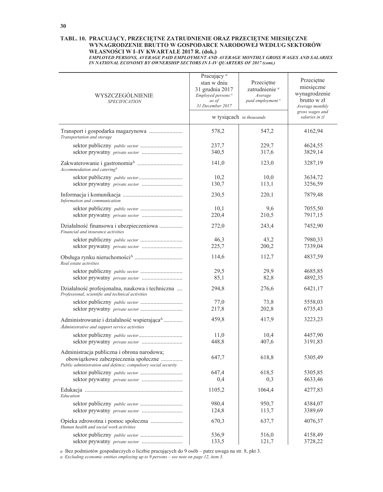### TABL. 10. PRACUJĄCY, PRZECIĘTNE ZATRUDNIENIE ORAZ PRZECIĘTNE MIESIĘCZNE WYNAGRODZENIE BRUTTO W GOSPODARCE NARODOWEJ WEDŁUG SEKTORÓW WŁASNOŚCI W I-IV KWARTALE 2017 R. (dok.)

EMPLOYED PERSONS, AVERAGE PAID EMPLOYMENT AND AVERAGE MONTHLY GROSS WAGES AND SALARIES IN NATIONAL ECONOMY BY OWNERSHIP SECTORS IN I-IV QUARTERS OF 2017 (cont.)

| WYSZCZEGÓLNIENIE<br><b>SPECIFICATION</b>                                                                                                            | Pracujący <sup>a</sup><br>stan w dniu<br>31 grudnia 2017<br>Employed persons <sup>a</sup><br>as of<br>31 December 2017 | Przeciętne<br>zatrudnienie <sup>a</sup><br>Average<br>paid employment <sup>a</sup> | Przeciętne<br>miesięczne<br>wynagrodzenie<br>brutto w zł<br>Average monthly |  |
|-----------------------------------------------------------------------------------------------------------------------------------------------------|------------------------------------------------------------------------------------------------------------------------|------------------------------------------------------------------------------------|-----------------------------------------------------------------------------|--|
|                                                                                                                                                     |                                                                                                                        | w tysiącach in thousands                                                           | gross wages and<br>salaries in zl                                           |  |
| Transportation and storage                                                                                                                          | 578,2                                                                                                                  | 547,2                                                                              | 4162,94                                                                     |  |
|                                                                                                                                                     | 237,7<br>340,5                                                                                                         | 229,7<br>317,6                                                                     | 4624,55<br>3829,14                                                          |  |
| Accommodation and catering $^{\Delta}$                                                                                                              | 141,0                                                                                                                  | 123,0                                                                              | 3287,19                                                                     |  |
|                                                                                                                                                     | 10,2<br>130,7                                                                                                          | 10,0<br>113,1                                                                      | 3634,72<br>3256,59                                                          |  |
| Information and communication                                                                                                                       | 230,5                                                                                                                  | 220,1                                                                              | 7879,48                                                                     |  |
|                                                                                                                                                     | 10,1                                                                                                                   | 9,6                                                                                | 7055,50                                                                     |  |
| Działalność finansowa i ubezpieczeniowa                                                                                                             | 220,4<br>272,0                                                                                                         | 210,5<br>243,4                                                                     | 7917,15<br>7452,90                                                          |  |
| Financial and insurance activities                                                                                                                  | 46,3                                                                                                                   | 43,2                                                                               | 7980,33                                                                     |  |
| sektor prywatny private sector                                                                                                                      | 225,7                                                                                                                  | 200,2                                                                              | 7339,04                                                                     |  |
| Real estate activities                                                                                                                              | 114,6                                                                                                                  | 112,7                                                                              | 4837,59                                                                     |  |
|                                                                                                                                                     | 29,5<br>85,1                                                                                                           | 29,9<br>82,8                                                                       | 4685,85<br>4892,35                                                          |  |
| Działalność profesjonalna, naukowa i techniczna<br>Professional, scientific and technical activities                                                | 294,8                                                                                                                  | 276,6                                                                              | 6421,17                                                                     |  |
|                                                                                                                                                     | 77,0<br>217,8                                                                                                          | 73,8<br>202,8                                                                      | 5558,03<br>6735,43                                                          |  |
| Administrowanie i działalność wspierająca <sup><math>\triangle</math></sup>                                                                         | 459,8                                                                                                                  | 417,9                                                                              | 3223,23                                                                     |  |
| Administrative and support service activities                                                                                                       |                                                                                                                        |                                                                                    |                                                                             |  |
| sektor prywatny private sector                                                                                                                      | 11,0<br>448,8                                                                                                          | 10,4<br>407,6                                                                      | 4457,90<br>3191,83                                                          |  |
| Administracja publiczna i obrona narodowa;<br>obowiązkowe zabezpieczenia społeczne<br>Public administration and defence; compulsory social security | 647,7                                                                                                                  | 618,8                                                                              | 5305,49                                                                     |  |
|                                                                                                                                                     | 647,4<br>0,4                                                                                                           | 618,5<br>0,3                                                                       | 5305,85<br>4633,46                                                          |  |
| Education                                                                                                                                           | 1105,2                                                                                                                 | 1064,4                                                                             | 4277,83                                                                     |  |
|                                                                                                                                                     | 980,4<br>124,8                                                                                                         | 950,7<br>113,7                                                                     | 4384,07<br>3389,69                                                          |  |
| Opieka zdrowotna i pomoc społeczna                                                                                                                  | 670,3                                                                                                                  | 637,7                                                                              | 4076,37                                                                     |  |
| Human health and social work activities                                                                                                             | 536,9                                                                                                                  | 516,0                                                                              | 4158,49                                                                     |  |
| sektor prywatny private sector                                                                                                                      | 133,5                                                                                                                  | 121,7                                                                              | 3728,22                                                                     |  |

 $a$  Bez podmiotów gospodarczych o liczbie pracujących do 9 osób – patrz uwaga na str. 8, pkt 3.

a Excluding economic entities employing up to 9 persons – see note on page 12, item 3.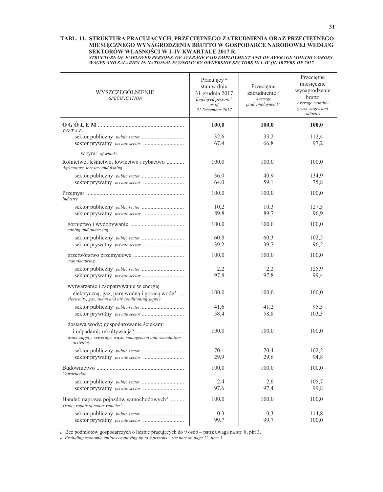### TABL. 11. STRUKTURA PRACUJĄCYCH, PRZECIĘTNEGO ZATRUDNIENIA ORAZ PRZECIĘTNEGO MIESIĘCZNEGO WYNAGRODZENIA BRUTTO W GOSPODARCE NARODOWEJ WEDŁUG SEKTORÓW WŁASNOŚCI W I-IV KWARTALE 2017 R.

STRUCTURE OF EMPLOYED PERSONS, OF AVERAGE PAID EMPLOYMENT AND OF AVERAGE MONTHLY GROSS WAGES AND SALARIES IN NATIONAL ECONOMY BY OWNERSHIP SECTORS IN I-IV QUARTERS OF 2017

| WYSZCZEGÓLNIENIE<br><b>SPECIFICATION</b>                                                                                            | Pracujący <sup>a</sup><br>stan w dniu<br>31 grudnia 2017<br>Employed persons <sup>a</sup><br>as of<br>31 December 2017 | Przeciętne<br>zatrudnienie <sup>a</sup><br>Average<br>paid employment <sup>a</sup> | Przeciętne<br>miesięczne<br>wynagrodzenie<br>brutto<br>Average monthly<br>gross wages and<br>salaries |
|-------------------------------------------------------------------------------------------------------------------------------------|------------------------------------------------------------------------------------------------------------------------|------------------------------------------------------------------------------------|-------------------------------------------------------------------------------------------------------|
| TOTAL                                                                                                                               | 100,0                                                                                                                  | 100,0                                                                              | 100,0                                                                                                 |
|                                                                                                                                     | 32,6<br>67,4                                                                                                           | 33,2<br>66,8                                                                       | 112,4<br>97,2                                                                                         |
| w tym: of which:                                                                                                                    |                                                                                                                        |                                                                                    |                                                                                                       |
| Rolnictwo, leśnictwo, łowiectwo i rybactwo<br>Agriculture, forestry and fishing                                                     | 100,0                                                                                                                  | 100,0                                                                              | 100,0                                                                                                 |
|                                                                                                                                     | 36,0                                                                                                                   | 40,9                                                                               | 134,9                                                                                                 |
|                                                                                                                                     | 64,0                                                                                                                   | 59,1                                                                               | 75,8                                                                                                  |
| Industry                                                                                                                            | 100,0                                                                                                                  | 100,0                                                                              | 100,0                                                                                                 |
|                                                                                                                                     | 10,2                                                                                                                   | 10,3                                                                               | 127,3                                                                                                 |
| sektor prywatny private sector                                                                                                      | 89,8                                                                                                                   | 89,7                                                                               | 96,9                                                                                                  |
| mining and quarrying                                                                                                                | 100,0                                                                                                                  | 100,0                                                                              | 100,0                                                                                                 |
|                                                                                                                                     | 60,8                                                                                                                   | 60,3                                                                               | 102,5                                                                                                 |
|                                                                                                                                     | 39,2                                                                                                                   | 39,7                                                                               | 96,2                                                                                                  |
| manufacturing                                                                                                                       | 100,0                                                                                                                  | 100,0                                                                              | 100,0                                                                                                 |
|                                                                                                                                     | 2,2                                                                                                                    | 2,2                                                                                | 125,9                                                                                                 |
|                                                                                                                                     | 97,8                                                                                                                   | 97,8                                                                               | 99,4                                                                                                  |
| wytwarzanie i zaopatrywanie w energię                                                                                               |                                                                                                                        |                                                                                    |                                                                                                       |
| elektryczną, gaz, parę wodną i gorącą wodę <sup><math>\triangle</math></sup><br>electricity, gas, steam and air conditioning supply | 100,0                                                                                                                  | 100,0                                                                              | 100,0                                                                                                 |
|                                                                                                                                     | 41,6                                                                                                                   | 41,2                                                                               | 95,3                                                                                                  |
|                                                                                                                                     | 58,4                                                                                                                   | 58,8                                                                               | 103,3                                                                                                 |
| dostawa wody; gospodarowanie ściekami<br>water supply; sewerage, waste management and remediation<br>activities                     | 100,0                                                                                                                  | 100,0                                                                              | 100,0                                                                                                 |
|                                                                                                                                     | 70,1                                                                                                                   | 70,4                                                                               | 102,2                                                                                                 |
|                                                                                                                                     | 29.9                                                                                                                   | 29,6                                                                               | 94,8                                                                                                  |
| Construction                                                                                                                        | 100,0                                                                                                                  | 100,0                                                                              | 100,0                                                                                                 |
|                                                                                                                                     | 2,4                                                                                                                    | 2,6                                                                                | 105,7                                                                                                 |
|                                                                                                                                     | 97,6                                                                                                                   | 97,4                                                                               | 99,8                                                                                                  |
| Handel; naprawa pojazdów samochodowych <sup>4</sup><br>Trade; repair of motor vehicles <sup><math>\Delta</math></sup>               | 100,0                                                                                                                  | 100,0                                                                              | 100,0                                                                                                 |
|                                                                                                                                     | 0,3                                                                                                                    | 0,3                                                                                | 114,8                                                                                                 |
|                                                                                                                                     | 99,7                                                                                                                   | 99,7                                                                               | 100,0                                                                                                 |

a Bez podmiotów gospodarczych o liczbie pracujących do 9 osób - patrz uwaga na str. 8, pkt 3.

a Excluding economic entities employing up to  $9$  persons – see note on page 12, item 3.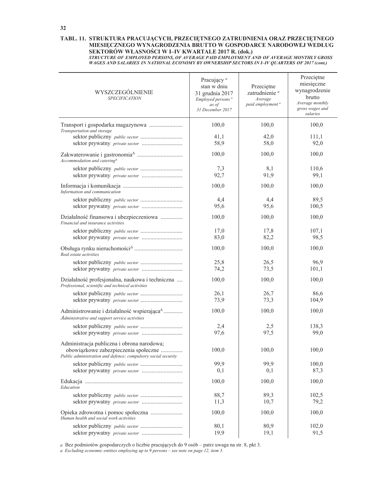### TABL. 11. STRUKTURA PRACUJĄCYCH, PRZECIĘTNEGO ZATRUDNIENIA ORAZ PRZECIĘTNEGO MIESIĘCZNEGO WYNAGRODZENIA BRUTTO W GOSPODARCE NARODOWEJ WEDŁUG SEKTORÓW WŁASNOŚCI W I-IV KWARTALE 2017 R. (dok.)

STRUCTURE OF EMPLOYED PERSONS, OF AVERAGE PAID EMPLOYMENT AND OF AVERAGE MONTHLY GROSS WAGES AND SALARIES IN NATIONAL ECONOMY BY OWNERSHIP SECTORS IN I-IV QUARTERS OF 2017 (cont.)

| WYSZCZEGÓLNIENIE<br><b>SPECIFICATION</b>                                                                                                            | Pracujący <sup>a</sup><br>stan w dniu<br>31 grudnia 2017<br>Employed persons <sup>a</sup><br>as of<br>31 December 2017 | Przeciętne<br>zatrudnienie <sup>a</sup><br>Average<br>paid employment <sup>a</sup> | Przeciętne<br>miesięczne<br>wynagrodzenie<br>brutto<br>Average monthly<br>gross wages and<br>salaries |
|-----------------------------------------------------------------------------------------------------------------------------------------------------|------------------------------------------------------------------------------------------------------------------------|------------------------------------------------------------------------------------|-------------------------------------------------------------------------------------------------------|
| Transportation and storage                                                                                                                          | 100,0                                                                                                                  | 100,0                                                                              | 100,0                                                                                                 |
|                                                                                                                                                     | 41,1<br>58,9                                                                                                           | 42,0<br>58,0                                                                       | 111,1<br>92,0                                                                                         |
| $A c$ commodation and catering $^{\Delta}$                                                                                                          | 100,0                                                                                                                  | 100,0                                                                              | 100,0                                                                                                 |
|                                                                                                                                                     | 7,3<br>92,7                                                                                                            | 8,1<br>91,9                                                                        | 110,6<br>99,1                                                                                         |
| Information and communication                                                                                                                       | 100,0                                                                                                                  | 100,0                                                                              | 100,0                                                                                                 |
|                                                                                                                                                     | 4,4<br>95,6                                                                                                            | 4,4<br>95,6                                                                        | 89,5<br>100,5                                                                                         |
| Działalność finansowa i ubezpieczeniowa<br>Financial and insurance activities                                                                       | 100,0                                                                                                                  | 100,0                                                                              | 100,0                                                                                                 |
|                                                                                                                                                     | 17,0<br>83,0                                                                                                           | 17,8<br>82,2                                                                       | 107,1<br>98,5                                                                                         |
| Real estate activities                                                                                                                              | 100,0                                                                                                                  | 100,0                                                                              | 100,0                                                                                                 |
| sektor prywatny private sector                                                                                                                      | 25,8<br>74,2                                                                                                           | 26,5<br>73,5                                                                       | 96,9<br>101,1                                                                                         |
| Działalność profesjonalna, naukowa i techniczna<br>Professional, scientific and technical activities                                                | 100,0                                                                                                                  | 100,0                                                                              | 100,0                                                                                                 |
|                                                                                                                                                     | 26,1<br>73,9                                                                                                           | 26,7<br>73,3                                                                       | 86,6<br>104,9                                                                                         |
| Administrowanie i działalność wspierająca <sup><math>\triangle</math></sup><br>Administrative and support service activities                        | 100,0                                                                                                                  | 100,0                                                                              | 100,0                                                                                                 |
|                                                                                                                                                     | 2,4                                                                                                                    | 2,5                                                                                | 138,3                                                                                                 |
|                                                                                                                                                     | 97,6                                                                                                                   | 97,5                                                                               | 99,0                                                                                                  |
| Administracja publiczna i obrona narodowa;<br>obowiązkowe zabezpieczenia społeczne<br>Public administration and defence; compulsory social security | 100,0                                                                                                                  | 100,0                                                                              | 100,0                                                                                                 |
|                                                                                                                                                     | 99,9                                                                                                                   | 99,9                                                                               | 100,0                                                                                                 |
|                                                                                                                                                     | 0,1                                                                                                                    | 0,1                                                                                | 87,3                                                                                                  |
| Education                                                                                                                                           | 100,0                                                                                                                  | 100,0                                                                              | 100,0                                                                                                 |
|                                                                                                                                                     | 88,7<br>11,3                                                                                                           | 89,3<br>10,7                                                                       | 102,5<br>79,2                                                                                         |
| Human health and social work activities                                                                                                             | 100,0                                                                                                                  | 100,0                                                                              | 100,0                                                                                                 |
|                                                                                                                                                     | 80,1                                                                                                                   | 80,9                                                                               | 102,0                                                                                                 |
|                                                                                                                                                     | 19,9                                                                                                                   | 19,1                                                                               | 91,5                                                                                                  |

a Bez podmiotów gospodarczych o liczbie pracujących do 9 osób - patrz uwaga na str. 8, pkt 3.

a Excluding economic entities employing up to 9 persons - see note on page 12, item 3.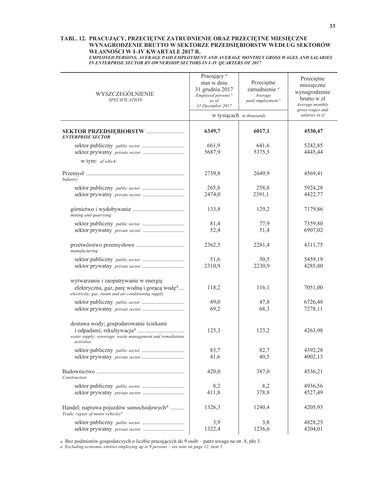### TABL. 12. PRACUJĄCY, PRZECIĘTNE ZATRUDNIENIE ORAZ PRZECIĘTNE MIESIĘCZNE<br>WYNAGRODZENIE BRUTTO W SEKTORZE PRZEDSIĘBIORSTW WEDŁUG SEKTORÓW WŁASNOŚCI W I-IV KWARTALE 2017 R.

| EMPLOYED PERSONS, AVERAGE PAID EMPLOYMENT AND AVERAGE MONTHLY GROSS WAGES AND SALARIES |
|----------------------------------------------------------------------------------------|
| IN ENTERPRISE SECTOR BY OWNERSHIP SECTORS IN I-IV OUARTERS OF 2017                     |

| WYSZCZEGÓLNIENIE<br><b>SPECIFICATION</b>                                                                                                                | Pracujący <sup>a</sup><br>stan w dniu<br>31 grudnia 2017<br>Employed persons <sup>a</sup><br>as of<br>31 December 2017<br>w tysiącach in thousands | Przeciętne<br>zatrudnienie <sup>a</sup><br>Average<br>paid employment <sup>a</sup> | Przeciętne<br>miesięczne<br>wynagrodzenie<br>brutto w zł<br>Average monthly<br>gross wages and<br>salaries in zl |
|---------------------------------------------------------------------------------------------------------------------------------------------------------|----------------------------------------------------------------------------------------------------------------------------------------------------|------------------------------------------------------------------------------------|------------------------------------------------------------------------------------------------------------------|
| <b>ENTERPRISE SECTOR</b>                                                                                                                                | 6349,7                                                                                                                                             | 6017,1                                                                             | 4530,47                                                                                                          |
|                                                                                                                                                         | 661,9<br>5687,9                                                                                                                                    | 641,6<br>5375,5                                                                    | 5242,85<br>4445,44                                                                                               |
| w tym: of which:                                                                                                                                        |                                                                                                                                                    |                                                                                    |                                                                                                                  |
| Industry                                                                                                                                                | 2739,8                                                                                                                                             | 2649,9                                                                             | 4569,41                                                                                                          |
|                                                                                                                                                         | 265,8<br>2474,0                                                                                                                                    | 258,8<br>2391,1                                                                    | 5924,28<br>4422,77                                                                                               |
| mining and quarrying                                                                                                                                    | 133,8                                                                                                                                              | 129,2                                                                              | 7179,86                                                                                                          |
| sektor prywatny private sector                                                                                                                          | 81,4<br>52,4                                                                                                                                       | 77,9<br>51,4                                                                       | 7359,80<br>6907,02                                                                                               |
| manufacturing                                                                                                                                           | 2362,5                                                                                                                                             | 2281,4                                                                             | 4311,75                                                                                                          |
|                                                                                                                                                         | 51,6<br>2310,9                                                                                                                                     | 50,5<br>2230,9                                                                     | 5459,19<br>4285,80                                                                                               |
| wytwarzanie i zaopatrywanie w energię<br>elektryczna, gaz, parę wodną i gorącą wodę <sup>4</sup><br>electricity, gas, steam and air conditioning supply | 118,2                                                                                                                                              | 116,1                                                                              | 7051,00                                                                                                          |
|                                                                                                                                                         | 49,0<br>69,2                                                                                                                                       | 47,8<br>68,3                                                                       | 6726,48<br>7278,11                                                                                               |
| dostawa wody; gospodarowanie ściekami<br>water supply; sewerage, waste management and remediation<br>activities                                         | 125,3                                                                                                                                              | 123,2                                                                              | 4263,98                                                                                                          |
| sektor prywatny private sector                                                                                                                          | 83,7<br>41,6                                                                                                                                       | 82,7<br>40,5                                                                       | 4392,28<br>4002,13                                                                                               |
| Construction                                                                                                                                            | 420,0                                                                                                                                              | 387,0                                                                              | 4536,21                                                                                                          |
|                                                                                                                                                         | 8,2<br>411,8                                                                                                                                       | 8,2<br>378,8                                                                       | 4936,56<br>4527,49                                                                                               |
| Handel; naprawa pojazdów samochodowych <sup>4</sup><br>Trade; repair of motor vehicles <sup><math>\Delta</math></sup>                                   | 1326,3                                                                                                                                             | 1240,4                                                                             | 4205,93                                                                                                          |
|                                                                                                                                                         | 3,9<br>1322,4                                                                                                                                      | 3,8<br>1236,6                                                                      | 4828,25<br>4204,01                                                                                               |

a Bez podmiotów gospodarczych o liczbie pracujących do 9 osób – patrz uwaga na str. 8, pkt 3. a Excluding economic entities employing up to 9 persons – see note on page 12, item 3.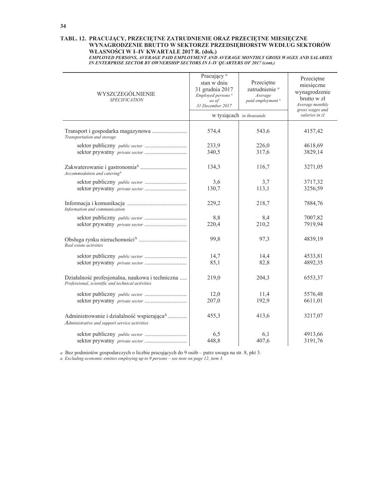### TABL. 12. PRACUJĄCY, PRZECIĘTNE ZATRUDNIENIE ORAZ PRZECIĘTNE MIESIĘCZNE<br>WYNAGRODZENIE BRUTTO W SEKTORZE PRZEDSIĘBIORSTW WEDŁUG SEKTORÓW WŁASNOŚCI W I-IV KWARTALE 2017 R. (dok.)

| EMPLOYED PERSONS, AVERAGE PAID EMPLOYMENT AND AVERAGE MONTHLY GROSS WAGES AND SALARIES |
|----------------------------------------------------------------------------------------|
| IN ENTERPRISE SECTOR BY OWNERSHIP SECTORS IN I-IV QUARTERS OF 2017 (cont.)             |

| WYSZCZEGÓLNIENIE<br><b>SPECIFICATION</b>                                                                                     | Pracujący <sup>a</sup><br>stan w dniu<br>31 grudnia 2017<br>Employed persons <sup>a</sup><br>as of<br>31 December 2017 | Przeciętne<br>zatrudnienie <sup>a</sup><br>Average<br>paid employment <sup>a</sup> | Przeciętne<br>miesięczne<br>wynagrodzenie<br>brutto w zł<br>Average monthly<br>gross wages and |
|------------------------------------------------------------------------------------------------------------------------------|------------------------------------------------------------------------------------------------------------------------|------------------------------------------------------------------------------------|------------------------------------------------------------------------------------------------|
|                                                                                                                              |                                                                                                                        | w tysiącach in thousands                                                           | salaries in zl                                                                                 |
| Transport i gospodarka magazynowa<br>Transportation and storage                                                              | 574,4                                                                                                                  | 543,6                                                                              | 4157,42                                                                                        |
|                                                                                                                              | 233,9<br>340,5                                                                                                         | 226,0<br>317,6                                                                     | 4618,69<br>3829,14                                                                             |
| $A c$ commodation and catering $^{\Delta}$                                                                                   | 134,3                                                                                                                  | 116,7                                                                              | 3271,05                                                                                        |
|                                                                                                                              | 3,6<br>130,7                                                                                                           | 3,7<br>113,1                                                                       | 3717,32<br>3256,59                                                                             |
| Information and communication                                                                                                | 229,2                                                                                                                  | 218,7                                                                              | 7884,76                                                                                        |
|                                                                                                                              | 8,8<br>220,4                                                                                                           | 8,4<br>210,2                                                                       | 7007,82<br>7919,94                                                                             |
| Real estate activities                                                                                                       | 99,8                                                                                                                   | 97,3                                                                               | 4839,19                                                                                        |
|                                                                                                                              | 14,7<br>85,1                                                                                                           | 14.4<br>82,8                                                                       | 4533.81<br>4892,35                                                                             |
| Działalność profesjonalna, naukowa i techniczna<br>Professional, scientific and technical activities                         | 219,0                                                                                                                  | 204,3                                                                              | 6553,37                                                                                        |
|                                                                                                                              | 12,0<br>207,0                                                                                                          | 11,4<br>192,9                                                                      | 5576,48<br>6611,01                                                                             |
| Administrowanie i działalność wspierająca <sup><math>\triangle</math></sup><br>Administrative and support service activities | 455,3                                                                                                                  | 413,6                                                                              | 3217,07                                                                                        |
|                                                                                                                              | 6,5<br>448,8                                                                                                           | 6,1<br>407,6                                                                       | 4913,66<br>3191,76                                                                             |

a Bez podmiotów gospodarczych o liczbie pracujących do 9 osób – patrz uwaga na str. 8, pkt 3. a Excluding economic entities employing up to 9 persons – see note on page 12, item 3.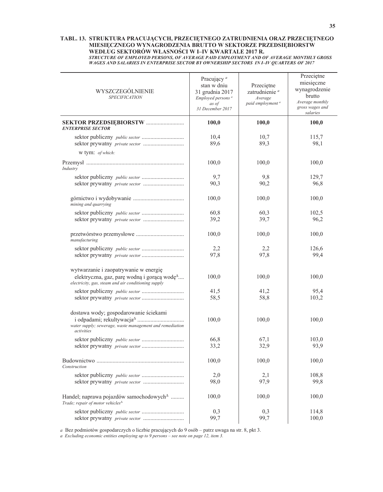#### TABL. 13. STRUKTURA PRACUJĄCYCH, PRZECIĘTNEGO ZATRUDNIENIA ORAZ PRZECIĘTNEGO MIESIĘCZNEGO WYNAGRODZENIA BRUTTO W SEKTORZE PRZEDSIĘBIORSTW WEDŁUG SEKTORÓW WŁASNOŚCI W I-IV KWARTALE 2017 R. STRUCTURE OF EMPLOYED PERSONS, OF AVERAGE PAID EMPLOYMENT AND OF AVERAGE MONTHLY GROSS **WAGES AND SALARIES IN ENTERPRISE SECTOR BY OWNERSHIP SECTORS IN I-IV QUARTERS OF 2017**

| WYSZCZEGÓLNIENIE<br><b>SPECIFICATION</b>                                                                              | Pracujący <sup>a</sup><br>stan w dniu<br>31 grudnia 2017<br>Employed persons <sup>a</sup><br>as of<br>31 December 2017 | Przeciętne<br>zatrudnienie <sup>a</sup><br>Average<br>paid employment <sup>a</sup> | Przeciętne<br>miesięczne<br>wynagrodzenie<br>brutto<br>Average monthly<br>gross wages and<br>salaries |
|-----------------------------------------------------------------------------------------------------------------------|------------------------------------------------------------------------------------------------------------------------|------------------------------------------------------------------------------------|-------------------------------------------------------------------------------------------------------|
| <b>ENTERPRISE SECTOR</b>                                                                                              | 100,0                                                                                                                  | 100,0                                                                              | 100,0                                                                                                 |
|                                                                                                                       | 10,4<br>89,6                                                                                                           | 10,7<br>89,3                                                                       | 115,7<br>98,1                                                                                         |
| w tym: of which:                                                                                                      |                                                                                                                        |                                                                                    |                                                                                                       |
| Industry                                                                                                              | 100,0                                                                                                                  | 100,0                                                                              | 100,0                                                                                                 |
|                                                                                                                       | 9,7<br>90,3                                                                                                            | 9,8<br>90,2                                                                        | 129,7<br>96,8                                                                                         |
| mining and quarrying                                                                                                  | 100,0                                                                                                                  | 100,0                                                                              | 100,0                                                                                                 |
|                                                                                                                       | 60,8                                                                                                                   | 60,3                                                                               | 102,5                                                                                                 |
|                                                                                                                       | 39,2                                                                                                                   | 39,7                                                                               | 96,2                                                                                                  |
| manufacturing                                                                                                         | 100,0                                                                                                                  | 100,0                                                                              | 100,0                                                                                                 |
|                                                                                                                       | 2,2                                                                                                                    | 2,2                                                                                | 126,6                                                                                                 |
|                                                                                                                       | 97,8                                                                                                                   | 97,8                                                                               | 99,4                                                                                                  |
| wytwarzanie i zaopatrywanie w energię                                                                                 |                                                                                                                        |                                                                                    |                                                                                                       |
| elektryczna, gaz, parę wodną i gorącą wodę <sup>4</sup><br>electricity, gas, steam and air conditioning supply        | 100,0                                                                                                                  | 100,0                                                                              | 100,0                                                                                                 |
|                                                                                                                       | 41,5                                                                                                                   | 41,2                                                                               | 95,4                                                                                                  |
|                                                                                                                       | 58,5                                                                                                                   | 58,8                                                                               | 103,2                                                                                                 |
| dostawa wody; gospodarowanie ściekami                                                                                 | 100,0                                                                                                                  | 100,0                                                                              | 100,0                                                                                                 |
| water supply; sewerage, waste management and remediation<br>activities                                                |                                                                                                                        |                                                                                    |                                                                                                       |
|                                                                                                                       | 66,8<br>33,2                                                                                                           | 67,1<br>32,9                                                                       | 103,0<br>93,9                                                                                         |
| Construction                                                                                                          | 100,0                                                                                                                  | 100,0                                                                              | 100,0                                                                                                 |
|                                                                                                                       | 2,0                                                                                                                    | 2,1                                                                                | 108,8                                                                                                 |
|                                                                                                                       | 98,0                                                                                                                   | 97,9                                                                               | 99,8                                                                                                  |
| Handel; naprawa pojazdów samochodowych <sup>4</sup><br>Trade; repair of motor vehicles <sup><math>\Delta</math></sup> | 100,0                                                                                                                  | 100,0                                                                              | 100,0                                                                                                 |
|                                                                                                                       | 0,3<br>99,7                                                                                                            | 0,3<br>99,7                                                                        | 114,8<br>100,0                                                                                        |

a Bez podmiotów gospodarczych o liczbie pracujących do 9 osób - patrz uwaga na str. 8, pkt 3.

a Excluding economic entities employing up to  $9$  persons – see note on page 12, item 3.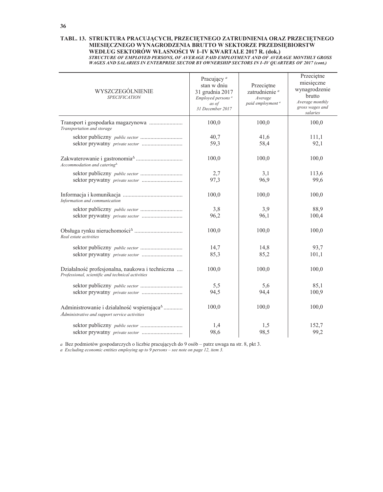## TABL. 13. STRUKTURA PRACUJĄCYCH, PRZECIĘTNEGO ZATRUDNIENIA ORAZ PRZECIĘTNEGO MIESIĘCZNEGO WYNAGRODZENIA BRUTTO W SEKTORZE PRZEDSIĘBIORSTW WEDŁUG SEKTORÓW WŁASNOŚCI W I-IV KWARTALE 2017 R. (dok.) VICTURE OF EMPLOYED PERSONS, OF AVERAGE PAID EMPLOYMENT AND OF AVERAGE MONTHLY GROSS<br>WAGES AND SALARIES IN ENTERPRISE SECTOR BY OWNERSHIP SECTORS IN I-IV QUARTERS OF 2017 (cont.)

| WYSZCZEGÓLNIENIE<br><b>SPECIFICATION</b>                                                                                     | Pracujący <sup>a</sup><br>stan w dniu<br>31 grudnia 2017<br>Employed persons <sup>a</sup><br>as of<br>31 December 2017 | Przeciętne<br>zatrudnienie <sup>a</sup><br>Average<br>paid employment <sup>a</sup> | Przeciętne<br>miesięczne<br>wynagrodzenie<br>brutto<br>Average monthly<br>gross wages and<br>salaries |  |
|------------------------------------------------------------------------------------------------------------------------------|------------------------------------------------------------------------------------------------------------------------|------------------------------------------------------------------------------------|-------------------------------------------------------------------------------------------------------|--|
| Transportation and storage                                                                                                   | 100,0                                                                                                                  | 100,0                                                                              | 100,0                                                                                                 |  |
| sektor prywatny private sector                                                                                               | 40,7<br>59,3                                                                                                           | 41,6<br>58,4                                                                       | 111,1<br>92,1                                                                                         |  |
| Accommodation and catering $^{\Delta}$                                                                                       | 100,0                                                                                                                  | 100,0                                                                              | 100,0                                                                                                 |  |
|                                                                                                                              | 2,7<br>97,3                                                                                                            | 3,1<br>96.9                                                                        | 113,6<br>99,6                                                                                         |  |
| Information and communication                                                                                                | 100,0                                                                                                                  | 100,0                                                                              | 100,0                                                                                                 |  |
|                                                                                                                              | 3,8<br>96,2                                                                                                            | 3,9<br>96,1                                                                        | 88,9<br>100,4                                                                                         |  |
| Real estate activities                                                                                                       | 100,0                                                                                                                  | 100,0                                                                              | 100,0                                                                                                 |  |
|                                                                                                                              | 14,7<br>85,3                                                                                                           | 14,8<br>85,2                                                                       | 93,7<br>101,1                                                                                         |  |
| Działalność profesjonalna, naukowa i techniczna<br>Professional, scientific and technical activities                         | 100,0                                                                                                                  | 100,0                                                                              | 100,0                                                                                                 |  |
|                                                                                                                              | 5,5<br>94,5                                                                                                            | 5,6<br>94,4                                                                        | 85.1<br>100,9                                                                                         |  |
| Administrowanie i działalność wspierająca <sup><math>\triangle</math></sup><br>Administrative and support service activities | 100,0                                                                                                                  | 100,0                                                                              | 100,0                                                                                                 |  |
| sektor prywatny private sector                                                                                               | 1,4<br>98,6                                                                                                            | 1,5<br>98,5                                                                        | 152,7<br>99,2                                                                                         |  |

a Bez podmiotów gospodarczych o liczbie pracujących do 9 osób – patrz uwaga na str. 8, pkt 3.

a Excluding economic entities employing up to  $9$  persons – see note on page 12, item 3.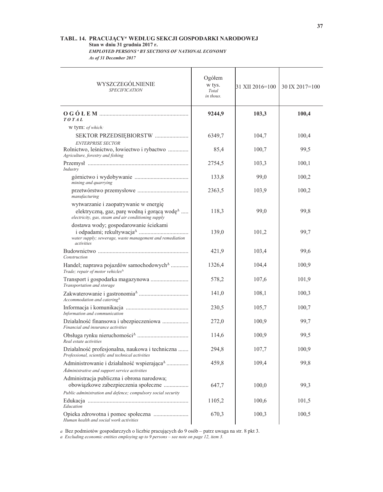## TABL. 14. PRACUJĄCY<sup>a</sup> WEDŁUG SEKCJI GOSPODARKI NARODOWEJ Stan w dniu 31 grudnia 2017 r.

**EMPLOYED PERSONS " BY SECTIONS OF NATIONAL ECONOMY** As of 31 December 2017

Ogółem WYSZCZEGÓLNIENIE w tys. 31 XII 2016=100 30 IX 2017=100 **SPECIFICATION** Total in thous. 103,3 9244,9 100,4 TOTAL w tym: of which: SEKTOR PRZEDSIĘBIORSTW ....................... 6349,7 104,7 100,4 **ENTERPRISE SECTOR** 99,5 Rolnictwo, leśnictwo, łowiectwo i rybactwo .............. 85,4 100,7 Agriculture, forestry and fishing 100.1 2754,5 103.3 Industry 133,8 99,0 100,2 mining and quarrying 2363.5 103.9 100.2 manufacturing wytwarzanie i zaopatrywanie w energię elektryczną, gaz, parę wodną i gorącą wodę<sup> $\Delta$ </sup>.... 118.3 99.0 99.8 electricity, gas, steam and air conditioning supply dostawa wody; gospodarowanie ściekami 139.0 99.7 101.2 water supply; sewerage, waste management and remediation activities 421.9 103.4 99.6 Construction Handel; naprawa pojazdów samochodowych<sup>4</sup> ........... 1326,4 104.4 100,9 Trade; repair of motor vehicles<sup> $\Delta$ </sup> Transport i gospodarka magazynowa ........................... 578.2 107.6 101.9 Transportation and storage 141,0 108,1 100,3 Accommodation and catering $^{\Delta}$ 230,5 105,7 100,7 Information and communication Działalność finansowa i ubezpieczeniowa ................. 272,0 100.9 99,7 Financial and insurance activities 99,5 114,6 100,9 Real estate activities Działalność profesjonalna, naukowa i techniczna ....... 294,8 107,7 100,9 Professional, scientific and technical activities 459.8 109.4 99.8 Administrowanie i działalność wspierająca<sup> $\triangle$ </sup>............... Administrative and support service activities Administracja publiczna i obrona narodowa; obowiązkowe zabezpieczenia społeczne ................ 647,7 100,0 99,3 Public administration and defence; compulsory social security 1105.2 100.6 101.5 Education Opieka zdrowotna i pomoc społeczna ......................... 670,3 100.3 100,5 Human health and social work activities

a Bez podmiotów gospodarczych o liczbie pracujących do 9 osób - patrz uwaga na str. 8 pkt 3.

a Excluding economic entities employing up to 9 persons - see note on page 12, item 3.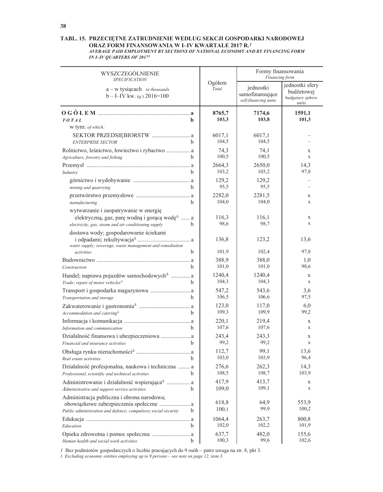#### TABL. 15. PRZECIĘTNE ZATRUDNIENIE WEDŁUG SEKCJI GOSPODARKI NARODOWEJ ORAZ FORM FINANSOWANIA W I–IV KWARTALE 2017 $\mathbf{R}^{I}$ AVERAGE PAID EMPLOYMENT BY SECTIONS OF NATIONAL ECONOMY AND BY FINANCING FORM **IN I-IV QUARTERS OF 2017**

| WYSZCZEGÓLNIENIE<br><b>SPECIFICATION</b>                                                                                                                    |                 | Formy finansowania<br>Financing form                 |                                                            |  |
|-------------------------------------------------------------------------------------------------------------------------------------------------------------|-----------------|------------------------------------------------------|------------------------------------------------------------|--|
| $a - w$ tysiącach in thousands<br>$b - I - IV$ kw. ( <i>q.</i> ) 2016=100                                                                                   | Ogółem<br>Total | jednostki<br>samofinansujące<br>self-financing units | jednostki sfery<br>budżetowej<br>budgetary sphere<br>units |  |
| TOTAL<br>b.                                                                                                                                                 | 8765,7<br>103,3 | 7174,6<br>103,8                                      | 1591,1<br>101,3                                            |  |
| w tym: of which:                                                                                                                                            |                 |                                                      |                                                            |  |
| SEKTOR PRZEDSIĘBIORSTW  a<br>h<br><b>ENTERPRISE SECTOR</b>                                                                                                  | 6017,1<br>104,5 | 6017,1<br>104,5                                      |                                                            |  |
| Rolnictwo, leśnictwo, łowiectwo i rybactwo  a<br><sub>b</sub><br>Agriculture, forestry and fishing                                                          | 74,3<br>100,5   | 74,1<br>100,5                                        | X<br>X                                                     |  |
|                                                                                                                                                             | 2664,3          | 2650,0                                               | 14,3                                                       |  |
| h.<br>Industry                                                                                                                                              | 103,2           | 103,2                                                | 97,8                                                       |  |
| <sub>b</sub><br>mining and quarrying                                                                                                                        | 129,2<br>95,5   | 129,2<br>95,5                                        |                                                            |  |
|                                                                                                                                                             | 2282,0          | 2281,5                                               | X                                                          |  |
| <sub>b</sub><br>manufacturing                                                                                                                               | 104,0           | 104,0                                                | X                                                          |  |
| wytwarzanie i zaopatrywanie w energię                                                                                                                       |                 |                                                      |                                                            |  |
| elektryczną, gaz, parę wodną i gorącą wodę <sup><math>\triangle</math></sup> a<br>electricity, gas, steam and air conditioning supply<br>b.                 | 116,3<br>98,6   | 116,1<br>98,7                                        | X<br>X                                                     |  |
| dostawa wody; gospodarowanie ściekami                                                                                                                       | 136,8           | 123,2                                                | 13,6                                                       |  |
| water supply; sewerage, waste management and remediation                                                                                                    |                 |                                                      |                                                            |  |
| activities<br>b                                                                                                                                             | 101,9           | 102,4                                                | 97,8                                                       |  |
| Construction<br>b.                                                                                                                                          | 388,9<br>101,0  | 388,0<br>101,0                                       | 1,0<br>98,6                                                |  |
| Handel; naprawa pojazdów samochodowych <sup>4</sup> a<br>Trade; repair of motor vehicles <sup>A</sup><br>b.                                                 | 1240,4<br>104,3 | 1240,4<br>104,3                                      | $\mathbf X$<br>X                                           |  |
| Transport i gospodarka magazynowa  a<br>Transportation and storage<br>b.                                                                                    | 547,2<br>106,5  | 543,6<br>106,6                                       | 3,6<br>97,5                                                |  |
| Accommodation and catering $^{\Delta}$<br><sub>b</sub>                                                                                                      | 123,0<br>109,3  | 117,0<br>109,9                                       | 6,0<br>99,2                                                |  |
| Information and communication<br>b.                                                                                                                         | 220,1<br>107,6  | 219,4<br>107,6                                       | X<br>X                                                     |  |
| Działalność finansowa i ubezpieczeniowa  a<br>Financial and insurance activities<br>b.                                                                      | 243,4<br>99,2   | 243,3<br>99,2                                        | X<br>X                                                     |  |
| b<br>Real estate activities                                                                                                                                 | 112,7<br>103,0  | 99,1<br>103,9                                        | 13,6<br>96,4                                               |  |
| Działalność profesjonalna, naukowa i techniczna  a<br>Professional, scientific and technical activities<br>b.                                               | 276,6<br>108,5  | 262,3<br>108,7                                       | 14,3<br>103,9                                              |  |
| Administrowanie i działalność wspierająca <sup><math>\triangle</math></sup> a<br>b.<br>Administrative and support service activities                        | 417,9<br>109,0  | 413,7<br>109,1                                       | X<br>X                                                     |  |
| Administracja publiczna i obrona narodowa;<br>obowiązkowe zabezpieczenia społeczne  a<br>Public administration and defence; compulsory social security<br>b | 618,8<br>100,1  | 64,9<br>99,9                                         | 553,9<br>100,2                                             |  |
| b.<br>Education                                                                                                                                             | 1064,4<br>102,0 | 263,7<br>102,2                                       | 800,8<br>101,9                                             |  |
|                                                                                                                                                             |                 |                                                      |                                                            |  |
| Opieka zdrowotna i pomoc społeczna  a<br>Human health and social work activities<br>b                                                                       | 637,7<br>100,3  | 482,0<br>99,6                                        | 155,6<br>102,6                                             |  |

*I* Bez podmiotów gospodarczych o liczbie pracujących do 9 osób – patrz uwaga na str. 8, pkt 3.

1 Excluding economic entities employing up to  $9$  persons - see note on page 12, item 3.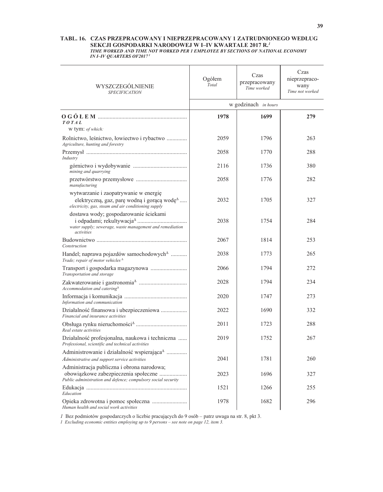#### TABL. 16. CZAS PRZEPRACOWANY I NIEPRZEPRACOWANY 1 ZATRUDNIONEGO WEDŁUG SEKCJI GOSPODARKI NARODOWEJ W I-IV KWARTALE 2017 R.<sup>1</sup> TIME WORKED AND TIME NOT WORKED PER 1 EMPLOYEE BY SECTIONS OF NATIONAL ECONOMY **IN I-IV QUARTERS OF20171**

| WYSZCZEGÓLNIENIE<br><b>SPECIFICATION</b>                                                                                                                                     | Ogółem<br>Total | Czas<br>przepracowany<br>Time worked | Czas<br>nieprzepraco-<br>wany<br>Time not worked |  |
|------------------------------------------------------------------------------------------------------------------------------------------------------------------------------|-----------------|--------------------------------------|--------------------------------------------------|--|
|                                                                                                                                                                              |                 | w godzinach in hours                 |                                                  |  |
|                                                                                                                                                                              | 1978            | 1699                                 | 279                                              |  |
| TOTAL<br>w tym: of which:                                                                                                                                                    |                 |                                      |                                                  |  |
| Rolnictwo, leśnictwo, łowiectwo i rybactwo<br>Agriculture, hunting and forestry                                                                                              | 2059            | 1796                                 | 263                                              |  |
| Industry                                                                                                                                                                     | 2058            | 1770                                 | 288                                              |  |
| mining and quarrying                                                                                                                                                         | 2116            | 1736                                 | 380                                              |  |
| manufacturing                                                                                                                                                                | 2058            | 1776                                 | 282                                              |  |
| wytwarzanie i zaopatrywanie w energię<br>elektryczną, gaz, parę wodną i gorącą wodę <sup><math>\triangle</math></sup><br>electricity, gas, steam and air conditioning supply | 2032            | 1705                                 | 327                                              |  |
| dostawa wody; gospodarowanie ściekami<br>water supply; sewerage, waste management and remediation<br>activities                                                              | 2038            | 1754                                 | 284                                              |  |
| Construction                                                                                                                                                                 | 2067            | 1814                                 | 253                                              |  |
| Handel; naprawa pojazdów samochodowych <sup>4</sup><br>Trade; repair of motor vehicles $^{\Delta}$                                                                           | 2038            | 1773                                 | 265                                              |  |
| Transportation and storage                                                                                                                                                   | 2066            | 1794                                 | 272                                              |  |
| Accommodation and catering $^{\Delta}$                                                                                                                                       | 2028            | 1794                                 | 234                                              |  |
| Information and communication                                                                                                                                                | 2020            | 1747                                 | 273                                              |  |
| Działalność finansowa i ubezpieczeniowa<br>Financial and insurance activities                                                                                                | 2022            | 1690                                 | 332                                              |  |
| Real estate activities                                                                                                                                                       | 2011            | 1723                                 | 288                                              |  |
| Działalność profesjonalna, naukowa i techniczna<br>Professional, scientific and technical activities                                                                         | 2019            | 1752                                 | 267                                              |  |
| Administrowanie i działalność wspierająca <sup><math>\triangle</math></sup><br>Administrative and support service activities                                                 | 2041            | 1781                                 | 260                                              |  |
| Administracja publiczna i obrona narodowa;<br>obowiązkowe zabezpieczenia społeczne<br>Public administration and defence; compulsory social security                          | 2023            | 1696                                 | 327                                              |  |
| Education                                                                                                                                                                    | 1521            | 1266                                 | 255                                              |  |
| Opieka zdrowotna i pomoc społeczna<br>Human health and social work activities                                                                                                | 1978            | 1682                                 | 296                                              |  |

*l* Bez podmiotów gospodarczych o liczbie pracujących do 9 osób – patrz uwaga na str. 8, pkt 3.<br>*l Excluding economic entities employing up to 9 persons – see note on page 12, item 3.*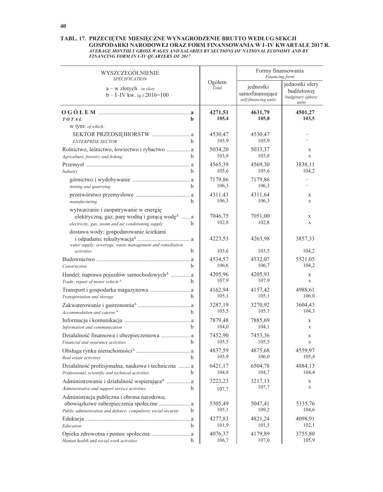# TABL. 17. PRZECIĘTNE MIESIĘCZNE WYNAGRODZENIE BRUTTO WEDŁUG SEKCJI COSPODARKI NARODOWEJ ORAZ FORM FINANSOWANIA W I-IV KWARTALE 2017 R.<br>AVERAGE MONTHLY GROSS WAGES AND SALARIES BY SECTIONS OF NATIONAL ECONOMY AND BY<br>FINANCING FORM IN I-IV QUARTERS OF 2017

| WYSZCZEGÓLNIENIE<br><b>SPECIFICATION</b>                                                                                                                                            |                  | Formy finansowania<br>Financing form                 |                                                            |  |
|-------------------------------------------------------------------------------------------------------------------------------------------------------------------------------------|------------------|------------------------------------------------------|------------------------------------------------------------|--|
| $a - w$ złotych <i>in zloty</i><br>$b - I - IV$ kw. ( <i>q.</i> ) 2016=100                                                                                                          | Ogółem<br>Total  | jednostki<br>samofinansujące<br>self-financing units | jednostki sfery<br>budżetowej<br>budgetary sphere<br>units |  |
| TOTAL<br>b.                                                                                                                                                                         | 4271,51<br>105,4 | 4631,79<br>105,8                                     | 4501,27<br>103,5                                           |  |
| w tym: of which:<br>SEKTOR PRZEDSIĘBIORSTW  a<br><b>ENTERPRISE SECTOR</b><br><sub>b</sub>                                                                                           | 4530,47<br>105,9 | 4530,47<br>105,9                                     |                                                            |  |
| Rolnictwo, leśnictwo, łowiectwo i rybactwo  a<br>b<br>Agriculture, forestry and fishing                                                                                             | 5034,20<br>103,8 | 5033,37<br>103,8                                     | X<br>$\mathbf X$                                           |  |
| b<br>Industry                                                                                                                                                                       | 4565,39<br>105,6 | 4569,30<br>105,6                                     | 3838,11<br>104,2                                           |  |
| $\mathbf b$<br>mining and quarrying                                                                                                                                                 | 7179,86<br>106,3 | 7179,86<br>106,3                                     |                                                            |  |
| b<br>manufacturing                                                                                                                                                                  | 4311,43<br>106,3 | 4311,64<br>106,3                                     | X<br>$\mathbf x$                                           |  |
| wytwarzanie i zaopatrywanie w energię<br>elektryczną, gaz, parę wodną i gorącą wodę <sup><math>\triangle</math></sup> a<br>electricity, gas, steam and air conditioning supply<br>b | 7046,75<br>102,8 | 7051,00<br>102,8                                     | X<br>$\mathbf X$                                           |  |
| dostawa wody; gospodarowanie ściekami<br>water supply; sewerage, waste management and remediation                                                                                   | 4223,53          | 4263,98                                              | 3857,33                                                    |  |
| b<br>activities                                                                                                                                                                     | 103,6            | 103,5                                                | 104,2                                                      |  |
| <sub>b</sub><br>Construction                                                                                                                                                        | 4534,57<br>106,6 | 4532,07<br>106,7                                     | 5521,05<br>104,2                                           |  |
| Handel; naprawa pojazdów samochodowych <sup>A</sup> a<br>Trade; repair of motor vehicle <sup><math>\triangle</math></sup><br>b                                                      | 4205,96<br>107,9 | 4205,93<br>107,9                                     | X<br>$\mathbf X$                                           |  |
| Transportation and storage<br>b.                                                                                                                                                    | 4162,94<br>105,1 | 4157,42<br>105,1                                     | 4988,61<br>106,0                                           |  |
| Accommodation and caterin $^{\Delta}$<br>b.                                                                                                                                         | 3287,19<br>105,5 | 3270,92<br>105,7                                     | 3604,43<br>104,3                                           |  |
| Information and communication<br><sub>b</sub>                                                                                                                                       | 7879,48<br>104,0 | 7885,69<br>104,1                                     | X<br>X                                                     |  |
| Działalność finansowa i ubezpieczeniowa  a<br>Financial and insurance activities<br>b                                                                                               | 7452,90<br>105,5 | 7453,36<br>105,5                                     | X<br>$\mathbf x$                                           |  |
| b<br>Real estate activities                                                                                                                                                         | 4837,59<br>105,9 | 4875,68<br>106,0                                     | 4559,97<br>105,4                                           |  |
| Działalność profesjonalna, naukowa i techniczna  a<br>Professional, scientific and technical activities<br>b.                                                                       | 6421,17<br>104,8 | 6504,78<br>104,7                                     | 4884,13<br>104,4                                           |  |
| Administrowanie i działalność wspierająca <sup><math>\triangle</math></sup> a<br>b<br>Administrative and support service activities                                                 | 3223,23<br>107,7 | 3217,13<br>107,7                                     | X<br>X                                                     |  |
| Administracja publiczna i obrona narodowa;<br>obowiązkowe zabezpieczenia społeczne  a                                                                                               | 5305,49          | 5047,41                                              | 5335,76                                                    |  |
| Public administration and defence; compulsory social security<br>b                                                                                                                  | 105,1            | 109,2                                                | 104,6                                                      |  |
| b<br>Education                                                                                                                                                                      | 4277,83<br>101,9 | 4821,24<br>101,5                                     | 4098,91<br>102,1                                           |  |
| Human health and social work activities<br>$\mathbf b$                                                                                                                              | 4076,37<br>106,7 | 4179,89<br>107,0                                     | 3755,80<br>105,9                                           |  |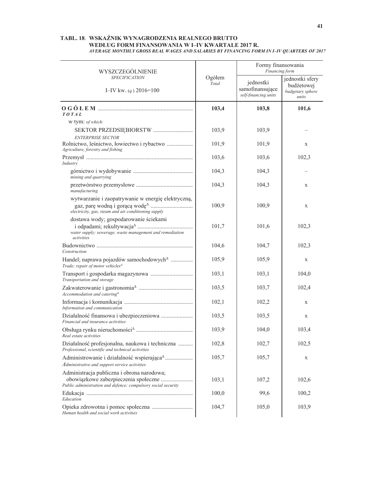### TABL. 18. WSKAŹNIK WYNAGRODZENIA REALNEGO BRUTTO WEDŁUG FORM FINANSOWANIA W I-IV KWARTALE 2017 R. AVERAGE MONTHLY GROSS REAL WAGES AND SALARIES BY FINANCING FORM IN I-IV QUARTERS OF 2017

| WYSZCZEGÓLNIENIE                                                                                                |                 | Formy finansowania<br>Financing form                 |                                                            |  |
|-----------------------------------------------------------------------------------------------------------------|-----------------|------------------------------------------------------|------------------------------------------------------------|--|
| <b>SPECIFICATION</b><br>I-IV kw. $(q.) 2016=100$                                                                | Ogółem<br>Total | jednostki<br>samofinansujące<br>self-financing units | jednostki sfery<br>budżetowej<br>budgetary sphere<br>units |  |
| TOTAL                                                                                                           | 103,4           | 103,8                                                | 101,6                                                      |  |
| w tym: of which:                                                                                                |                 |                                                      |                                                            |  |
| SEKTOR PRZEDSIĘBIORSTW                                                                                          | 103,9           | 103,9                                                |                                                            |  |
| <b>ENTERPRISE SECTOR</b><br>Rolnictwo, leśnictwo, łowiectwo i rybactwo<br>Agriculture, forestry and fishing     | 101,9           | 101,9                                                | X                                                          |  |
| Industry                                                                                                        | 103,6           | 103,6                                                | 102,3                                                      |  |
| mining and quarrying                                                                                            | 104,3           | 104,3                                                |                                                            |  |
| manufacturing                                                                                                   | 104,3           | 104,3                                                | X                                                          |  |
| wytwarzanie i zaopatrywanie w energię elektryczną,<br>electricity, gas, steam and air conditioning supply       | 100,9           | 100,9                                                | X                                                          |  |
| dostawa wody; gospodarowanie ściekami<br>water supply; sewerage, waste management and remediation<br>activities | 101,7           | 101,6                                                | 102,3                                                      |  |
| Construction                                                                                                    | 104,6           | 104,7                                                | 102,3                                                      |  |
| Handel; naprawa pojazdów samochodowych <sup>4</sup><br>Trade; repair of motor vehicles $\triangle$              | 105,9           | 105,9                                                | X                                                          |  |
| Transportation and storage                                                                                      | 103,1           | 103,1                                                | 104,0                                                      |  |
| Accommodation and catering $^{\Delta}$                                                                          | 103,5           | 103,7                                                | 102,4                                                      |  |
| Information and communication                                                                                   | 102,1           | 102,2                                                | X                                                          |  |
| Działalność finansowa i ubezpieczeniowa<br>Financial and insurance activities                                   | 103,5           | 103,5                                                | X                                                          |  |
| Real estate activities                                                                                          | 103,9           | 104,0                                                | 103,4                                                      |  |
| Działalność profesjonalna, naukowa i techniczna<br>Professional, scientific and technical activities            | 102,8           | 102,7                                                | 102,5                                                      |  |
| Administrowanie i działalność wspierająca <sup>^</sup><br>Administrative and support service activities         | 105,7           | 105,7                                                | X                                                          |  |
| Administracja publiczna i obrona narodowa;<br>obowiązkowe zabezpieczenia społeczne                              | 103,1           | 107,2                                                | 102,6                                                      |  |
| Public administration and defence; compulsory social security                                                   |                 |                                                      |                                                            |  |
| Education                                                                                                       | 100,0           | 99,6                                                 | 100,2                                                      |  |
| Human health and social work activities                                                                         | 104,7           | 105,0                                                | 103,9                                                      |  |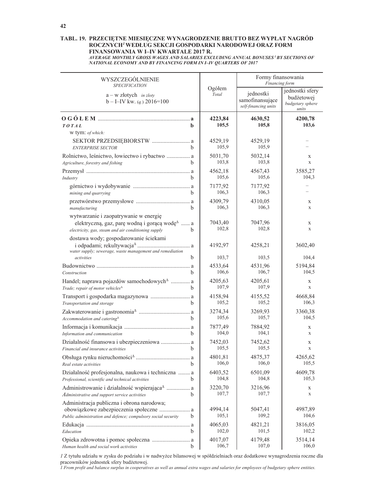### TABL. 19. PRZECIĘTNE MIESIĘCZNE WYNAGRODZENIE BRUTTO BEZ WYPŁAT NAGRÓD ROCZNYCH<sup>I</sup> WEDŁUG SEKCJI GOSPODARKI NARODOWEJ ORAZ FORM FINANSOWANIA W I-IV KWARTALE 2017 R.

AVERAGE MONTHLY GROSS WAGES AND SALARIES EXCLUDING ANNUAL BONUSES' BY SECTIONS OF NATIONAL ECONOMY AND BY FINANCING FORM IN I-IV QUARTERS OF 2017

| WYSZCZEGÓLNIENIE                                                                                                                                                                    |                  | Formy finansowania<br>Financing form                 |                                                            |  |
|-------------------------------------------------------------------------------------------------------------------------------------------------------------------------------------|------------------|------------------------------------------------------|------------------------------------------------------------|--|
| <b>SPECIFICATION</b><br>$a - w$ złotych <i>in zloty</i><br>$b - I - IV$ kw. ( <i>q.</i> ) 2016=100                                                                                  | Ogółem<br>Total  | jednostki<br>samofinansujące<br>self-financing units | jednostki sfery<br>budżetowej<br>budgetary sphere<br>units |  |
| TOTAL<br>b.                                                                                                                                                                         | 4223,84<br>105,5 | 4630,52<br>105,8                                     | 4200,78<br>103,6                                           |  |
| w tym: of which:<br>SEKTOR PRZEDSIĘBIORSTW  a<br>h.<br><b>ENTERPRISE SECTOR</b>                                                                                                     | 4529.19<br>105,9 | 4529,19<br>105,9                                     |                                                            |  |
| Rolnictwo, leśnictwo, łowiectwo i rybactwo  a<br>h.<br>Agriculture, forestry and fishing                                                                                            | 5031,70<br>103,8 | 5032,14<br>103,8                                     | X<br>$\mathbf X$                                           |  |
| <sub>b</sub><br>Industry                                                                                                                                                            | 4562,18<br>105,6 | 4567,43<br>105,6                                     | 3585,27<br>104,3                                           |  |
| <sub>b</sub><br>mining and quarrying                                                                                                                                                | 7177,92<br>106,3 | 7177,92<br>106,3                                     |                                                            |  |
| b<br>manufacturing                                                                                                                                                                  | 4309,79<br>106,3 | 4310,05<br>106,3                                     | X<br>$\mathbf X$                                           |  |
| wytwarzanie i zaopatrywanie w energię<br>elektryczną, gaz, parę wodną i gorącą wodę <sup><math>\triangle</math></sup> a<br>electricity, gas, steam and air conditioning supply<br>b | 7043,40<br>102,8 | 7047,96<br>102,8                                     | X<br>X                                                     |  |
| dostawa wody; gospodarowanie ściekami<br>water supply; sewerage, waste management and remediation                                                                                   | 4192,97          | 4258,21                                              | 3602,40                                                    |  |
| b<br>activities                                                                                                                                                                     | 103,7            | 103,5                                                | 104,4                                                      |  |
|                                                                                                                                                                                     | 4533,64          | 4531,96                                              | 5194,84                                                    |  |
| b.<br>Construction                                                                                                                                                                  | 106,6            | 106,7                                                | 104,5                                                      |  |
| Handel; naprawa pojazdów samochodowych <sup>A</sup> a<br>Trade; repair of motor vehicles <sup>4</sup><br>b.                                                                         | 4205,63<br>107,9 | 4205,61<br>107,9                                     | X<br>$\mathbf X$                                           |  |
| Transport i gospodarka magazynowa  a<br>Transportation and storage<br>b.                                                                                                            | 4158,94<br>105,2 | 4155,52<br>105,2                                     | 4668,84<br>106,3                                           |  |
| Accommodation and catering $^{\Delta}$<br><sub>b</sub>                                                                                                                              | 3274,34<br>105,6 | 3269,93<br>105,7                                     | 3360,38<br>104,5                                           |  |
| Information and communication<br>b.                                                                                                                                                 | 7877,49<br>104,0 | 7884,92<br>104,1                                     | X<br>X                                                     |  |
| Działalność finansowa i ubezpieczeniowa  a<br>Financial and insurance activities<br>b                                                                                               | 7452,03<br>105,5 | 7452,62<br>105,5                                     | X<br>$\mathbf x$                                           |  |
| a<br>b<br>Real estate activities                                                                                                                                                    | 4801,81<br>106,0 | 4875,37<br>106,0                                     | 4265,62<br>105,5                                           |  |
| Działalność profesjonalna, naukowa i techniczna  a<br>Professional, scientific and technical activities                                                                             | 6403,52<br>104,8 | 6501,09<br>104,8                                     | 4609,78<br>105,3                                           |  |
| Administrowanie i działalność wspierająca <sup><math>\triangle</math></sup> a<br>Administrative and support service activities                                                      | 3220,70<br>107,7 | 3216,96<br>107,7                                     | X<br>X                                                     |  |
| Administracja publiczna i obrona narodowa;<br>obowiązkowe zabezpieczenia społeczne  a<br>Public administration and defence; compulsory social security<br>b                         | 4994,14<br>105,1 | 5047,41<br>109,2                                     | 4987,89<br>104,6                                           |  |
| b<br>Education                                                                                                                                                                      | 4065,03<br>102,0 | 4821,21<br>101,5                                     | 3816,05<br>102,2                                           |  |
| Opieka zdrowotna i pomoc społeczna  a<br>b<br>Human health and social work activities                                                                                               | 4017,07<br>106,7 | 4179,48<br>107,0                                     | 3514,14<br>106,0                                           |  |

I Z tytułu udziału w zysku do podziału i w nadwyżce bilansowej w spółdzielniach oraz dodatkowe wynagrodzenia roczne dla pracowników jednostek sfery budżetowej.<br>I From profit and balance surplus in cooperatives as well as annual extra wages and salaries for employees of budgetary sphere entities.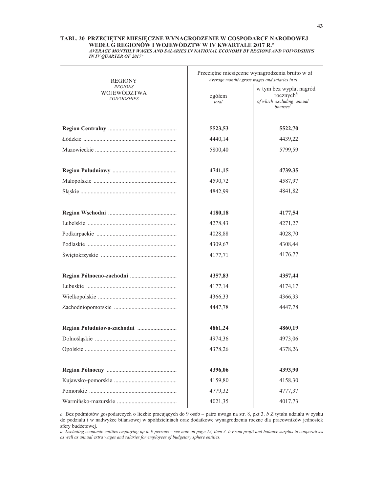#### TABL. 20 PRZECIĘTNE MIESIĘCZNE WYNAGRODZENIE W GOSPODARCE NARODOWEJ WEDŁUG REGIONÓW I WOJEWÓDZTW W IV KWARTALE 2017 R.<sup>a</sup> AVERAGE MONTHLY WAGES AND SALARIES IN NATIONAL ECONOMY BY REGIONS AND VOIVODSHIPS **IN IV QUARTER OF 2017**<sup>a</sup>

| REGIONY                                             | Przeciętne miesięczne wynagrodzenia brutto w zł<br>Average monthly gross wages and salaries in zl |                                                                                               |  |  |
|-----------------------------------------------------|---------------------------------------------------------------------------------------------------|-----------------------------------------------------------------------------------------------|--|--|
| <b>REGIONS</b><br>WOJEWÓDZTWA<br><b>VOIVODSHIPS</b> | ogółem<br>total                                                                                   | w tym bez wypłat nagród<br>rocznych $^b$<br>of which excluding annual<br>bonuses <sup>b</sup> |  |  |
|                                                     |                                                                                                   |                                                                                               |  |  |
|                                                     | 5523,53                                                                                           | 5522,70                                                                                       |  |  |
|                                                     | 4440,14                                                                                           | 4439,22                                                                                       |  |  |
|                                                     | 5800,40                                                                                           | 5799,59                                                                                       |  |  |
|                                                     | 4741,15                                                                                           | 4739,35                                                                                       |  |  |
|                                                     | 4590,72                                                                                           | 4587,97                                                                                       |  |  |
|                                                     | 4842,99                                                                                           | 4841,82                                                                                       |  |  |
|                                                     | 4180,18                                                                                           | 4177,54                                                                                       |  |  |
|                                                     | 4278,43                                                                                           | 4271,27                                                                                       |  |  |
|                                                     | 4028,88                                                                                           | 4028,70                                                                                       |  |  |
|                                                     | 4309,67                                                                                           | 4308,44                                                                                       |  |  |
|                                                     | 4177,71                                                                                           | 4176,77                                                                                       |  |  |
|                                                     | 4357,83                                                                                           | 4357,44                                                                                       |  |  |
|                                                     | 4177,14                                                                                           | 4174,17                                                                                       |  |  |
|                                                     | 4366,33                                                                                           | 4366,33                                                                                       |  |  |
|                                                     | 4447,78                                                                                           | 4447,78                                                                                       |  |  |
|                                                     | 4861,24                                                                                           | 4860,19                                                                                       |  |  |
|                                                     | 4974,36                                                                                           | 4973,06                                                                                       |  |  |
|                                                     | 4378,26                                                                                           | 4378,26                                                                                       |  |  |
|                                                     |                                                                                                   |                                                                                               |  |  |
|                                                     | 4396,06                                                                                           | 4393,90                                                                                       |  |  |
|                                                     | 4159,80                                                                                           | 4158,30                                                                                       |  |  |
|                                                     | 4779,32                                                                                           | 4777,37                                                                                       |  |  |
|                                                     | 4021,35                                                                                           | 4017,73                                                                                       |  |  |

a Bez podmiotów gospodarczych o liczbie pracujących do 9 osób – patrz uwaga na str. 8, pkt 3. b Z tytułu udziału w zysku do podziału i w nadwyżce bilansowej w spółdzielniach oraz dodatkowe wynagrodzenia roczne dla pracowników jednostek sfery budżetowej.

a Excluding economic entities employing up to 9 persons – see note on page 12, item 3. b From profit and balance surplus in cooperatives as well as annual extra wages and salaries for employees of budgetary sphere entities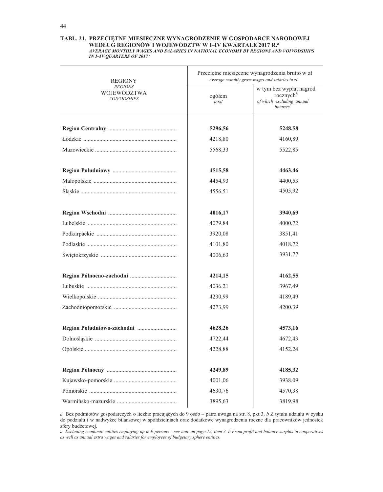#### TABL. 21. PRZECIĘTNE MIESIĘCZNE WYNAGRODZENIE W GOSPODARCE NARODOWEJ WEDŁUG REGIONÓW I WOJEWÓDZTW W I-IV KWARTALE 2017 R.<sup>a</sup> AVERAGE MONTHLY WAGES AND SALARIES IN NATIONAL ECONOMY BY REGIONS AND VOIVODSHIPS **IN I-IV QUARTERS OF 2017<sup>a</sup>**

| REGIONY                                             | Przeciętne miesięczne wynagrodzenia brutto w zł<br>Average monthly gross wages and salaries in zl |                                                                                               |  |  |
|-----------------------------------------------------|---------------------------------------------------------------------------------------------------|-----------------------------------------------------------------------------------------------|--|--|
| <i>REGIONS</i><br>WOJEWODZTWA<br><b>VOIVODSHIPS</b> | ogółem<br>total                                                                                   | w tym bez wypłat nagród<br>rocznych $^b$<br>of which excluding annual<br>bonuses <sup>b</sup> |  |  |
|                                                     | 5296,56                                                                                           | 5248,58                                                                                       |  |  |
|                                                     | 4218,80                                                                                           | 4160,89                                                                                       |  |  |
|                                                     | 5568,33                                                                                           | 5522,85                                                                                       |  |  |
|                                                     | 4515,58                                                                                           | 4463,46                                                                                       |  |  |
|                                                     | 4454,93                                                                                           | 4400,53                                                                                       |  |  |
|                                                     | 4556,51                                                                                           | 4505,92                                                                                       |  |  |
|                                                     | 4016,17                                                                                           | 3940,69                                                                                       |  |  |
|                                                     | 4079,84                                                                                           | 4000,72                                                                                       |  |  |
|                                                     | 3920,08                                                                                           | 3851,41                                                                                       |  |  |
|                                                     | 4101,80                                                                                           | 4018,72                                                                                       |  |  |
|                                                     | 4006,63                                                                                           | 3931,77                                                                                       |  |  |
|                                                     | 4214,15                                                                                           | 4162,55                                                                                       |  |  |
|                                                     | 4036,21                                                                                           | 3967,49                                                                                       |  |  |
|                                                     | 4230,99                                                                                           | 4189,49                                                                                       |  |  |
|                                                     | 4273,99                                                                                           | 4200,39                                                                                       |  |  |
|                                                     | 4628,26                                                                                           | 4573,16                                                                                       |  |  |
|                                                     | 4722,44                                                                                           | 4672,43                                                                                       |  |  |
|                                                     | 4228,88                                                                                           | 4152,24                                                                                       |  |  |
|                                                     | 4249,89                                                                                           | 4185,32                                                                                       |  |  |
|                                                     | 4001,06                                                                                           | 3938,09                                                                                       |  |  |
|                                                     | 4630,76                                                                                           | 4570,38                                                                                       |  |  |
|                                                     | 3895,63                                                                                           | 3819,98                                                                                       |  |  |

a Bez podmiotów gospodarczych o liczbie pracujących do 9 osób – patrz uwaga na str. 8, pkt 3. b Z tytułu udziału w zysku do podziału i w nadwyżce bilansowej w spółdzielniach oraz dodatkowe wynagrodzenia roczne dla pracowników jednostek sfery budżetowej.

a Excluding economic entities employing up to 9 persons – see note on page 12, item 3. b From profit and balance surplus in cooperatives as well as annual extra wages and salaries for employees of budgetary sphere entities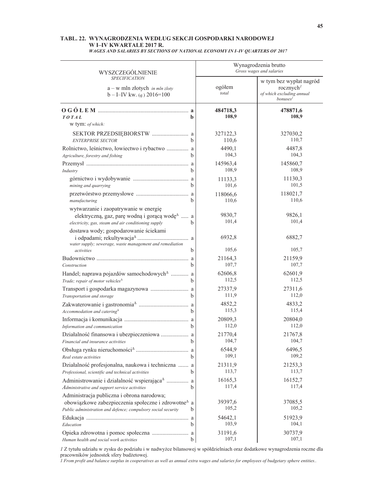#### TABL. 22. WYNAGRODZENIA WEDŁUG SEKCJI GOSPODARKI NARODOWEJ W I-IV KWARTALE 2017 R. **WAGES AND SALARIES BY SECTIONS OF NATIONAL ECONOMY IN I-IV QUARTERS OF 2017**

| WYSZCZEGÓLNIENIE                                                                                                                                                                                    |              | Wynagrodzenia brutto<br>Gross wages and salaries |                                                                                                 |  |  |
|-----------------------------------------------------------------------------------------------------------------------------------------------------------------------------------------------------|--------------|--------------------------------------------------|-------------------------------------------------------------------------------------------------|--|--|
| <b>SPECIFICATION</b><br>$a - w$ mln złotych <i>in mln zloty</i><br>$b - I - IV$ kw. (q.) 2016=100                                                                                                   |              | ogółem<br>total                                  | w tym bez wypłat nagród<br>rocznych $\ell$<br>of which excluding annual<br>bonuses <sup>1</sup> |  |  |
| TOTAL<br>w tym: of which:                                                                                                                                                                           | h            | 484718,3<br>108,9                                | 478871,6<br>108,9                                                                               |  |  |
|                                                                                                                                                                                                     |              | 327122,3                                         | 327030,2                                                                                        |  |  |
| <b>ENTERPRISE SECTOR</b>                                                                                                                                                                            |              | 110,6                                            | 110,7                                                                                           |  |  |
| Rolnictwo, leśnictwo, łowiectwo i rybactwo  a                                                                                                                                                       |              | 4490,1                                           | 4487,8                                                                                          |  |  |
| Agriculture, forestry and fishing                                                                                                                                                                   |              | 104,3                                            | 104,3                                                                                           |  |  |
|                                                                                                                                                                                                     | b            | 145963,4                                         | 145860,7                                                                                        |  |  |
| Industry                                                                                                                                                                                            |              | 108,9                                            | 108,9                                                                                           |  |  |
|                                                                                                                                                                                                     | <sub>b</sub> | 11133,3                                          | 11130,3                                                                                         |  |  |
| mining and quarrying                                                                                                                                                                                |              | 101,6                                            | 101,5                                                                                           |  |  |
|                                                                                                                                                                                                     | b            | 118066,6                                         | 118021,7                                                                                        |  |  |
| manufacturing                                                                                                                                                                                       |              | 110,6                                            | 110.6                                                                                           |  |  |
| wytwarzanie i zaopatrywanie w energię<br>elektryczną, gaz, parę wodną i gorącą wodę <sup><math>\triangle</math></sup> a<br>electricity, gas, steam and air conditioning supply                      | b            | 9830,7<br>101,4                                  | 9826,1<br>101,4                                                                                 |  |  |
| dostawa wody; gospodarowanie ściekami<br>water supply; sewerage, waste management and remediation                                                                                                   |              | 6932,8                                           | 6882,7                                                                                          |  |  |
| activities                                                                                                                                                                                          | b            | 105,6                                            | 105,7                                                                                           |  |  |
|                                                                                                                                                                                                     | b            | 21164,3                                          | 21159,9                                                                                         |  |  |
| Construction                                                                                                                                                                                        |              | 107,7                                            | 107,7                                                                                           |  |  |
| Handel; naprawa pojazdów samochodowych <sup>A</sup> a                                                                                                                                               | h            | 62606,8                                          | 62601,9                                                                                         |  |  |
| Trade; repair of motor vehicles <sup><math>\Delta</math></sup>                                                                                                                                      |              | 112,5                                            | 112,5                                                                                           |  |  |
| Transport i gospodarka magazynowa  a                                                                                                                                                                | h            | 27337,9                                          | 27311,6                                                                                         |  |  |
| Transportation and storage                                                                                                                                                                          |              | 111,9                                            | 112,0                                                                                           |  |  |
|                                                                                                                                                                                                     | h            | 4852,2                                           | 4833,2                                                                                          |  |  |
| Accommodation and catering <sup><math>\triangle</math></sup>                                                                                                                                        |              | 115,3                                            | 115,4                                                                                           |  |  |
|                                                                                                                                                                                                     | b            | 20809,3                                          | 20804,0                                                                                         |  |  |
| Information and communication                                                                                                                                                                       |              | 112,0                                            | 112,0                                                                                           |  |  |
| Działalność finansowa i ubezpieczeniowa  a                                                                                                                                                          | b            | 21770,4                                          | 21767,8                                                                                         |  |  |
| Financial and insurance activities                                                                                                                                                                  |              | 104,7                                            | 104,7                                                                                           |  |  |
|                                                                                                                                                                                                     | <sub>h</sub> | 6544,9                                           | 6496,5                                                                                          |  |  |
| Real estate activities                                                                                                                                                                              |              | 109,1                                            | 109,2                                                                                           |  |  |
| Działalność profesjonalna, naukowa i techniczna  a                                                                                                                                                  | b            | 21311,9                                          | 21253,3                                                                                         |  |  |
| Professional, scientific and technical activities                                                                                                                                                   |              | 113,7                                            | 113,7                                                                                           |  |  |
| Administrowanie i działalność wspierająca <sup><math>\triangle</math></sup> a                                                                                                                       | b            | 16165,3                                          | 16152,7                                                                                         |  |  |
| Administrative and support service activities                                                                                                                                                       |              | 117,4                                            | 117,4                                                                                           |  |  |
| Administracja publiczna i obrona narodowa;<br>obowiązkowe zabezpieczenia społeczne i zdrowotne <sup><math>\triangle</math></sup> a<br>Public administration and defence; compulsory social security | $\mathbf b$  | 39397,6<br>105,2                                 | 37085,5<br>105,2                                                                                |  |  |
|                                                                                                                                                                                                     | b            | 54642,1                                          | 51923,9                                                                                         |  |  |
| Education                                                                                                                                                                                           |              | 103,9                                            | 104,1                                                                                           |  |  |
| Opieka zdrowotna i pomoc społeczna  a                                                                                                                                                               | b            | 31191,6                                          | 30737,9                                                                                         |  |  |
| Human health and social work activities                                                                                                                                                             |              | 107,1                                            | 107,1                                                                                           |  |  |

I Z tytułu udziału w zysku do podziału i w nadwyżce bilansowej w spółdzielniach oraz dodatkowe wynagrodzenia roczne dla pracowników jednostek sfery budżetowej.<br>I From profit and balance surplus in cooperatives as well as a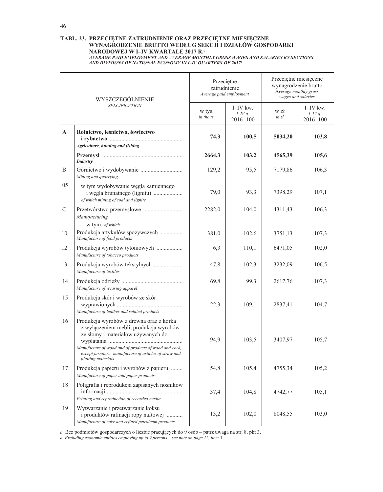#### TABL. 23. PRZECIĘTNE ZATRUDNIENIE ORAZ PRZECIĘTNE MIESIĘCZNE WYNAGRODZENIE BRUTTO WEDŁUG SEKCJI I DZIAŁÓW GOSPODARKI NARODOWEJ W I-IV KWARTALE 2017 R.ª AVERAGE PAID EMPLOYMENT AND AVERAGE MONTHLY GROSS WAGES AND SALARIES BY SECTIONS

AND DIVISIONS OF NATIONAL ECONOMY IN I-IV QUARTERS OF 2017<sup>a</sup>

| WYSZCZEGÓLNIENIE |                                                                                                                                                                                                                                                                  | Przeciętne<br>zatrudnienie<br>Average paid employment |                                         | Przeciętne miesięczne<br>wynagrodzenie brutto<br>Average monthly gross<br>wages and salaries |                                       |
|------------------|------------------------------------------------------------------------------------------------------------------------------------------------------------------------------------------------------------------------------------------------------------------|-------------------------------------------------------|-----------------------------------------|----------------------------------------------------------------------------------------------|---------------------------------------|
|                  | <b>SPECIFICATION</b>                                                                                                                                                                                                                                             | w tys.<br>in thous.                                   | $I$ IV kw.<br>$I=IVq$ .<br>$2016 = 100$ | w zł<br>in zl                                                                                | I-IV kw.<br>$I=IVq$ .<br>$2016 = 100$ |
| $\mathbf{A}$     | Rolnictwo, leśnictwo, łowiectwo<br>Agriculture, hunting and fishing                                                                                                                                                                                              | 74,3                                                  | 100,5                                   | 5034,20                                                                                      | 103,8                                 |
|                  | <b>Industry</b>                                                                                                                                                                                                                                                  | 2664,3                                                | 103,2                                   | 4565,39                                                                                      | 105,6                                 |
| B                | Mining and quarrying                                                                                                                                                                                                                                             | 129,2                                                 | 95,5                                    | 7179,86                                                                                      | 106,3                                 |
| 05               | w tym wydobywanie węgla kamiennego<br>i węgla brunatnego (lignitu)<br>of which mining of coal and lignite                                                                                                                                                        | 79,0                                                  | 93,3                                    | 7398,29                                                                                      | 107,1                                 |
| C                | Manufacturing                                                                                                                                                                                                                                                    | 2282,0                                                | 104,0                                   | 4311,43                                                                                      | 106,3                                 |
| 10               | w tym: of which:<br>Produkcja artykułów spożywczych<br>Manufacture of food products                                                                                                                                                                              | 381,0                                                 | 102,6                                   | 3751,13                                                                                      | 107,3                                 |
| 12               | Produkcja wyrobów tytoniowych<br>Manufacture of tobacco products                                                                                                                                                                                                 | 6,3                                                   | 110,1                                   | 6471,05                                                                                      | 102,0                                 |
| 13               | Produkcja wyrobów tekstylnych<br>Manufacture of textiles                                                                                                                                                                                                         | 47,8                                                  | 102,3                                   | 3232,09                                                                                      | 106,5                                 |
| 14               | Manufacture of wearing apparel                                                                                                                                                                                                                                   | 69,8                                                  | 99,3                                    | 2617,76                                                                                      | 107,3                                 |
| 15               | Produkcja skór i wyrobów ze skór<br>Manufacture of leather and related products                                                                                                                                                                                  | 22,3                                                  | 109,1                                   | 2837,41                                                                                      | 104,7                                 |
| 16               | Produkcja wyrobów z drewna oraz z korka<br>z wyłączeniem mebli, produkcja wyrobów<br>ze słomy i materiałów używanych do<br>Manufacture of wood and of products of wood and cork,<br>except furniture; manufacture of articles of straw and<br>plaiting materials | 94,9                                                  | 103,5                                   | 3407,97                                                                                      | 105,7                                 |
| 17               | Produkcja papieru i wyrobów z papieru<br>Manufacture of paper and paper products                                                                                                                                                                                 | 54,8                                                  | 105,4                                   | 4755,34                                                                                      | 105,2                                 |
| 18               | Poligrafia i reprodukcja zapisanych nośników<br>Printing and reproduction of recorded media                                                                                                                                                                      | 37,4                                                  | 104,8                                   | 4742,77                                                                                      | 105,1                                 |
| 19               | Wytwarzanie i przetwarzanie koksu<br>i produktów rafinacji ropy naftowej<br>Manufacture of coke and refined petroleum products                                                                                                                                   | 13,2                                                  | 102,0                                   | 8048,55                                                                                      | 103,0                                 |

a Bez podmiotów gospodarczych o liczbie pracujących do 9 osób - patrz uwaga na str. 8, pkt 3.

a Excluding economic entities employing up to  $9$  persons - see note on page 12, item 3.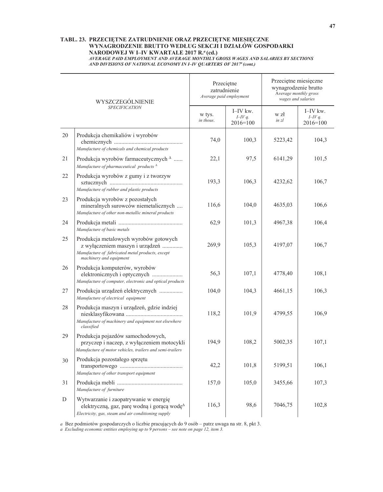### TABL. 23. PRZECIĘTNE ZATRUDNIENIE ORAZ PRZECIĘTNE MIESIĘCZNE WYNAGRODZENIE BRUTTO WEDŁUG SEKCJI I DZIAŁÓW GOSPODARKI NARODOWEJ W I-IV KWARTALE 2017 R.ª (cd.) AVERAGE PAID EMPLOYMENT AND AVERAGE MONTHLY GROSS WAGES AND SALARIES BY SECTIONS

AND DIVISIONS OF NATIONAL ECONOMY IN I-IV QUARTERS OF 2017<sup>a</sup> (cont.)

|    | WYSZCZEGÓLNIENIE                                                                                                                                                             |                     | Przeciętne<br>zatrudnienie<br>Average paid employment |               | Przeciętne miesięczne<br>wynagrodzenie brutto<br>Average monthly gross<br>wages and salaries |  |
|----|------------------------------------------------------------------------------------------------------------------------------------------------------------------------------|---------------------|-------------------------------------------------------|---------------|----------------------------------------------------------------------------------------------|--|
|    | <b>SPECIFICATION</b>                                                                                                                                                         | w tys.<br>in thous. | $I$ -IV kw.<br>$I-Vq$ .<br>$2016 = 100$               | w zł<br>in zl | I-IV kw.<br>$I=IVq$ .<br>$2016 = 100$                                                        |  |
| 20 | Produkcja chemikaliów i wyrobów<br>Manufacture of chemicals and chemical products                                                                                            | 74,0                | 100,3                                                 | 5223,42       | 104,3                                                                                        |  |
| 21 | Produkcja wyrobów farmaceutycznych <sup>^</sup><br>Manufacture of pharmaceutical products $\triangle$                                                                        | 22,1                | 97,5                                                  | 6141,29       | 101,5                                                                                        |  |
| 22 | Produkcja wyrobów z gumy i z tworzyw<br>Manufacture of rubber and plastic products                                                                                           | 193,3               | 106,3                                                 | 4232,62       | 106,7                                                                                        |  |
| 23 | Produkcja wyrobów z pozostałych<br>mineralnych surowców niemetalicznych<br>Manufacture of other non-metallic mineral products                                                | 116,6               | 104,0                                                 | 4635,03       | 106,6                                                                                        |  |
| 24 | Manufacture of basic metals                                                                                                                                                  | 62,9                | 101,3                                                 | 4967,38       | 106,4                                                                                        |  |
| 25 | Produkcja metalowych wyrobów gotowych<br>z wyłączeniem maszyn i urządzeń<br>Manufacture of fabricated metal products, except<br>machinery and equipment                      | 269,9               | 105,3                                                 | 4197,07       | 106,7                                                                                        |  |
| 26 | Produkcja komputerów, wyrobów<br>elektronicznych i optycznych<br>Manufacture of computer, electronic and optical products                                                    | 56,3                | 107,1                                                 | 4778,40       | 108,1                                                                                        |  |
| 27 | Produkcja urządzeń elektrycznych<br>Manufacture of electrical equipment                                                                                                      | 104,0               | 104,3                                                 | 4661,15       | 106,3                                                                                        |  |
| 28 | Produkcja maszyn i urządzeń, gdzie indziej<br>Manufacture of machinery and equipment not elsewhere<br>classified                                                             | 118,2               | 101,9                                                 | 4799,55       | 106,9                                                                                        |  |
| 29 | Produkcja pojazdów samochodowych,<br>przyczep i naczep, z wyłączeniem motocykli<br>Manufacture of motor vehicles, trailers and semi-trailers                                 | 194,9               | 108,2                                                 | 5002,35       | 107,1                                                                                        |  |
| 30 | Produkcja pozostałego sprzętu<br>Manufacture of other transport equipment                                                                                                    | 42,2                | 101,8                                                 | 5199,51       | 106,1                                                                                        |  |
| 31 | Manufacture of furniture                                                                                                                                                     | 157,0               | 105,0                                                 | 3455,66       | 107,3                                                                                        |  |
| D  | Wytwarzanie i zaopatrywanie w energię<br>elektryczną, gaz, parę wodną i gorącą wodę <sup><math>\triangle</math></sup><br>Electricity, gas, steam and air conditioning supply | 116,3               | 98,6                                                  | 7046,75       | 102,8                                                                                        |  |

a Bez podmiotów gospodarczych o liczbie pracujących do 9 osób - patrz uwaga na str. 8, pkt 3.

a Excluding economic entities employing up to  $9$  persons – see note on page 12, item 3.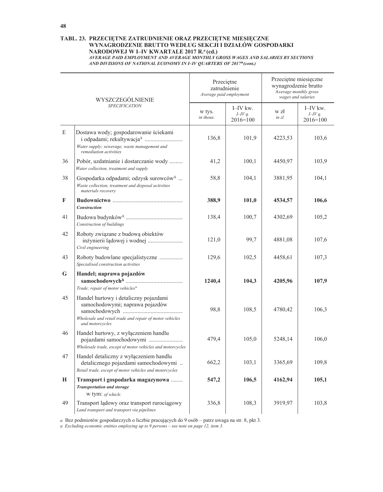#### TABL. 23. PRZECIĘTNE ZATRUDNIENIE ORAZ PRZECIĘTNE MIESIĘCZNE WYNAGRODZENIE BRUTTO WEDŁUG SEKCJI I DZIAŁÓW GOSPODARKI NARODOWEJ W I-IV KWARTALE 2017 R.ª (cd.) AVERAGE PAID EMPLOYMENT AND AVERAGE MONTHLY GROSS WAGES AND SALARIES BY SECTIONS

AND DIVISIONS OF NATIONAL ECONOMY IN I-IV QUARTERS OF 2017<sup>a</sup> (cont.)

| WYSZCZEGÓLNIENIE<br><b>SPECIFICATION</b> |                                                                                                                                                        | Przeciętne<br>zatrudnienie<br>Average paid employment |                                         | Przeciętne miesięczne<br>wynagrodzenie brutto<br>Average monthly gross<br>wages and salaries |                                          |
|------------------------------------------|--------------------------------------------------------------------------------------------------------------------------------------------------------|-------------------------------------------------------|-----------------------------------------|----------------------------------------------------------------------------------------------|------------------------------------------|
|                                          |                                                                                                                                                        | w tys.<br>in thous.                                   | $I$ -IV kw.<br>$I-Vq$ .<br>$2016 = 100$ | w zł<br>in zl                                                                                | $I$ -IV kw.<br>$I=IVq$ .<br>$2016 = 100$ |
| E                                        | Dostawa wody; gospodarowanie ściekami<br>Water supply; sewerage, waste management and<br>remediation activities                                        | 136,8                                                 | 101,9                                   | 4223,53                                                                                      | 103,6                                    |
| 36                                       | Pobór, uzdatnianie i dostarczanie wody<br>Water collection, treatment and supply                                                                       | 41,2                                                  | 100,1                                   | 4450,97                                                                                      | 103,9                                    |
| 38                                       | Gospodarka odpadami; odzysk surowców <sup><math>\triangle</math></sup><br>Waste collection, treatment and disposal activities<br>materials recovery    | 58,8                                                  | 104,1                                   | 3881,95                                                                                      | 104,1                                    |
| F                                        | Construction                                                                                                                                           | 388,9                                                 | 101,0                                   | 4534,57                                                                                      | 106,6                                    |
| 41                                       | Budowa budynków<br>^ $\dots\dots\dots\dots\dots\dots\dots\dots\dots\dots\dots\dots\dots\dots\dots\dots$<br>Construction of buildings                   | 138,4                                                 | 100,7                                   | 4302,69                                                                                      | 105,2                                    |
| 42                                       | Roboty związane z budową obiektów<br>inżynierii lądowej i wodnej<br>Civil engineering                                                                  | 121,0                                                 | 99,7                                    | 4881,08                                                                                      | 107,6                                    |
| 43                                       | Roboty budowlane specjalistyczne<br>Specialised construction activities                                                                                | 129,6                                                 | 102,5                                   | 4458,61                                                                                      | 107,3                                    |
| G                                        | Handel; naprawa pojazdów<br>Trade; repair of motor vehicles <sup><math>\Delta</math></sup>                                                             | 1240,4                                                | 104,3                                   | 4205,96                                                                                      | 107,9                                    |
| 45                                       | Handel hurtowy i detaliczny pojazdami<br>samochodowymi; naprawa pojazdów<br>Wholesale and retail trade and repair of motor vehicles<br>and motorcycles | 98,8                                                  | 108,5                                   | 4780,42                                                                                      | 106,3                                    |
| 46                                       | Handel hurtowy, z wyłączeniem handlu<br>pojazdami samochodowymi<br>Wholesale trade, except of motor vehicles and motorcycles                           | 479,4                                                 | 105,0                                   | 5248,14                                                                                      | 106,0                                    |
| 47                                       | Handel detaliczny z wyłączeniem handlu<br>detalicznego pojazdami samochodowymi<br>Retail trade, except of motor vehicles and motorcycles               | 662,2                                                 | 103,1                                   | 3365,69                                                                                      | 109,8                                    |
| H                                        | Transport i gospodarka magazynowa<br><b>Transportation and storage</b>                                                                                 | 547,2                                                 | 106,5                                   | 4162,94                                                                                      | 105,1                                    |
| 49                                       | w tym: of which:<br>Transport lądowy oraz transport rurociągowy<br>Land transport and transport via pipelines                                          | 336,8                                                 | 108,3                                   | 3919,97                                                                                      | 103,8                                    |

a Bez podmiotów gospodarczych o liczbie pracujących do 9 osób - patrz uwaga na str. 8, pkt 3.

a Excluding economic entities employing up to 9 persons - see note on page 12, item 3.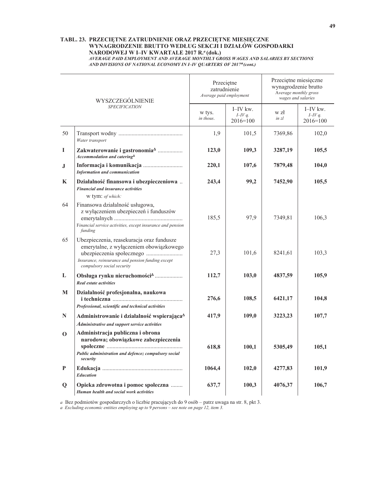### TABL. 23. PRZECIĘTNE ZATRUDNIENIE ORAZ PRZECIĘTNE MIESIĘCZNE WYNAGRODZENIE BRUTTO WEDŁUG SEKCJI I DZIAŁÓW GOSPODARKI NARODOWEJ W I-IV KWARTALE 2017 R.<sup>a</sup> (dok.)

AVERAGE PAID EMPLOYMENT AND AVERAGE MONTHLY GROSS WAGES AND SALARIES BY SECTIONS AND DIVISIONS OF NATIONAL ECONOMY IN I-IV QUARTERS OF 2017<sup>a</sup> (cont.)

| WYSZCZEGÓLNIENIE<br><b>SPECIFICATION</b> |                                                                                                                                                                                               | Przeciętne<br>zatrudnienie<br>Average paid employment |                                     | Przeciętne miesięczne<br>wynagrodzenie brutto<br>Average monthly gross<br>wages and salaries |                                          |
|------------------------------------------|-----------------------------------------------------------------------------------------------------------------------------------------------------------------------------------------------|-------------------------------------------------------|-------------------------------------|----------------------------------------------------------------------------------------------|------------------------------------------|
|                                          |                                                                                                                                                                                               | w tys.<br>in thous.                                   | $I$ -IV kw.<br>$I-Vq$ .<br>2016=100 | w zł<br>in z <sub>l</sub>                                                                    | $I$ -IV kw.<br>$I=IVq$ .<br>$2016 = 100$ |
| 50                                       | Water transport                                                                                                                                                                               | 1,9                                                   | 101,5                               | 7369,86                                                                                      | 102,0                                    |
| I                                        | Zakwaterowanie i gastronomia <sup><math>\triangle</math></sup><br>Accommodation and catering <sup>A</sup>                                                                                     | 123,0                                                 | 109,3                               | 3287,19                                                                                      | 105,5                                    |
| J                                        | <b>Information and communication</b>                                                                                                                                                          | 220,1                                                 | 107,6                               | 7879,48                                                                                      | 104,0                                    |
| K                                        | Działalność finansowa i ubezpieczeniowa<br><b>Financial and insurance activities</b><br>w tym: of which:                                                                                      | 243,4                                                 | 99,2                                | 7452,90                                                                                      | 105,5                                    |
| 64                                       | Finansowa działalność usługowa,<br>z wyłączeniem ubezpieczeń i funduszów<br>Financial service activities, except insurance and pension<br>funding                                             | 185,5                                                 | 97,9                                | 7349,81                                                                                      | 106,3                                    |
| 65                                       | Ubezpieczenia, reasekuracja oraz fundusze<br>emerytalne, z wyłączeniem obowiązkowego<br>Insurance, reinsurance and pension funding except<br>compulsory social security                       | 27,3                                                  | 101,6                               | 8241,61                                                                                      | 103,3                                    |
| L                                        | Obsługa rynku nieruchomości <sup>4</sup><br>Real estate activities                                                                                                                            | 112,7                                                 | 103,0                               | 4837,59                                                                                      | 105,9                                    |
| M                                        | Działalność profesjonalna, naukowa<br>Professional, scientific and technical activities                                                                                                       | 276,6                                                 | 108,5                               | 6421,17                                                                                      | 104,8                                    |
| N                                        | Administrowanie i działalność wspierająca <sup>4</sup>                                                                                                                                        | 417,9                                                 | 109,0                               | 3223,23                                                                                      | 107,7                                    |
| $\mathbf 0$                              | Administrative and support service activities<br>Administracja publiczna i obrona<br>narodowa; obowiązkowe zabezpieczenia<br>Public administration and defence; compulsory social<br>security | 618,8                                                 | 100,1                               | 5305,49                                                                                      | 105,1                                    |
| P                                        | <b>Education</b>                                                                                                                                                                              | 1064,4                                                | 102,0                               | 4277,83                                                                                      | 101,9                                    |
| $\mathbf 0$                              | Opieka zdrowotna i pomoc społeczna<br>Human health and social work activities                                                                                                                 | 637,7                                                 | 100,3                               | 4076,37                                                                                      | 106,7                                    |

a Bez podmiotów gospodarczych o liczbie pracujących do 9 osób - patrz uwaga na str. 8, pkt 3.

a Excluding economic entities employing up to  $9$  persons - see note on page 12, item 3.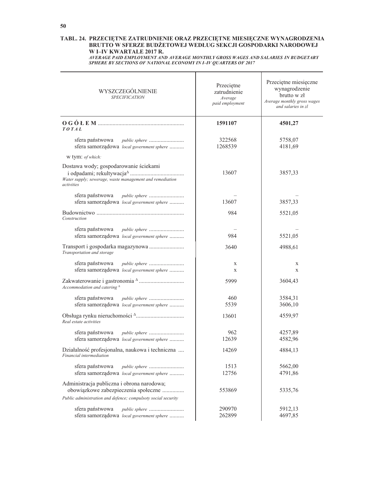## TABL. 24. PRZECIĘTNE ZATRUDNIENIE ORAZ PRZECIĘTNE MIESIĘCZNE WYNAGRODZENIA BRUTTO W SFERZE BUDŻETOWEJ WEDŁUG SEKCJI GOSPODARKI NARODOWEJ W I-IV KWARTALE 2017 R.

AVERAGE PAID EMPLOYMENT AND AVERAGE MONTHLY GROSS WAGES AND SALARIES IN BUDGETARY SPHERE BY SECTIONS OF NATIONAL ECONOMY IN I-IV QUARTERS OF 2017

| WYSZCZEGÓLNIENIE<br><b>SPECIFICATION</b>                                                                        | Przeciętne<br>zatrudnienie<br>Average<br>paid employment | Przeciętne miesięczne<br>wynagrodzenie<br>brutto w zł<br>Average monthly gross wages<br>and salaries in zl |
|-----------------------------------------------------------------------------------------------------------------|----------------------------------------------------------|------------------------------------------------------------------------------------------------------------|
| TOTAL                                                                                                           | 1591107                                                  | 4501,27                                                                                                    |
| sfera państwowa<br>public sphere<br>sfera samorządowa local government sphere                                   | 322568<br>1268539                                        | 5758,07<br>4181,69                                                                                         |
| w tym: of which:                                                                                                |                                                          |                                                                                                            |
| Dostawa wody; gospodarowanie ściekami<br>Water supply; sewerage, waste management and remediation<br>activities | 13607                                                    | 3857,33                                                                                                    |
| sfera państwowa<br>public sphere<br>sfera samorządowa local government sphere                                   | 13607                                                    | 3857,33                                                                                                    |
| Construction                                                                                                    | 984                                                      | 5521,05                                                                                                    |
| sfera państwowa<br><i>public sphere</i><br>sfera samorządowa local government sphere                            | 984                                                      | 5521,05                                                                                                    |
| Transportation and storage                                                                                      | 3640                                                     | 4988,61                                                                                                    |
| sfera państwowa<br>public sphere<br>sfera samorządowa local government sphere                                   | X<br>X                                                   | X<br>X                                                                                                     |
| Accommodation and catering $^{\Delta}$                                                                          | 5999                                                     | 3604,43                                                                                                    |
| sfera państwowa<br>public sphere<br>sfera samorządowa local government sphere                                   | 460<br>5539                                              | 3584,31<br>3606,10                                                                                         |
| Real estate activities                                                                                          | 13601                                                    | 4559,97                                                                                                    |
| sfera państwowa<br>public sphere<br>sfera samorządowa local government sphere                                   | 962<br>12639                                             | 4257,89<br>4582,96                                                                                         |
| Działalność profesjonalna, naukowa i techniczna<br>Financial intermediation                                     | 14269                                                    | 4884,13                                                                                                    |
| sfera państwowa<br>public sphere<br>sfera samorządowa local government sphere                                   | 1513<br>12756                                            | 5662,00<br>4791,86                                                                                         |
| Administracja publiczna i obrona narodowa;<br>obowiązkowe zabezpieczenia społeczne                              | 553869                                                   | 5335,76                                                                                                    |
| Public administration and defence; compulsoty social security                                                   |                                                          |                                                                                                            |
| sfera państwowa<br>public sphere<br>sfera samorządowa local government sphere                                   | 290970<br>262899                                         | 5912,13<br>4697,85                                                                                         |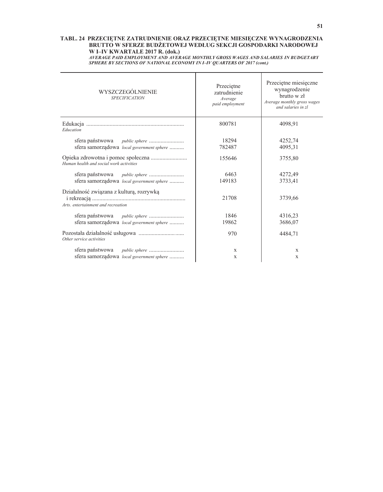# TABL. 24 PRZECIĘTNE ZATRUDNIENIE ORAZ PRZECIĘTNE MIESIĘCZNE WYNAGRODZENIA BRUTTO W SFERZE BUDŻETOWEJ WEDŁUG SEKCJI GOSPODARKI NARODOWEJ W I-IV KWARTALE 2017 R. (dok.)

WERAGE PAID EMPLOYMENT AND AVERAGE MONTHLY GROSS WAGES AND SALARIES IN BUDGETARY<br>SPHERE BY SECTIONS OF NATIONAL ECONOMY IN I-IV QUARTERS OF 2017 (cont.)

| WYSZCZEGÓLNIENIE<br><b>SPECIFICATION</b>                                       | Przeciętne<br>zatrudnienie<br>Average<br>paid employment | Przeciętne miesięczne<br>wynagrodzenie<br>brutto w z <sup>1</sup><br>Average monthly gross wages<br>and salaries in zl |
|--------------------------------------------------------------------------------|----------------------------------------------------------|------------------------------------------------------------------------------------------------------------------------|
| Education                                                                      | 800781                                                   | 4098.91                                                                                                                |
| sfera państwowa<br><i>public sphere</i>                                        | 18294                                                    | 4252,74                                                                                                                |
| sfera samorządowa local government sphere                                      | 782487                                                   | 4095,31                                                                                                                |
| Human health and social work activities                                        | 155646                                                   | 3755,80                                                                                                                |
| sfera państwowa<br>public sphere                                               | 6463                                                     | 4272.49                                                                                                                |
| sfera samorządowa local government sphere                                      | 149183                                                   | 3733,41                                                                                                                |
| Działalność związana z kulturą, rozrywką<br>Arts, entertainment and recreation | 21708                                                    | 3739,66                                                                                                                |
| sfera państwowa<br><i>public sphere</i>                                        | 1846                                                     | 4316.23                                                                                                                |
| sfera samorządowa local government sphere                                      | 19862                                                    | 3686,07                                                                                                                |
| Other service activities                                                       | 970                                                      | 4484,71                                                                                                                |
|                                                                                | X                                                        | X                                                                                                                      |
| sfera samorządowa local government sphere                                      | X                                                        | X                                                                                                                      |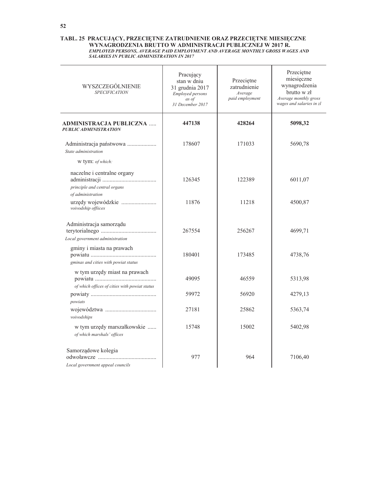# TABL. 25 PRACUJĄCY, PRZECIĘTNE ZATRUDNIENIE ORAZ PRZECIĘTNE MIESIĘCZNE WYNAGRODZENIA BRUTTO W ADMINISTRACJI PUBLICZNEJ W 2017 R. EMPLOYED PERSONS, AVERAGE PAID EMPLOYMENT AND AVERAGE MONTHLY GROSS WAGES AND SALARIES IN PUB

| WYSZCZEGÓLNIENIE<br><b>SPECIFICATION</b>                                         | Pracujący<br>stan w dniu<br>31 grudnia 2017<br>Employed persons<br>as of<br>31 December 2017 | Przeciętne<br>zatrudnienie<br>Average<br>paid employment | Przeciętne<br>miesięczne<br>wynagrodzenia<br>brutto w zł<br>Average monthly gross<br>wages and salaries in zl |
|----------------------------------------------------------------------------------|----------------------------------------------------------------------------------------------|----------------------------------------------------------|---------------------------------------------------------------------------------------------------------------|
| ADMINISTRACJA PUBLICZNA<br><b>PUBLIC ADMINISTRATION</b>                          | 447138                                                                                       | 428264                                                   | 5098,32                                                                                                       |
| Administracja państwowa<br>State administration                                  | 178607                                                                                       | 171033                                                   | 5690,78                                                                                                       |
| w tym: of which:                                                                 |                                                                                              |                                                          |                                                                                                               |
| naczelne i centralne organy<br>principle and central organs<br>of administration | 126345                                                                                       | 122389                                                   | 6011,07                                                                                                       |
| urzędy wojewódzkie<br>voivodship offiices                                        | 11876                                                                                        | 11218                                                    | 4500,87                                                                                                       |
| Administracja samorządu<br>Local government administration                       | 267554                                                                                       | 256267                                                   | 4699,71                                                                                                       |
| gminy i miasta na prawach<br>gminas and cities with powiat status                | 180401                                                                                       | 173485                                                   | 4738,76                                                                                                       |
| w tym urzędy miast na prawach                                                    | 49095                                                                                        | 46559                                                    | 5313,98                                                                                                       |
| of which offices of cities with powiat status<br>powiats                         | 59972                                                                                        | 56920                                                    | 4279,13                                                                                                       |
| voivodships                                                                      | 27181                                                                                        | 25862                                                    | 5363,74                                                                                                       |
| w tym urzędy marszałkowskie<br>of which marshals' offices                        | 15748                                                                                        | 15002                                                    | 5402,98                                                                                                       |
| Samorządowe kolegia<br>Local government appeal councils                          | 977                                                                                          | 964                                                      | 7106,40                                                                                                       |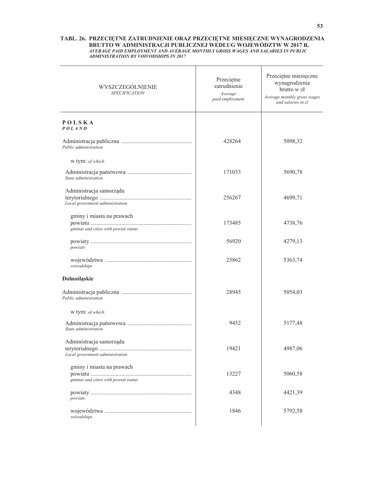| WYSZCZEGÓLNIENIE<br><b>SPECIFICATION</b>                          | Przeciętne<br>zatrudnienie<br>Average<br>paid employment | Przeciętne miesięczne<br>wynagrodzenia<br>brutto w zł<br>Average monthly gross wages<br>and salaries in zl |
|-------------------------------------------------------------------|----------------------------------------------------------|------------------------------------------------------------------------------------------------------------|
| POLSKA<br><b>POLAND</b>                                           |                                                          |                                                                                                            |
| Public administration                                             | 428264                                                   | 5098,32                                                                                                    |
| w tym: of which:                                                  |                                                          |                                                                                                            |
| State administration                                              | 171033                                                   | 5690,78                                                                                                    |
| Administracja samorządu<br>Local government administration        | 256267                                                   | 4699,71                                                                                                    |
| gminy i miasta na prawach<br>gminas and cities with powiat status | 173485                                                   | 4738,76                                                                                                    |
| powiats                                                           | 56920                                                    | 4279,13                                                                                                    |
| voivodships                                                       | 25862                                                    | 5363,74                                                                                                    |
| Dolnośląskie                                                      |                                                          |                                                                                                            |
| Public administration                                             | 28945                                                    | 5054,03                                                                                                    |
| w tym: of which:                                                  |                                                          |                                                                                                            |
| State administration                                              | 9452                                                     | 5177,48                                                                                                    |
| Administracja samorządu<br>Local government administration        | 19421                                                    | 4987,06                                                                                                    |
| gminy i miasta na prawach<br>gminas and cities with powiat status | 13227                                                    | 5060,58                                                                                                    |
| powiats                                                           | 4348                                                     | 4421,39                                                                                                    |
| voivodships                                                       | 1846                                                     | 5792,58                                                                                                    |
|                                                                   |                                                          |                                                                                                            |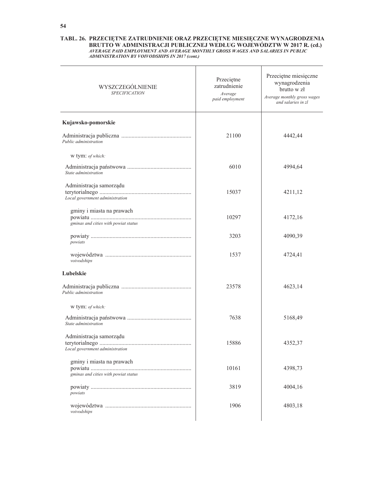| WYSZCZEGÓLNIENIE<br><b>SPECIFICATION</b>                          | Przeciętne<br>zatrudnienie<br>Average<br>paid employment | Przeciętne miesięczne<br>wynagrodzenia<br>brutto w zł<br>Average monthly gross wages<br>and salaries in zl |
|-------------------------------------------------------------------|----------------------------------------------------------|------------------------------------------------------------------------------------------------------------|
| Kujawsko-pomorskie                                                |                                                          |                                                                                                            |
| Public administration                                             | 21100                                                    | 4442,44                                                                                                    |
| w tym: of which:                                                  |                                                          |                                                                                                            |
| State administration                                              | 6010                                                     | 4994,64                                                                                                    |
| Administracja samorządu<br>Local government administration        | 15037                                                    | 4211,12                                                                                                    |
| gminy i miasta na prawach<br>gminas and cities with powiat status | 10297                                                    | 4172,16                                                                                                    |
| powiats                                                           | 3203                                                     | 4090,39                                                                                                    |
| voivodships                                                       | 1537                                                     | 4724,41                                                                                                    |
| Lubelskie                                                         |                                                          |                                                                                                            |
| Public administration                                             | 23578                                                    | 4623,14                                                                                                    |
| w tym: of which:                                                  |                                                          |                                                                                                            |
| State administration                                              | 7638                                                     | 5168,49                                                                                                    |
| Administracja samorządu<br>Local government administration        | 15886                                                    | 4352,37                                                                                                    |
| gminy i miasta na prawach<br>gminas and cities with powiat status | 10161                                                    | 4398,73                                                                                                    |
| powiats                                                           | 3819                                                     | 4004,16                                                                                                    |
| voivodships                                                       | 1906                                                     | 4803,18                                                                                                    |
|                                                                   |                                                          |                                                                                                            |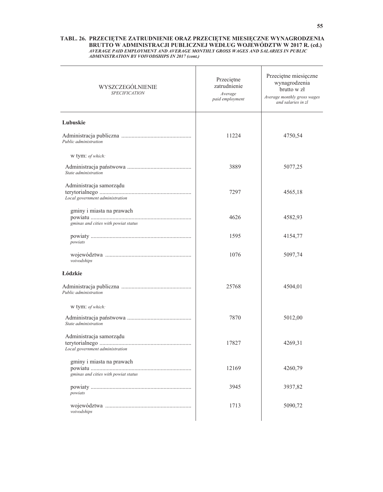| WYSZCZEGÓLNIENIE<br><b>SPECIFICATION</b>                          | Przeciętne<br>zatrudnienie<br>Average<br>paid employment | Przeciętne miesięczne<br>wynagrodzenia<br>brutto w zł<br>Average monthly gross wages<br>and salaries in zl |
|-------------------------------------------------------------------|----------------------------------------------------------|------------------------------------------------------------------------------------------------------------|
| Lubuskie                                                          |                                                          |                                                                                                            |
| Public administration                                             | 11224                                                    | 4750,54                                                                                                    |
| w tym: of which:                                                  |                                                          |                                                                                                            |
| State administration                                              | 3889                                                     | 5077,25                                                                                                    |
| Administracja samorządu<br>Local government administration        | 7297                                                     | 4565,18                                                                                                    |
| gminy i miasta na prawach<br>gminas and cities with powiat status | 4626                                                     | 4582,93                                                                                                    |
| powiats                                                           | 1595                                                     | 4154,77                                                                                                    |
| voivodships                                                       | 1076                                                     | 5097,74                                                                                                    |
| Lódzkie                                                           |                                                          |                                                                                                            |
| Public administration                                             | 25768                                                    | 4504,01                                                                                                    |
| w tym: of which:                                                  |                                                          |                                                                                                            |
| State administration                                              | 7870                                                     | 5012,00                                                                                                    |
| Administracja samorządu<br>Local government administration        | 17827                                                    | 4269,31                                                                                                    |
| gminy i miasta na prawach<br>gminas and cities with powiat status | 12169                                                    | 4260,79                                                                                                    |
| powiats                                                           | 3945                                                     | 3937,82                                                                                                    |
| voivodships                                                       | 1713                                                     | 5090,72                                                                                                    |
|                                                                   |                                                          |                                                                                                            |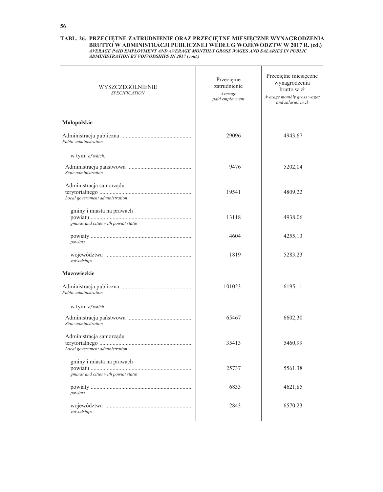| WYSZCZEGÓLNIENIE<br><b>SPECIFICATION</b>                          | Przeciętne<br>zatrudnienie<br>Average<br>paid employment | Przeciętne miesięczne<br>wynagrodzenia<br>brutto w zł<br>Average monthly gross wages<br>and salaries in zl |
|-------------------------------------------------------------------|----------------------------------------------------------|------------------------------------------------------------------------------------------------------------|
| Małopolskie                                                       |                                                          |                                                                                                            |
| Public administration                                             | 29096                                                    | 4943,67                                                                                                    |
| w tym: of which:                                                  |                                                          |                                                                                                            |
| State administration                                              | 9476                                                     | 5202,04                                                                                                    |
| Administracja samorządu<br>Local government administration        | 19541                                                    | 4809,22                                                                                                    |
| gminy i miasta na prawach<br>gminas and cities with powiat status | 13118                                                    | 4938,06                                                                                                    |
| powiats                                                           | 4604                                                     | 4255,13                                                                                                    |
| voivodships                                                       | 1819                                                     | 5283,23                                                                                                    |
| Mazowieckie                                                       |                                                          |                                                                                                            |
| Public administration                                             | 101023                                                   | 6195,11                                                                                                    |
| w tym: of which:                                                  |                                                          |                                                                                                            |
| State administration                                              | 65467                                                    | 6602,30                                                                                                    |
| Administracja samorządu<br>Local government administration        | 35413                                                    | 5460,99                                                                                                    |
| gminy i miasta na prawach<br>gminas and cities with powiat status | 25737                                                    | 5561,38                                                                                                    |
| powiats                                                           | 6833                                                     | 4621,85                                                                                                    |
| voivodships                                                       | 2843                                                     | 6570,23                                                                                                    |
|                                                                   |                                                          |                                                                                                            |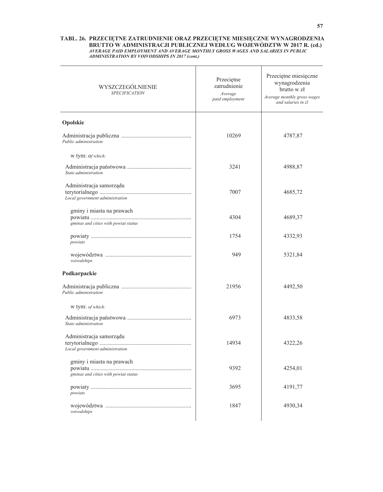| WYSZCZEGÓLNIENIE<br><b>SPECIFICATION</b>                          | Przeciętne<br>zatrudnienie<br>Average<br>paid employment | Przeciętne miesięczne<br>wynagrodzenia<br>brutto w zł<br>Average monthly gross wages<br>and salaries in zl |
|-------------------------------------------------------------------|----------------------------------------------------------|------------------------------------------------------------------------------------------------------------|
| Opolskie                                                          |                                                          |                                                                                                            |
| Public administration                                             | 10269                                                    | 4787,87                                                                                                    |
| w tym: of which:                                                  |                                                          |                                                                                                            |
| State administration                                              | 3241                                                     | 4988,87                                                                                                    |
| Administracja samorządu<br>Local government administration        | 7007                                                     | 4685,72                                                                                                    |
| gminy i miasta na prawach<br>gminas and cities with powiat status | 4304                                                     | 4689,37                                                                                                    |
| powiats                                                           | 1754                                                     | 4332,93                                                                                                    |
| voivodships                                                       | 949                                                      | 5321,84                                                                                                    |
| Podkarpackie                                                      |                                                          |                                                                                                            |
| Public administration                                             | 21956                                                    | 4492,50                                                                                                    |
| w tym: of which:                                                  |                                                          |                                                                                                            |
| State administration                                              | 6973                                                     | 4833,58                                                                                                    |
| Administracja samorządu<br>Local government administration        | 14934                                                    | 4322,26                                                                                                    |
| gminy i miasta na prawach<br>gminas and cities with powiat status | 9392                                                     | 4254,01                                                                                                    |
| powiats                                                           | 3695                                                     | 4191,77                                                                                                    |
| voivodships                                                       | 1847                                                     | 4930,34                                                                                                    |
|                                                                   |                                                          |                                                                                                            |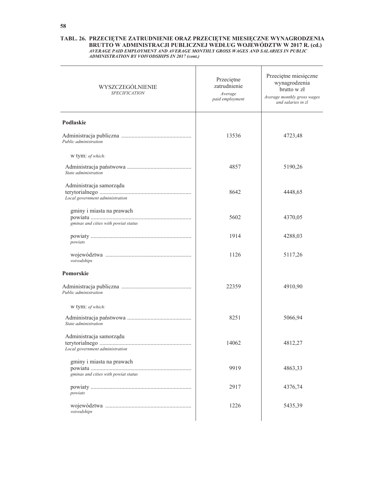| WYSZCZEGÓLNIENIE<br><b>SPECIFICATION</b>                          | Przeciętne<br>zatrudnienie<br>Average<br>paid employment | Przeciętne miesięczne<br>wynagrodzenia<br>brutto w zł<br>Average monthly gross wages<br>and salaries in zl |
|-------------------------------------------------------------------|----------------------------------------------------------|------------------------------------------------------------------------------------------------------------|
| Podlaskie                                                         |                                                          |                                                                                                            |
| Public administration                                             | 13536                                                    | 4723,48                                                                                                    |
| w tym: of which:                                                  |                                                          |                                                                                                            |
| State administration                                              | 4857                                                     | 5190,26                                                                                                    |
| Administracja samorządu<br>Local government administration        | 8642                                                     | 4448,65                                                                                                    |
| gminy i miasta na prawach<br>gminas and cities with powiat status | 5602                                                     | 4370,05                                                                                                    |
| powiats                                                           | 1914                                                     | 4288,03                                                                                                    |
| voivodships                                                       | 1126                                                     | 5117,26                                                                                                    |
| Pomorskie                                                         |                                                          |                                                                                                            |
| Public administration                                             | 22359                                                    | 4910,90                                                                                                    |
| w tym: of which:                                                  |                                                          |                                                                                                            |
| State administration                                              | 8251                                                     | 5066,94                                                                                                    |
| Administracja samorządu<br>Local government administration        | 14062                                                    | 4812,27                                                                                                    |
| gminy i miasta na prawach<br>gminas and cities with powiat status | 9919                                                     | 4863,33                                                                                                    |
| powiats                                                           | 2917                                                     | 4376,74                                                                                                    |
| voivodships                                                       | 1226                                                     | 5435,39                                                                                                    |
|                                                                   |                                                          |                                                                                                            |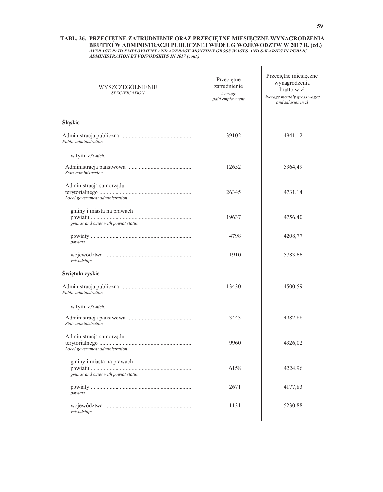| WYSZCZEGÓLNIENIE<br><b>SPECIFICATION</b>                          | Przeciętne<br>zatrudnienie<br>Average<br>paid employment | Przeciętne miesięczne<br>wynagrodzenia<br>brutto w zł<br>Average monthly gross wages<br>and salaries in zl |
|-------------------------------------------------------------------|----------------------------------------------------------|------------------------------------------------------------------------------------------------------------|
| Śląskie                                                           |                                                          |                                                                                                            |
| Public administration                                             | 39102                                                    | 4941,12                                                                                                    |
| w tym: of which:                                                  |                                                          |                                                                                                            |
| State administration                                              | 12652                                                    | 5364,49                                                                                                    |
| Administracja samorządu<br>Local government administration        | 26345                                                    | 4731,14                                                                                                    |
| gminy i miasta na prawach<br>gminas and cities with powiat status | 19637                                                    | 4756,40                                                                                                    |
| powiats                                                           | 4798                                                     | 4208,77                                                                                                    |
| voivodships                                                       | 1910                                                     | 5783,66                                                                                                    |
| Świętokrzyskie                                                    |                                                          |                                                                                                            |
| Public administration                                             | 13430                                                    | 4500,59                                                                                                    |
| w tym: of which:                                                  |                                                          |                                                                                                            |
| State administration                                              | 3443                                                     | 4982,88                                                                                                    |
| Administracja samorządu<br>Local government administration        | 9960                                                     | 4326,02                                                                                                    |
| gminy i miasta na prawach<br>gminas and cities with powiat status | 6158                                                     | 4224,96                                                                                                    |
| powiats                                                           | 2671                                                     | 4177,83                                                                                                    |
| voivodships                                                       | 1131                                                     | 5230,88                                                                                                    |
|                                                                   |                                                          |                                                                                                            |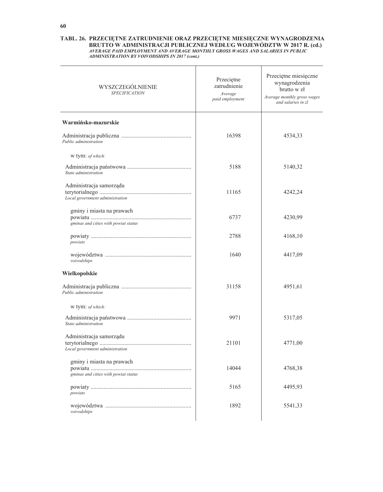| WYSZCZEGÓLNIENIE<br><b>SPECIFICATION</b>                          | Przeciętne<br>zatrudnienie<br>Average<br>paid employment | Przeciętne miesięczne<br>wynagrodzenia<br>brutto w zł<br>Average monthly gross wages<br>and salaries in zl |
|-------------------------------------------------------------------|----------------------------------------------------------|------------------------------------------------------------------------------------------------------------|
| Warmińsko-mazurskie                                               |                                                          |                                                                                                            |
| Public administration                                             | 16398                                                    | 4534,33                                                                                                    |
| w tym: of which:                                                  |                                                          |                                                                                                            |
| State administration                                              | 5188                                                     | 5140,32                                                                                                    |
| Administracja samorządu<br>Local government administration        | 11165                                                    | 4242,24                                                                                                    |
| gminy i miasta na prawach<br>gminas and cities with powiat status | 6737                                                     | 4230,99                                                                                                    |
| powiats                                                           | 2788                                                     | 4168,10                                                                                                    |
| voivodships                                                       | 1640                                                     | 4417,09                                                                                                    |
| Wielkopolskie                                                     |                                                          |                                                                                                            |
| Public administration                                             | 31158                                                    | 4951,61                                                                                                    |
| w tym: of which:                                                  |                                                          |                                                                                                            |
| State administration                                              | 9971                                                     | 5317,05                                                                                                    |
| Administracja samorządu<br>Local government administration        | 21101                                                    | 4771,00                                                                                                    |
| gminy i miasta na prawach<br>gminas and cities with powiat status | 14044                                                    | 4768,38                                                                                                    |
| powiats                                                           | 5165                                                     | 4495,93                                                                                                    |
| voivodships                                                       | 1892                                                     | 5541,33                                                                                                    |
|                                                                   |                                                          |                                                                                                            |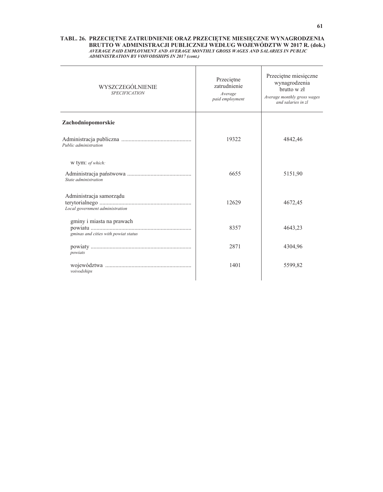| WYSZCZEGÓLNIENIE<br><b>SPECIFICATION</b>                          | Przeciętne<br>zatrudnienie<br>Average<br>paid employment | Przeciętne miesięczne<br>wynagrodzenia<br>brutto w zł<br>Average monthly gross wages<br>and salaries in zl |
|-------------------------------------------------------------------|----------------------------------------------------------|------------------------------------------------------------------------------------------------------------|
| Zachodniopomorskie                                                |                                                          |                                                                                                            |
| Public administration                                             | 19322                                                    | 4842,46                                                                                                    |
| w tym: of which:                                                  |                                                          |                                                                                                            |
| State administration                                              | 6655                                                     | 5151,90                                                                                                    |
| Administracja samorządu<br>Local government administration        | 12629                                                    | 4672,45                                                                                                    |
| gminy i miasta na prawach<br>gminas and cities with powiat status | 8357                                                     | 4643,23                                                                                                    |
| powiats                                                           | 2871                                                     | 4304,96                                                                                                    |
| voivodships                                                       | 1401                                                     | 5599,82                                                                                                    |
|                                                                   |                                                          |                                                                                                            |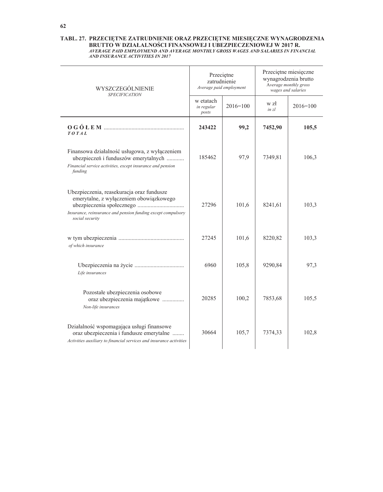| WYSZCZEGÓLNIENIE<br><b>SPECIFICATION</b>                                                                                                                                | Przeciętne<br>zatrudnienie<br>Average paid employment |              | Przeciętne miesięczne<br>wynagrodzenia brutto<br>Average monthly gross<br>wages and salaries |              |  |
|-------------------------------------------------------------------------------------------------------------------------------------------------------------------------|-------------------------------------------------------|--------------|----------------------------------------------------------------------------------------------|--------------|--|
|                                                                                                                                                                         | w etatach<br>in regular<br>posts                      | $2016 = 100$ | w zł<br>in z <sub>l</sub>                                                                    | $2016 = 100$ |  |
| TOTAL                                                                                                                                                                   | 243422                                                | 99,2         | 7452,90                                                                                      | 105,5        |  |
| Finansowa działalność usługowa, z wyłączeniem<br>ubezpieczeń i funduszów emerytalnych<br>Financial service activities, except insurance and pension<br>funding          | 185462                                                | 97,9         | 7349,81                                                                                      | 106,3        |  |
| Ubezpieczenia, reasekuracja oraz fundusze<br>emerytalne, z wyłączeniem obowiązkowego<br>Insurance, reinsurance and pension funding except compulsory<br>social security | 27296                                                 | 101,6        | 8241,61                                                                                      | 103,3        |  |
| of which insurance                                                                                                                                                      | 27245                                                 | 101,6        | 8220,82                                                                                      | 103,3        |  |
| Life insurances                                                                                                                                                         | 6960                                                  | 105,8        | 9290,84                                                                                      | 97,3         |  |
| Pozostałe ubezpieczenia osobowe<br>oraz ubezpieczenia majątkowe<br>Non-life insurances                                                                                  | 20285                                                 | 100,2        | 7853,68                                                                                      | 105,5        |  |
| Działalność wspomagająca usługi finansowe<br>oraz ubezpieczenia i fundusze emerytalne<br>Activities auxiliary to financial services and insurance activities            | 30664                                                 | 105,7        | 7374,33                                                                                      | 102,8        |  |

# TABL. 27. PRZECIĘTNE ZATRUDNIENIE ORAZ PRZECIĘTNE MIESIĘCZNE WYNAGRODZENIA BRUTTO W DZIAŁALNOŚCI FINANSOWEJ I UBEZPIECZENIOWEJ W 2017 R. AVERAGE PAID EMPLOYMEND AND AVERAGE MONTHLY GROSS WAGES AND SALARIES IN FINANCIAL AND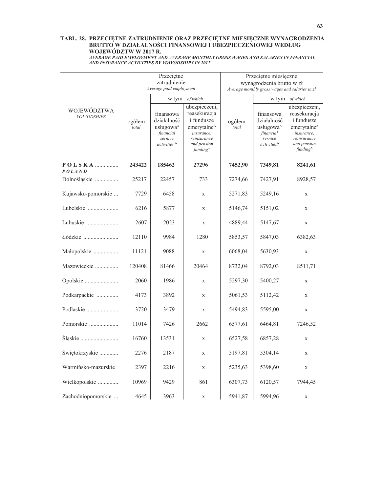### TABL. 28. PRZECIĘTNE ZATRUDNIENIE ORAZ PRZECIĘTNE MIESIĘCZNE WYNAGRODZENIA BRUTTO W DZIAŁALNOŚCI FINANSOWEJ I UBEZPIECZENIOWEJ WEDŁUG WOJEWÓDZTW W 2017 R.

AVERAGE PAID EMPLOYMENT AND AVERAGE MONTHLY GROSS WAGES AND SALARIES IN FINANCIAL<br>AND INSURANCE ACTIVITIES BY VOIVODSHIPS IN 2017

|                                          |                                                                                                                                             | Przeciętne<br>zatrudnienie<br>Average paid employment |                                                                                                                                                 | Przeciętne miesięczne<br>wynagrodzenia brutto w zł<br>Average monthly gross wages and salaries in zl |                                                                                        |                                                                                                                                                  |  |  |
|------------------------------------------|---------------------------------------------------------------------------------------------------------------------------------------------|-------------------------------------------------------|-------------------------------------------------------------------------------------------------------------------------------------------------|------------------------------------------------------------------------------------------------------|----------------------------------------------------------------------------------------|--------------------------------------------------------------------------------------------------------------------------------------------------|--|--|
|                                          |                                                                                                                                             | w tym                                                 | of which                                                                                                                                        |                                                                                                      | w tym                                                                                  | of which                                                                                                                                         |  |  |
| <b>WOJEWÓDZTWA</b><br><b>VOIVODSHIPS</b> | finansowa<br>działalność<br>ogółem<br>usługowa <sup><math>\triangle</math></sup><br>total<br>financial<br>sernice<br>activities $^{\Delta}$ |                                                       | ubezpieczeni,<br>reasekuracja<br><i>i</i> fundusze<br>emerytalne $\triangle$<br>insurance,<br>reinsurance<br>and pension<br>funding $\triangle$ | ogółem<br>total                                                                                      | finansowa<br>działalność<br>usługowa∆<br>financial<br>sernice<br>$activities^{\Delta}$ | ubezpieczeni,<br>reasekuracja<br><i>i</i> fundusze<br>emerytalne <sup>4</sup><br>insurance,<br>reinsurance<br>and pension<br>funding $\triangle$ |  |  |
| <b>POLAND</b>                            | 243422                                                                                                                                      | 185462                                                | 27296                                                                                                                                           | 7452,90                                                                                              | 7349,81                                                                                | 8241,61                                                                                                                                          |  |  |
| Dolnośląskie                             | 25217                                                                                                                                       | 22457                                                 | 733                                                                                                                                             | 7274,66                                                                                              | 7427,91                                                                                | 8928,57                                                                                                                                          |  |  |
| Kujawsko-pomorskie                       | 7729                                                                                                                                        | 6458                                                  | $\mathbf X$                                                                                                                                     | 5271,83                                                                                              | 5249,16                                                                                | $\mathbf X$                                                                                                                                      |  |  |
| Lubelskie                                | 6216                                                                                                                                        | 5877                                                  | $\mathbf X$                                                                                                                                     | 5146,74                                                                                              | 5151,02                                                                                | $\mathbf X$                                                                                                                                      |  |  |
| Lubuskie                                 | 2607                                                                                                                                        | 2023                                                  | $\mathbf X$                                                                                                                                     | 4889,44                                                                                              | 5147,67                                                                                | $\mathbf X$                                                                                                                                      |  |  |
| Łódzkie                                  | 12110                                                                                                                                       | 9984                                                  | 1280                                                                                                                                            | 5853,57                                                                                              | 5847,03                                                                                | 6382,63                                                                                                                                          |  |  |
| Małopolskie                              | 11121                                                                                                                                       | 9088                                                  | $\mathbf X$                                                                                                                                     | 6068,04                                                                                              | 5630,93                                                                                | $\mathbf X$                                                                                                                                      |  |  |
| Mazowieckie                              | 120408                                                                                                                                      | 81466                                                 | 20464                                                                                                                                           | 8732,04                                                                                              | 8792,03                                                                                | 8511,71                                                                                                                                          |  |  |
| Opolskie                                 | 2060                                                                                                                                        | 1986                                                  | $\mathbf X$                                                                                                                                     | 5297,30                                                                                              | 5400,27                                                                                | $\mathbf X$                                                                                                                                      |  |  |
| Podkarpackie                             | 4173                                                                                                                                        | 3892                                                  | X                                                                                                                                               | 5061,53                                                                                              | 5112,42                                                                                | $\mathbf x$                                                                                                                                      |  |  |
| Podlaskie                                | 3720                                                                                                                                        | 3479                                                  | $\mathbf X$                                                                                                                                     | 5494,83                                                                                              | 5595,00                                                                                | $\mathbf X$                                                                                                                                      |  |  |
| Pomorskie                                | 11014                                                                                                                                       | 7426                                                  | 2662                                                                                                                                            | 6577,61                                                                                              | 6464.81                                                                                | 7246,52                                                                                                                                          |  |  |
| Slaskie                                  | 16760                                                                                                                                       | 13531                                                 | $\mathbf X$                                                                                                                                     | 6527,58                                                                                              | 6857,28                                                                                | $\mathbf X$                                                                                                                                      |  |  |
| Świętokrzyskie                           | 2276                                                                                                                                        | 2187                                                  | $\mathbf X$                                                                                                                                     | 5197,81                                                                                              | 5304,14                                                                                | X                                                                                                                                                |  |  |
| Warmińsko-mazurskie                      | 2397                                                                                                                                        | 2216                                                  | $\mathbf X$                                                                                                                                     | 5235,63                                                                                              | 5398,60                                                                                | $\mathbf X$                                                                                                                                      |  |  |
| Wielkopolskie                            | 10969                                                                                                                                       | 9429                                                  | 861                                                                                                                                             | 6307,73                                                                                              | 6120,57                                                                                | 7944,45                                                                                                                                          |  |  |
| Zachodniopomorskie                       | 4645                                                                                                                                        | 3963                                                  | $\mathbf X$                                                                                                                                     | 5941,87                                                                                              | 5994.96                                                                                | $\mathbf X$                                                                                                                                      |  |  |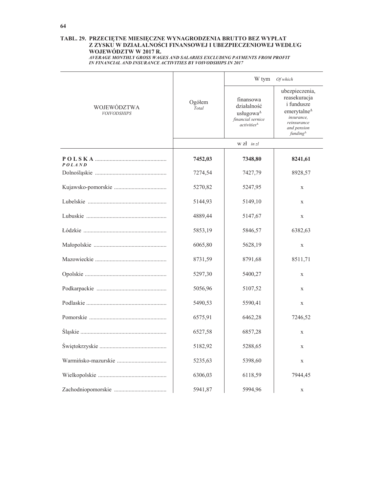# TABL. 29. PRZECIĘTNE MIESIĘCZNE WYNAGRODZENIA BRUTTO BEZ WYPŁAT Z ZYSKU W DZIAŁALNOŚCI FINANSOWEJ I UBEZPIECZENIOWEJ WEDŁUG<br>WOJEWÓDZTW W 2017 R.

AVERAGE MONTHLY GROSS WAGES AND SALARIES EXCLUDING PAYMENTS FROM PROFIT IN FINANCIAL AND INSURANCE ACTIVITIES BY VOIVODSHIPS IN 2017

|                                   |                               | W tym                                                                                                                | Of which                                                                                                                                                               |
|-----------------------------------|-------------------------------|----------------------------------------------------------------------------------------------------------------------|------------------------------------------------------------------------------------------------------------------------------------------------------------------------|
| WOJEWÓDZTWA<br><b>VOIVODSHIPS</b> | Ogółem<br>$\overline{T}$ otal | finansowa<br>działalność<br>usługowa <sup><math>\triangle</math></sup><br>financial sernice<br>$activities^{\Delta}$ | ubezpieczenia,<br>reasekuracja<br><i>i</i> fundusze<br>emerytalne $^{\Delta}$<br>insurance,<br>reinsurance<br>and pension<br>funding <sup><math>\triangle</math></sup> |
|                                   |                               | $w z1$ in $z1$                                                                                                       |                                                                                                                                                                        |
| P O L S K A<br><b>POLAND</b>      | 7452,03                       | 7348,80                                                                                                              | 8241,61                                                                                                                                                                |
|                                   | 7274,54                       | 7427,79                                                                                                              | 8928,57                                                                                                                                                                |
|                                   | 5270,82                       | 5247,95                                                                                                              | $\mathbf X$                                                                                                                                                            |
|                                   | 5144,93                       | 5149,10                                                                                                              | $\mathbf X$                                                                                                                                                            |
|                                   | 4889,44                       | 5147,67                                                                                                              | $\mathbf X$                                                                                                                                                            |
|                                   | 5853,19                       | 5846,57                                                                                                              | 6382,63                                                                                                                                                                |
|                                   | 6065,80                       | 5628,19                                                                                                              | $\mathbf X$                                                                                                                                                            |
|                                   | 8731,59                       | 8791,68                                                                                                              | 8511,71                                                                                                                                                                |
|                                   | 5297,30                       | 5400,27                                                                                                              | $\mathbf X$                                                                                                                                                            |
|                                   | 5056,96                       | 5107,52                                                                                                              | X                                                                                                                                                                      |
|                                   | 5490,53                       | 5590,41                                                                                                              | $\mathbf X$                                                                                                                                                            |
|                                   | 6575,91                       | 6462,28                                                                                                              | 7246,52                                                                                                                                                                |
|                                   | 6527,58                       | 6857,28                                                                                                              | $\mathbf X$                                                                                                                                                            |
|                                   | 5182,92                       | 5288,65                                                                                                              | $\mathbf X$                                                                                                                                                            |
|                                   | 5235,63                       | 5398,60                                                                                                              | X                                                                                                                                                                      |
|                                   | 6306,03                       | 6118,59                                                                                                              | 7944,45                                                                                                                                                                |
|                                   | 5941,87                       | 5994,96                                                                                                              | $\mathbf X$                                                                                                                                                            |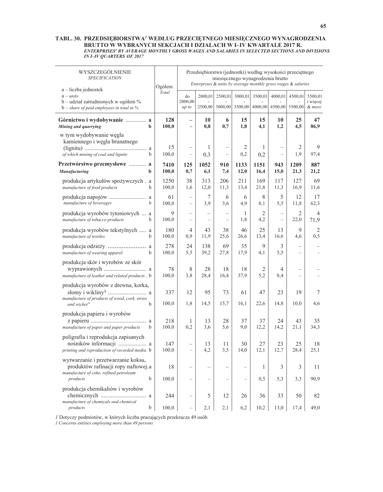#### TABL. 30. PRZEDSIĘBIORSTWA<sup>1</sup> WEDŁUG PRZECIĘTNEGO MIESIĘCZNEGO WYNAGRODZENIA BRUTTO W WYBRANYCH SEKCJACH I DZIAŁACH W I–IV KWARTALE 2017 R. *ENTERPRISES1 BY AVERAGE MONTHLY GROSS WAGES AND SALARIES IN SELECTED SECTIONS AND DIVISIONS IN I–IV QUARTERS OF 2017*

| WYSZCZEGÓLNIENIE<br><b>SPECIFICATION</b>                                                                                  | Ogółem        |                                               |                    |                                | Przedsiębiorstwa (jednostki) według wysokości przeciętnego<br>miesięcznego wynagrodzenia brutto<br>Enterprises & units by average monthly gross wages & salaries |                       |                                            |                          |                               |
|---------------------------------------------------------------------------------------------------------------------------|---------------|-----------------------------------------------|--------------------|--------------------------------|------------------------------------------------------------------------------------------------------------------------------------------------------------------|-----------------------|--------------------------------------------|--------------------------|-------------------------------|
| a – liczba jednostek<br>$a$ – units<br>b – udział zatrudnionych w ogółem %<br>$b$ – share of paid employees in total in % | Total         | do<br>2000,00<br>up to                        | 2000,01<br>2500,00 | 2500,01<br>3000,00             |                                                                                                                                                                  | 3000,01 3500,01       | 4000,01<br>3500,00 4000,00 4500,00 5500,00 | 4500,01                  | 5500,01<br>i więcej<br>& more |
| Górnictwo i wydobywanie  a<br>Mining and quarrying<br>$\mathbf b$                                                         | 128<br>100,0  | $\qquad \qquad -$<br>$\overline{\phantom{0}}$ | 10<br>0,8          | 6<br>0,7                       | 15<br>1,8                                                                                                                                                        | 15<br>4,1             | 10<br>1,2                                  | 25<br>4,5                | 47<br>86,9                    |
| w tym wydobywanie węgla<br>kamiennego i węgla brunatnego<br>of which mining of coal and lignite<br>b                      | 15<br>100,0   | L,                                            | 1<br>0,3           |                                | 2<br>0,2                                                                                                                                                         | 1<br>0,2              |                                            | 2<br>1.9                 | 9<br>97,4                     |
| Przetwórstwo przemysłowe  a<br><b>Manufacturing</b><br>b                                                                  | 7410<br>100,0 | 125<br>0,7                                    | 1052<br>6,1        | 910<br>7,4                     | 1133<br>12,0                                                                                                                                                     | 1151<br>16,4          | 943<br>15,0                                | 1209<br>21,3             | 887<br>21,2                   |
| produkcja artykułów spożywczych. a<br>manufacture of food products<br>b                                                   | 1250<br>100,0 | 38<br>1.6                                     | 313<br>12,0        | 206<br>11,3                    | 211<br>13,4                                                                                                                                                      | 169<br>21,8           | 117<br>11,3                                | 127<br>16,9              | 69<br>11,6                    |
| manufacture of beverages<br>$\mathbf b$                                                                                   | 61<br>100,0   |                                               | 7<br>3,9           | 6<br>3,6                       | 6<br>4,9                                                                                                                                                         | 8<br>8,1              | 5<br>5,5                                   | 12<br>11,8               | 17<br>62,3                    |
| produkcja wyrobów tytoniowych  a<br>manufacture of tobacco products<br>b                                                  | 9<br>100,0    | $\overline{\phantom{0}}$                      |                    | $\overbrace{\phantom{123221}}$ | 1<br>1,8                                                                                                                                                         | $\overline{2}$<br>4,2 |                                            | 2<br>22,0                | $\overline{4}$<br>71,9        |
| produkcja wyrobów tekstylnych  a<br>manufacture of textiles<br>b                                                          | 180<br>100,0  | 4<br>0,9                                      | 43<br>11,9         | 38<br>25,6                     | 46<br>26,6                                                                                                                                                       | 25<br>13,4            | 13<br>16,6                                 | 9<br>4,6                 | $\overline{2}$<br>0,5         |
| manufacture of wearing apparel<br>b                                                                                       | 278<br>100,0  | 24<br>5,5                                     | 138<br>39,2        | 69<br>27,8                     | 35<br>17,9                                                                                                                                                       | 9<br>4,1              | 3<br>5,5                                   |                          |                               |
| produkcja skór i wyrobów ze skór<br>manufacture of leather and related products b                                         | 78<br>100,0   | 8<br>3,8                                      | 28<br>28,4         | 18<br>16,4                     | 18<br>37,9                                                                                                                                                       | 2<br>5,2              | 4<br>8,4                                   | $\overline{\phantom{a}}$ |                               |
| produkcja wyrobów z drewna, korka,                                                                                        | 337           | 12                                            | 95                 | 73                             | 61                                                                                                                                                               | 47                    | 23                                         | 19                       | 7                             |
| manufacture of products of wood, cork, straw<br>and wicker $\triangle$<br>b                                               | 100,0         | 1,8                                           | 14,5               | 15,7                           | 16,1                                                                                                                                                             | 22,6                  | 14,8                                       | 10,0                     | 4,6                           |
| produkcja papieru i wyrobów<br>manufacture of paper and paper products<br>b                                               | 218<br>100,0  | 1<br>0.2                                      | 13<br>3,6          | 28<br>5,6                      | 37<br>9,0                                                                                                                                                        | 37<br>12,2            | 24<br>14,2                                 | 43<br>21,1               | 35<br>34,3                    |
| poligrafia i reprodukcja zapisanych<br>nośników informacji  a<br>printing and reproduction of recorded media. b           | 147<br>100.0  | $\overline{\phantom{0}}$                      | 13<br>4,2          | 11<br>3,5                      | 30<br>14,0                                                                                                                                                       | 27<br>12,1            | 23<br>12,7                                 | 25<br>28,4               | 18<br>25,1                    |
| wytwarzanie i przetwarzanie koksu,<br>produktów rafinacji ropy naftowej.a<br>manufacture of coke, refined petroleum       | 18            |                                               |                    |                                |                                                                                                                                                                  | 1                     | 3                                          | 3                        | 11                            |
| b<br>products<br>produkcja chemikaliów i wyrobów                                                                          | 100,0         |                                               |                    |                                |                                                                                                                                                                  | 0, 5                  | 5,3                                        | 3,3                      | 90,9                          |
| manufacture of chemicals and chemical<br>b<br>products                                                                    | 244<br>100,0  |                                               | 5<br>2,1           | 12<br>2,1                      | 26<br>6,2                                                                                                                                                        | 36<br>10,2            | 33<br>13,0                                 | 50<br>17,4               | 82<br>49,0                    |

*1* Dotyczy podmiotów, w których liczba pracujących przekracza 49 osób.

*1 Concerns entities employing more than 49 persons* 

 $\overline{a}$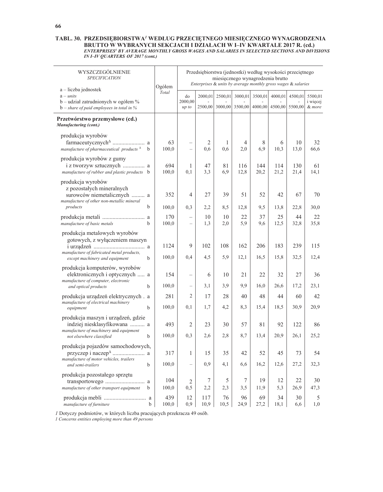#### TABL. 30. PRZEDSIĘBIORSTWA<sup>1</sup> WEDŁUG PRZECIĘTNEGO MIESIĘCZNEGO WYNAGRODZENIA **BRUTTO W WYBRANYCH SEKCJACH I DZIAŁACH W I–IV KWARTALE 2017 R. (cd.)** *ENTERPRISES1 BY AVERAGE MONTHLY GROSS WAGES AND SALARIES IN SELECTED SECTIONS AND DIVISIONS IN I–IV QUARTERS OF 2017 (cont.)*

| WYSZCZEGÓLNIENIE<br><b>SPECIFICATION</b>                                                                                                           | Ogółem        |                                   |                       |            | Przedsiębiorstwa (jednostki) według wysokości przeciętnego<br>miesięcznego wynagrodzenia brutto<br>Enterprises & units by average monthly gross wages & salaries |             |             |             |                               |
|----------------------------------------------------------------------------------------------------------------------------------------------------|---------------|-----------------------------------|-----------------------|------------|------------------------------------------------------------------------------------------------------------------------------------------------------------------|-------------|-------------|-------------|-------------------------------|
| a - liczba jednostek<br>$a - units$<br>b – udział zatrudnionych w ogółem %<br>$b$ – share of paid employees in total in %                          | Total         | do<br>2000.00<br>up to            | 2000,01<br>2500,00    | 2500,01    | 3000,01<br>3000,00 3500,00 4000,00 4500,00 5500,00                                                                                                               | 3500,01     | 4000,01     | 4500,01     | 5500,01<br>i więcej<br>& more |
| Przetwórstwo przemysłowe (cd.)<br>Manufacturing (cont.)                                                                                            |               |                                   |                       |            |                                                                                                                                                                  |             |             |             |                               |
| produkcja wyrobów<br>manufacture of pharmaceutical products $\triangle$<br>b                                                                       | 63<br>100,0   | $\overline{\phantom{0}}$          | $\overline{2}$<br>0,6 | 1<br>0,6   | 4<br>2,0                                                                                                                                                         | 8<br>6,9    | 6<br>10,3   | 10<br>13,0  | 32<br>66,6                    |
| produkcja wyrobów z gumy<br>i z tworzyw sztucznych  a<br>manufacture of rubber and plastic products b                                              | 694<br>100,0  | 1<br>0,1                          | 47<br>3,3             | 81<br>6,9  | 116<br>12,8                                                                                                                                                      | 144<br>20,2 | 114<br>21,2 | 130<br>21,4 | 61<br>14,1                    |
| produkcja wyrobów<br>z pozostałych mineralnych<br>surowców niemetalicznych  a<br>manufacture of other non-metallic mineral                         | 352           | $\overline{4}$                    | 27                    | 39         | 51                                                                                                                                                               | 52          | 42          | 67          | 70                            |
| products<br>b                                                                                                                                      | 100,0         | 0,3                               | 2,2                   | 8,5        | 12,8                                                                                                                                                             | 9,5         | 13,8        | 22,8        | 30,0                          |
| manufacture of basic metals<br>b                                                                                                                   | 170<br>100,0  |                                   | 10<br>1,3             | 10<br>2,0  | 22<br>5,9                                                                                                                                                        | 37<br>9,6   | 25<br>12,5  | 44<br>32,8  | 22<br>35,8                    |
| produkcja metalowych wyrobów<br>gotowych, z wyłączeniem maszyn<br>manufacture of fabricated metal products,<br>except machinery and equipment<br>b | 1124<br>100,0 | 9<br>0,4                          | 102<br>4,5            | 108<br>5,9 | 162<br>12,1                                                                                                                                                      | 206<br>16,5 | 183<br>15,8 | 239<br>32,5 | 115<br>12,4                   |
| produkcja komputerów, wyrobów<br>elektronicznych i optycznych  a<br>manufacture of computer, electronic<br>and optical products<br>b               | 154<br>100,0  | $\overline{\phantom{0}}$          | 6<br>3,1              | 10<br>3.9  | 21<br>9,9                                                                                                                                                        | 22<br>16,0  | 32<br>26,6  | 27<br>17,2  | 36<br>23,1                    |
| produkcja urządzeń elektrycznych. a                                                                                                                | 281           | $\overline{2}$                    | 17                    | 28         | 40                                                                                                                                                               | 48          | 44          | 60          | 42                            |
| manufacture of electrical machinery<br>b<br>equipment                                                                                              | 100,0         | 0,1                               | 1,7                   | 4,2        | 8,3                                                                                                                                                              | 15,4        | 18,5        | 30,9        | 20,9                          |
| produkcja maszyn i urządzeń, gdzie<br>indziej niesklasyfikowana  a<br>manufacture of machinery and equipment<br>not elsewhere classified<br>b      | 493<br>100,0  | 2<br>0,3                          | 23<br>2,6             | 30<br>2,8  | 57<br>8,7                                                                                                                                                        | 81<br>13,4  | 92<br>20,9  | 122<br>26,1 | 86<br>25,2                    |
| produkcja pojazdów samochodowych,<br>manufacture of motor vehicles, trailers<br>and semi-trailers<br>b                                             | 317<br>100,0  | $\mathbf{1}$<br>$\qquad \qquad -$ | 15<br>0,9             | 35<br>4,1  | 42<br>6,6                                                                                                                                                        | 52<br>16,2  | 45<br>12,6  | 73<br>27,2  | 54<br>32,3                    |
| produkcja pozostałego sprzętu<br>manufacture of other transport equipment<br>b                                                                     | 104<br>100,0  | 2<br>0,5                          | 7<br>2,2              | 5<br>2,3   | 7<br>3,5                                                                                                                                                         | 19<br>11,9  | 12<br>5,3   | 22<br>26,9  | 30<br>47,3                    |
| manufacture of furniture<br>b                                                                                                                      | 439<br>100,0  | 12<br>0,9                         | 117<br>10,9           | 76<br>10,5 | 96<br>24,9                                                                                                                                                       | 69<br>27,2  | 34<br>18,1  | 30<br>6,6   | 5<br>1,0                      |

*1* Dotyczy podmiotów, w których liczba pracujących przekracza 49 osób.

*1 Concerns entities employing more than 49 persons* 

 $\overline{a}$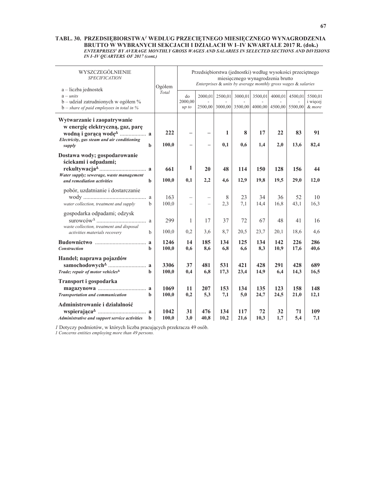#### TABL. 30. PRZEDSIĘBIORSTWA<sup>1</sup> WEDŁUG PRZECIĘTNEGO MIESIĘCZNEGO WYNAGRODZENIA **BRUTTO W WYBRANYCH SEKCJACH I DZIAŁACH W I–IV KWARTALE 2017 R. (dok.)** *ENTERPRISES1 BY AVERAGE MONTHLY GROSS WAGES AND SALARIES IN SELECTED SECTIONS AND DIVISIONS IN I–IV QUARTERS OF 2017 (cont.)*

| WYSZCZEGÓLNIENIE<br><b>SPECIFICATION</b><br>a – liczba jednostek                                                                    | Ogółem                          |                          | Przedsiębiorstwa (jednostki) według wysokości przeciętnego |             | miesięcznego wynagrodzenia brutto<br>Enterprises & units by average monthly gross wages & salaries |             |                 |             |                                      |
|-------------------------------------------------------------------------------------------------------------------------------------|---------------------------------|--------------------------|------------------------------------------------------------|-------------|----------------------------------------------------------------------------------------------------|-------------|-----------------|-------------|--------------------------------------|
| $a - units$<br>$b$ – udział zatrudnionych w ogółem %<br>$b$ – share of paid employees in total in %                                 | Total<br>do<br>2000,00<br>up to |                          | 2000,01                                                    | 2500,01     | 3000,01<br>2500,00 3000,00 3500,00 4000,00 4500,00 5500,00                                         |             | 3500,01 4000,01 | 4500,01     | 5500,01<br><i>i</i> wiecej<br>& more |
| Wytwarzanie i zaopatrywanie<br>w energię elektryczną, gaz, parę<br>Electricity, gas steam and air conditioning<br>b<br>supply       | 222<br>100,0                    |                          |                                                            | 1<br>0,1    | 8<br>0,6                                                                                           | 17<br>1,4   | 22<br>2,0       | 83<br>13,6  | 91<br>82,4                           |
| Dostawa wody; gospodarowanie<br>ściekami i odpadami;<br>Water supply; sewerage, waste management<br>and remediation activities<br>b | 661<br>100,0                    | 1<br>0,1                 | 20<br>2,2                                                  | 48<br>4,6   | 114<br>12,9                                                                                        | 150<br>19,8 | 128<br>19,5     | 156<br>29,0 | 44<br>12,0                           |
| pobór, uzdatnianie i dostarczanie<br>water collection, treatment and supply<br>b                                                    | 163<br>100,0                    | $\overline{\phantom{0}}$ |                                                            | 8<br>2,3    | 23<br>7,1                                                                                          | 34<br>14,4  | 36<br>16,8      | 52<br>43,1  | 10<br>16,3                           |
| gospodarka odpadami; odzysk<br>waste collection, treatment and disposal<br>activities materials recovery<br>b                       | 299<br>100,0                    | 1<br>0,2                 | 17<br>3,6                                                  | 37<br>8,7   | 72<br>20,5                                                                                         | 67<br>23,7  | 48<br>20,1      | 41<br>18,6  | 16<br>4,6                            |
| $\mathbf{a}$<br><b>Construction</b><br>h                                                                                            | 1246<br>100,0                   | 14<br>0,6                | 185<br>8,6                                                 | 134<br>6,8  | 125<br>6,6                                                                                         | 134<br>8,3  | 142<br>10,9     | 226<br>17,6 | 286<br>40,6                          |
| Handel; naprawa pojazdów<br>Trade; repair of motor vehicles <sup><math>\Delta</math></sup><br>b                                     | 3306<br>100,0                   | 37<br>0,4                | 481<br>6,8                                                 | 531<br>17,3 | 421<br>23,4                                                                                        | 428<br>14,9 | 291<br>6,4      | 428<br>14,3 | 689<br>16,5                          |
| Transport i gospodarka<br>Transportation and communication<br>b                                                                     | 1069<br>100,0                   | 11<br>0,2                | 207<br>5,3                                                 | 153<br>7,1  | 134<br>5,0                                                                                         | 135<br>24,7 | 123<br>24,5     | 158<br>21,0 | 148<br>12,1                          |
| Administrowanie i działalność<br>Administrative and support service activities<br>b                                                 | 1042<br>100,0                   | 31<br>3,0                | 476<br>40,8                                                | 134<br>10,2 | 117<br>21,6                                                                                        | 72<br>10,3  | 32<br>1,7       | 71<br>5,4   | 109<br>7,1                           |

*l* Dotyczy podmiotów, w których liczba pracujących przekracza 49 osób.

*1 Concerns entities employing more than 49 persons.*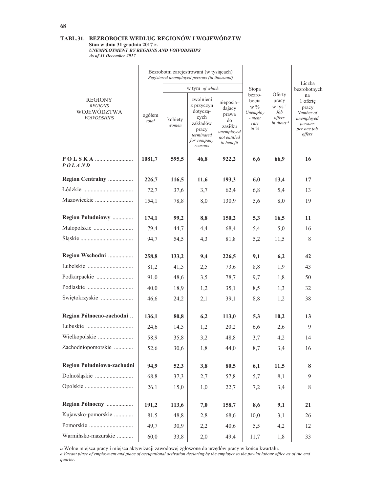## TABL.31. BEZROBOCIE WEDŁUG REGIONÓW I WOJEWÓDZTW Standard Collam 2017 r.<br>Standard Mill 31 grudnia 2017 r.<br>UNEMPLOYMENT BY REGIONS AND VOIVODSHIPS As of 31 December 2017

|                                                                       |                 |                  | Bezrobotni zarejestrowani (w tysiącach)<br>Registered unemployed persons (in thousand)                   |                                                                                           |                                                                  |                                                                                                  |                                                                                        |
|-----------------------------------------------------------------------|-----------------|------------------|----------------------------------------------------------------------------------------------------------|-------------------------------------------------------------------------------------------|------------------------------------------------------------------|--------------------------------------------------------------------------------------------------|----------------------------------------------------------------------------------------|
|                                                                       |                 |                  | w tym of which                                                                                           |                                                                                           | Stopa                                                            |                                                                                                  | Liczba<br>bezrobotnych                                                                 |
| <b>REGIONY</b><br><b>REGIONS</b><br>WOJEWÓDZTWA<br><b>VOIVODSHIPS</b> | ogółem<br>total | kobiety<br>women | zwolnieni<br>z przyczyn<br>dotyczą-<br>cych<br>zakładów<br>pracy<br>terminated<br>for company<br>reasons | nieposia-<br>dajacy<br>prawa<br>do<br>zasiłku<br>unemployed<br>not entitled<br>to benefit | bezro-<br>bocia<br>$\le 9$<br>Unemploy<br>- ment<br>rate<br>in % | Oferty<br>pracy<br>$w$ tys. <sup><math>a</math></sup><br>Job<br>offers<br>in thous. <sup>a</sup> | na<br>1 oferte<br>pracy<br>Number of<br>unemployed<br>persons<br>per one job<br>offers |
| <i>POLAND</i>                                                         | 1081,7          | 595,5            | 46,8                                                                                                     | 922,2                                                                                     | 6,6                                                              | 66,9                                                                                             | 16                                                                                     |
| Region Centralny                                                      | 226,7           | 116,5            | 11,6                                                                                                     | 193,3                                                                                     | 6,0                                                              | 13,4                                                                                             | 17                                                                                     |
|                                                                       | 72,7            | 37,6             | 3,7                                                                                                      | 62,4                                                                                      | 6,8                                                              | 5,4                                                                                              | 13                                                                                     |
| Mazowieckie                                                           | 154,1           | 78,8             | 8,0                                                                                                      | 130,9                                                                                     | 5,6                                                              | 8,0                                                                                              | 19                                                                                     |
| Region Południowy                                                     | 174,1           | 99,2             | 8,8                                                                                                      | 150,2                                                                                     | 5,3                                                              | 16,5                                                                                             | 11                                                                                     |
| Małopolskie                                                           | 79,4            | 44,7             | 4,4                                                                                                      | 68,4                                                                                      | 5,4                                                              | 5,0                                                                                              | 16                                                                                     |
|                                                                       | 94,7            | 54,5             | 4,3                                                                                                      | 81,8                                                                                      | 5,2                                                              | 11,5                                                                                             | 8                                                                                      |
| Region Wschodni                                                       | 258,8           | 133,2            | 9,4                                                                                                      | 226,5                                                                                     | 9,1                                                              | 6,2                                                                                              | 42                                                                                     |
| Lubelskie                                                             | 81,2            | 41,5             | 2,5                                                                                                      | 73,6                                                                                      | 8,8                                                              | 1,9                                                                                              | 43                                                                                     |
| Podkarpackie                                                          | 91,0            | 48,6             | 3,5                                                                                                      | 78,7                                                                                      | 9,7                                                              | 1,8                                                                                              | 50                                                                                     |
|                                                                       | 40,0            | 18,9             | 1,2                                                                                                      | 35,1                                                                                      | 8,5                                                              | 1,3                                                                                              | 32                                                                                     |
| Świętokrzyskie                                                        | 46,6            | 24,2             | 2,1                                                                                                      | 39,1                                                                                      | 8,8                                                              | 1,2                                                                                              | 38                                                                                     |
| Region Północno-zachodni                                              | 136,1           | 80,8             | 6,2                                                                                                      | 113,0                                                                                     | 5,3                                                              | 10,2                                                                                             | 13                                                                                     |
|                                                                       | 24,6            | 14,5             | 1,2                                                                                                      | 20.2                                                                                      | 6,6                                                              | 2,6                                                                                              | 9                                                                                      |
| Wielkopolskie                                                         | 58,9            | 35,8             | 3,2                                                                                                      | 48,8                                                                                      | 3,7                                                              | 4,2                                                                                              | 14                                                                                     |
| Zachodniopomorskie                                                    | 52,6            | 30,6             | 1,8                                                                                                      | 44,0                                                                                      | 8,7                                                              | 3,4                                                                                              | 16                                                                                     |
| Region Południowo-zachodni                                            | 94,9            | 52,3             | 3,8                                                                                                      | 80,5                                                                                      | 6,1                                                              | 11,5                                                                                             | 8                                                                                      |
|                                                                       | 68,8            | 37,3             | 2,7                                                                                                      | 57,8                                                                                      | 5,7                                                              | 8,1                                                                                              | 9                                                                                      |
|                                                                       | 26,1            | 15,0             | 1,0                                                                                                      | 22,7                                                                                      | 7,2                                                              | 3,4                                                                                              | 8                                                                                      |
| Region Północny                                                       | 191,2           | 113,6            | 7,0                                                                                                      | 158,7                                                                                     | 8,6                                                              | 9,1                                                                                              | 21                                                                                     |
| Kujawsko-pomorskie                                                    | 81,5            | 48,8             | 2,8                                                                                                      | 68,6                                                                                      | 10,0                                                             | 3,1                                                                                              | 26                                                                                     |
| Pomorskie                                                             | 49,7            | 30,9             | 2,2                                                                                                      | 40,6                                                                                      | 5,5                                                              | 4,2                                                                                              | 12                                                                                     |
| Warmińsko-mazurskie                                                   | 60,0            | 33,8             | 2,0                                                                                                      | 49,4                                                                                      | 11,7                                                             | 1,8                                                                                              | 33                                                                                     |

a Wolne miejsca pracy i miejsca aktywizacji zawodowej zgłoszone do urzędów pracy w końcu kwartału.<br>a Vacant place of employment and place of occupational activation declaring by the employer to the powiat labour office as quarter: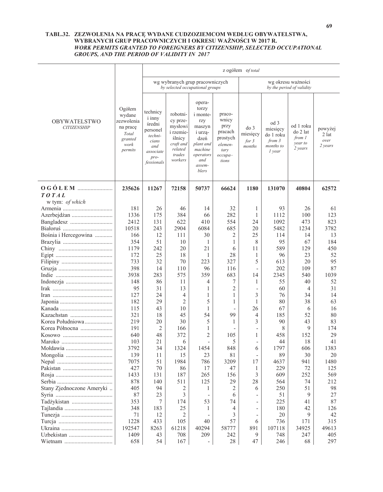### TABL.32. ZEZWOLENIA NA PRACĘ WYDANE CUDZOZIEMCOM WEDŁUG OBYWATELSTWA, WYBRANYCH GRUP PRACOWNICZYCH I OKRESU WAŻNOŚCI W 2017 R. WORK PERMITS GRANTED TO FOREIGNERS BY CITIZENSHIP, SELECTED OCCUPATIONAL **GROUPS, AND THE PERIOD OF VALIDITY IN 2017**

|                                           |                                                                                   |                                                                                                               |                                                                                                            |                                                                                                                                       |                                                                                         | z ogółem of total                                |                                                                |                                                       |                                     |
|-------------------------------------------|-----------------------------------------------------------------------------------|---------------------------------------------------------------------------------------------------------------|------------------------------------------------------------------------------------------------------------|---------------------------------------------------------------------------------------------------------------------------------------|-----------------------------------------------------------------------------------------|--------------------------------------------------|----------------------------------------------------------------|-------------------------------------------------------|-------------------------------------|
|                                           |                                                                                   |                                                                                                               |                                                                                                            | wg wybranych grup pracowniczych<br>by selected occupational groups                                                                    |                                                                                         |                                                  |                                                                | wg okresu ważności<br>by the period of validity       |                                     |
| <b>OBYWATELSTWO</b><br><b>CITIZENSHIP</b> | Ogółem<br>wydane<br>zezwolenia<br>na pracę<br>Total<br>granted<br>work<br>permits | technicy<br><i>i</i> inny<br>średni<br>personel<br>techni-<br>cians<br>and<br>associate<br>pro-<br>fessionals | robotni-<br>cy prze-<br>mysłowi<br><i>i</i> rzemie-<br>slnicy<br>craft and<br>related<br>trades<br>workers | opera-<br>torzy<br><i>i</i> monte-<br>rzy<br>maszyn<br>i urzą-<br>dzeń<br>plant and<br>machine<br>operators<br>and<br>assem-<br>blers | praco-<br>wnicy<br>przy<br>pracach<br>prostych<br>elemen-<br>tary<br>$occupa-$<br>tions | do <sub>3</sub><br>miesięcy<br>for $3$<br>months | od 3<br>miesięcy<br>do 1 roku<br>from 3<br>months to<br>1 year | od 1 roku<br>do 2 lat<br>from 1<br>year to<br>2 years | powyżej<br>2 lat<br>over<br>2 years |
| <b>TOTAL</b>                              | 235626                                                                            | 11267                                                                                                         | 72158                                                                                                      | 50737                                                                                                                                 | 66624                                                                                   | <b>1180</b>                                      | 131070                                                         | 40804                                                 | 62572                               |
| w tym: of which                           |                                                                                   |                                                                                                               |                                                                                                            |                                                                                                                                       |                                                                                         |                                                  |                                                                |                                                       |                                     |
|                                           | 181                                                                               | 26                                                                                                            | 46                                                                                                         | 14                                                                                                                                    | 32                                                                                      | 1                                                | 93                                                             | 26                                                    | 61                                  |
|                                           | 1336                                                                              | 175                                                                                                           | 384                                                                                                        | 66                                                                                                                                    | 282                                                                                     | 1                                                | 1112                                                           | 100                                                   | 123                                 |
|                                           | 2412                                                                              | 131                                                                                                           | 622                                                                                                        | 410                                                                                                                                   | 554                                                                                     | 24                                               | 1092                                                           | 473                                                   | 823                                 |
|                                           | 10518                                                                             | 243                                                                                                           | 2904                                                                                                       | 6084                                                                                                                                  | 685                                                                                     | 20                                               | 5482                                                           | 1234                                                  | 3782                                |
| Bośnia i Hercegowina                      | 166                                                                               | 12                                                                                                            | 111                                                                                                        | 30                                                                                                                                    | $\overline{2}$                                                                          | 25                                               | 114                                                            | 14                                                    | 13                                  |
|                                           | 354                                                                               | 51                                                                                                            | 10                                                                                                         | 1                                                                                                                                     | 1                                                                                       | 8                                                | 95                                                             | 67                                                    | 184                                 |
|                                           | 1179                                                                              | 242                                                                                                           | 20                                                                                                         | 21                                                                                                                                    | 6                                                                                       | 11                                               | 589                                                            | 129                                                   | 450                                 |
|                                           | 172                                                                               | 25                                                                                                            | 18                                                                                                         | 1                                                                                                                                     | 28                                                                                      | 1                                                | 96                                                             | 23                                                    | 52                                  |
|                                           | 733                                                                               | 32                                                                                                            | 70                                                                                                         | 223                                                                                                                                   | 327                                                                                     | 5                                                | 613                                                            | 20                                                    | 95                                  |
|                                           | 398                                                                               | 14                                                                                                            | 110                                                                                                        | 96                                                                                                                                    | 116                                                                                     | ÷                                                | 202                                                            | 109                                                   | 87                                  |
|                                           | 3938                                                                              | 283                                                                                                           | 575                                                                                                        | 359                                                                                                                                   | 683                                                                                     | 14                                               | 2345                                                           | 540                                                   | 1039                                |
|                                           | 148                                                                               | 86                                                                                                            | 11                                                                                                         | 4                                                                                                                                     | 7                                                                                       | 1                                                | 55                                                             | 40                                                    | 52                                  |
|                                           | 95                                                                                | 31                                                                                                            | 13                                                                                                         | 1                                                                                                                                     | $\mathfrak{2}$                                                                          |                                                  | 60                                                             | 4                                                     | 31                                  |
|                                           | 127                                                                               | 24                                                                                                            | 4                                                                                                          | 1                                                                                                                                     | 1                                                                                       | 3                                                | 76                                                             | 34                                                    | 14                                  |
|                                           | 182                                                                               | 29                                                                                                            | $\overline{2}$                                                                                             | 5                                                                                                                                     | 1                                                                                       | 1                                                | 80                                                             | 38                                                    | 63                                  |
|                                           | 115                                                                               | 43                                                                                                            | 10                                                                                                         | 1                                                                                                                                     |                                                                                         | 26                                               | 67                                                             | 6                                                     | 16                                  |
| Kazachstan                                | 321                                                                               | 18                                                                                                            | 45                                                                                                         | 54                                                                                                                                    | 99                                                                                      | 4                                                | 185                                                            | 52                                                    | 80                                  |
| Korea Południowa                          | 219                                                                               | 20                                                                                                            | 30                                                                                                         | 5                                                                                                                                     | 1                                                                                       | 3                                                | 90                                                             | 43                                                    | 83                                  |
| Korea Północna                            | 191                                                                               | 2                                                                                                             | 166                                                                                                        | 1                                                                                                                                     |                                                                                         | $\overline{\phantom{0}}$                         | 8                                                              | 9                                                     | 174                                 |
|                                           | 640                                                                               | 48                                                                                                            | 372                                                                                                        | 2                                                                                                                                     | 105                                                                                     | 1                                                | 458                                                            | 152                                                   | 29                                  |
|                                           | 103                                                                               | 21                                                                                                            | 6                                                                                                          |                                                                                                                                       | 5                                                                                       |                                                  | 44                                                             | 18                                                    | 41                                  |
| Mołdawia                                  | 3792                                                                              | 34                                                                                                            | 1324                                                                                                       | 1454                                                                                                                                  | 848                                                                                     | 6                                                | 1797                                                           | 606                                                   | 1383                                |
|                                           | 139                                                                               | $1\,1$                                                                                                        | 15                                                                                                         | 23                                                                                                                                    | $8\sqrt{1}$                                                                             |                                                  | 89                                                             | 30                                                    | $20\,$                              |
|                                           | 7075                                                                              | 51                                                                                                            | 1984                                                                                                       | 786                                                                                                                                   | 3209                                                                                    | 17                                               | 4637                                                           | 941                                                   | 1480                                |
|                                           | 427                                                                               | 70                                                                                                            | 86                                                                                                         | 17                                                                                                                                    | 47                                                                                      | 1                                                | 229                                                            | 72                                                    | 125                                 |
|                                           | 1433                                                                              | 131                                                                                                           | 187                                                                                                        | 265                                                                                                                                   | 156                                                                                     | 3                                                | 609                                                            | 252                                                   | 569                                 |
|                                           | 878                                                                               | 140                                                                                                           | 511                                                                                                        | 125                                                                                                                                   | 29                                                                                      | 28                                               | 564                                                            | 74                                                    | 212                                 |
| Stany Zjednoczone Ameryki                 | 405                                                                               | 94                                                                                                            | 2                                                                                                          | 1                                                                                                                                     | 2                                                                                       | 6                                                | 250                                                            | 51                                                    | 98                                  |
|                                           | 87                                                                                | 23                                                                                                            | 3                                                                                                          |                                                                                                                                       | 6                                                                                       |                                                  | 51                                                             | 9                                                     | 27                                  |
| Tadżykistan                               | 353                                                                               | 7                                                                                                             | 174                                                                                                        | 53                                                                                                                                    | 74                                                                                      |                                                  | 225                                                            | 41                                                    | 87                                  |
|                                           | 348                                                                               | 183                                                                                                           | 25                                                                                                         | 1                                                                                                                                     | $\overline{4}$                                                                          |                                                  | 180                                                            | 42                                                    | 126                                 |
|                                           | 71                                                                                | 12                                                                                                            |                                                                                                            |                                                                                                                                       | 3                                                                                       |                                                  | 20                                                             | 9                                                     | 42                                  |
|                                           | 1228                                                                              | 433                                                                                                           | 105                                                                                                        | 40                                                                                                                                    | 57                                                                                      | 6                                                | 736                                                            | 171                                                   | 315                                 |
|                                           | 192547                                                                            | 8263                                                                                                          | 61218                                                                                                      | 40294                                                                                                                                 | 58777                                                                                   | 891                                              | 107118                                                         | 34925                                                 | 49613                               |
|                                           | 1409                                                                              | 43                                                                                                            | 708                                                                                                        | 209                                                                                                                                   | 242                                                                                     | 9                                                | 748                                                            | 247                                                   | 405                                 |
|                                           | 658                                                                               | 54                                                                                                            | 167                                                                                                        | $\overline{\phantom{a}}$                                                                                                              | 28                                                                                      | 47                                               | 246                                                            | 68                                                    | 297                                 |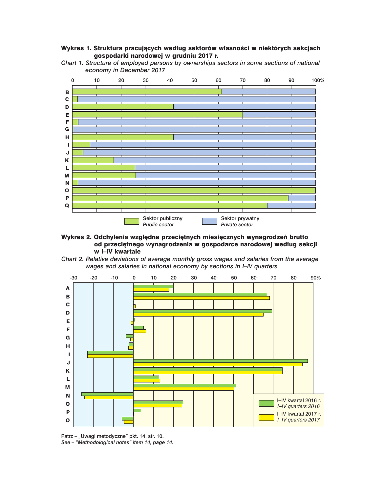### Wykres 1. Struktura pracujących według sektorów własności w niektórych sekcjach gospodarki narodowej w grudniu 2017 r.

*Chart 1. Structure of employed persons by ownerships sectors in some sections of national economy in December 2017*



Wykres 2. Odchylenia względne przeciętnych miesięcznych wynagrodzeń brutto od przeciętnego wynagrodzenia w gospodarce narodowej według sekcji w I–IV kwartale





Patrz – "Uwagi metodyczne" pkt. 14, str. 10. *See – "Methodological notes" item 14, page 14.*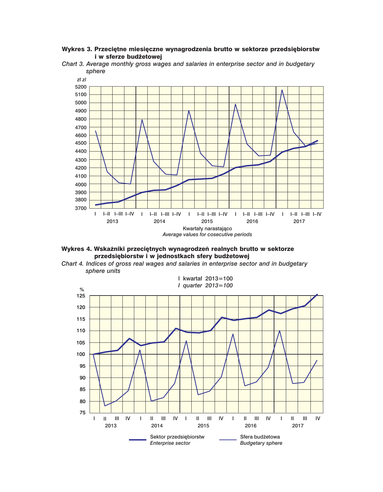## Wykres 3. Przeciętne miesięczne wynagrodzenia brutto w sektorze przedsiębiorstw i w sferze budżetowej





Wykres 4. Wskaźniki przeciętnych wynagrodzeń realnych brutto w sektorze przedsiębiorstw i w jednostkach sfery budżetowej



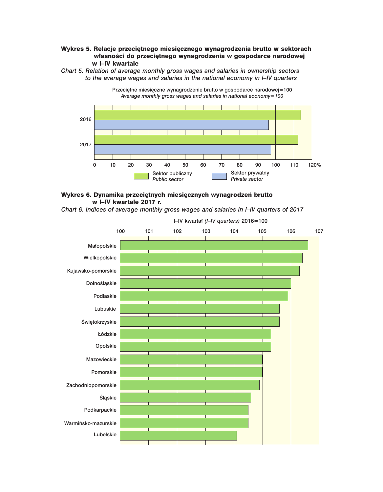## Wykres 5. Relacje przeciętnego miesięcznego wynagrodzenia brutto w sektorach własności do przeciętnego wynagrodzenia w gospodarce narodowej w I–IV kwartale







*Chart 6. Indices of average monthly gross wages and salaries in I–IV quarters of 2017*